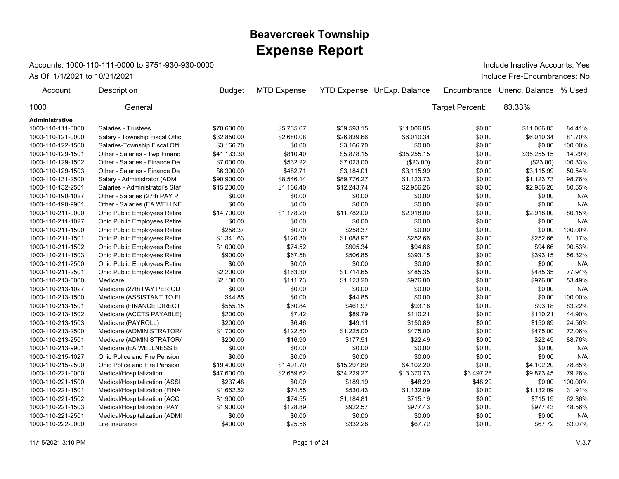## **Expense Report Beavercreek Township**

## Accounts: 1000-110-111-0000 to 9751-930-930-0000

As Of: 1/1/2021 to 10/31/2021 **As Of: 1/1/2021** to 10/31/2021 **Include Pre-Encumbrances: No** 

Include Inactive Accounts: Yes

| Account           | Description                         | <b>Budget</b> | <b>MTD Expense</b> |             | <b>YTD Expense UnExp. Balance</b> | Encumbrance     | Unenc. Balance | % Used  |
|-------------------|-------------------------------------|---------------|--------------------|-------------|-----------------------------------|-----------------|----------------|---------|
| 1000              | General                             |               |                    |             |                                   | Target Percent: | 83.33%         |         |
| Administrative    |                                     |               |                    |             |                                   |                 |                |         |
| 1000-110-111-0000 | Salaries - Trustees                 | \$70,600.00   | \$5,735.67         | \$59,593.15 | \$11,006.85                       | \$0.00          | \$11,006.85    | 84.41%  |
| 1000-110-121-0000 | Salary - Township Fiscal Offic      | \$32,850.00   | \$2,680.08         | \$26,839.66 | \$6,010.34                        | \$0.00          | \$6,010.34     | 81.70%  |
| 1000-110-122-1500 | Salaries-Township Fiscal Offi       | \$3.166.70    | \$0.00             | \$3,166.70  | \$0.00                            | \$0.00          | \$0.00         | 100.00% |
| 1000-110-129-1501 | Other - Salaries - Twp Financ       | \$41,133.30   | \$810.40           | \$5,878.15  | \$35,255.15                       | \$0.00          | \$35,255.15    | 14.29%  |
| 1000-110-129-1502 | Other - Salaries - Finance De       | \$7,000.00    | \$532.22           | \$7,023.00  | (\$23.00)                         | \$0.00          | (\$23.00)      | 100.33% |
| 1000-110-129-1503 | Other - Salaries - Finance De       | \$6,300.00    | \$482.71           | \$3,184.01  | \$3,115.99                        | \$0.00          | \$3,115.99     | 50.54%  |
| 1000-110-131-2500 | Salary - Administrator (ADMI        | \$90,900.00   | \$8,546.14         | \$89,776.27 | \$1,123.73                        | \$0.00          | \$1,123.73     | 98.76%  |
| 1000-110-132-2501 | Salaries - Administrator's Staf     | \$15,200.00   | \$1,166.40         | \$12,243.74 | \$2,956.26                        | \$0.00          | \$2,956.26     | 80.55%  |
| 1000-110-190-1027 | Other - Salaries (27th PAY P        | \$0.00        | \$0.00             | \$0.00      | \$0.00                            | \$0.00          | \$0.00         | N/A     |
| 1000-110-190-9901 | Other - Salaries (EA WELLNE         | \$0.00        | \$0.00             | \$0.00      | \$0.00                            | \$0.00          | \$0.00         | N/A     |
| 1000-110-211-0000 | Ohio Public Employees Retire        | \$14,700.00   | \$1,178.20         | \$11,782.00 | \$2,918.00                        | \$0.00          | \$2,918.00     | 80.15%  |
| 1000-110-211-1027 | Ohio Public Employees Retire        | \$0.00        | \$0.00             | \$0.00      | \$0.00                            | \$0.00          | \$0.00         | N/A     |
| 1000-110-211-1500 | Ohio Public Employees Retire        | \$258.37      | \$0.00             | \$258.37    | \$0.00                            | \$0.00          | \$0.00         | 100.00% |
| 1000-110-211-1501 | Ohio Public Employees Retire        | \$1,341.63    | \$120.30           | \$1,088.97  | \$252.66                          | \$0.00          | \$252.66       | 81.17%  |
| 1000-110-211-1502 | Ohio Public Employees Retire        | \$1,000.00    | \$74.52            | \$905.34    | \$94.66                           | \$0.00          | \$94.66        | 90.53%  |
| 1000-110-211-1503 | Ohio Public Employees Retire        | \$900.00      | \$67.58            | \$506.85    | \$393.15                          | \$0.00          | \$393.15       | 56.32%  |
| 1000-110-211-2500 | Ohio Public Employees Retire        | \$0.00        | \$0.00             | \$0.00      | \$0.00                            | \$0.00          | \$0.00         | N/A     |
| 1000-110-211-2501 | <b>Ohio Public Employees Retire</b> | \$2,200.00    | \$163.30           | \$1,714.65  | \$485.35                          | \$0.00          | \$485.35       | 77.94%  |
| 1000-110-213-0000 | Medicare                            | \$2,100.00    | \$111.73           | \$1,123.20  | \$976.80                          | \$0.00          | \$976.80       | 53.49%  |
| 1000-110-213-1027 | Medicare (27th PAY PERIOD           | \$0.00        | \$0.00             | \$0.00      | \$0.00                            | \$0.00          | \$0.00         | N/A     |
| 1000-110-213-1500 | Medicare (ASSISTANT TO FI           | \$44.85       | \$0.00             | \$44.85     | \$0.00                            | \$0.00          | \$0.00         | 100.00% |
| 1000-110-213-1501 | Medicare (FINANCE DIRECT            | \$555.15      | \$60.84            | \$461.97    | \$93.18                           | \$0.00          | \$93.18        | 83.22%  |
| 1000-110-213-1502 | Medicare (ACCTS PAYABLE)            | \$200.00      | \$7.42             | \$89.79     | \$110.21                          | \$0.00          | \$110.21       | 44.90%  |
| 1000-110-213-1503 | Medicare (PAYROLL)                  | \$200.00      | \$6.46             | \$49.11     | \$150.89                          | \$0.00          | \$150.89       | 24.56%  |
| 1000-110-213-2500 | Medicare (ADMINISTRATOR/            | \$1,700.00    | \$122.50           | \$1,225.00  | \$475.00                          | \$0.00          | \$475.00       | 72.06%  |
| 1000-110-213-2501 | Medicare (ADMINISTRATOR/            | \$200.00      | \$16.90            | \$177.51    | \$22.49                           | \$0.00          | \$22.49        | 88.76%  |
| 1000-110-213-9901 | Medicare (EA WELLNESS B             | \$0.00        | \$0.00             | \$0.00      | \$0.00                            | \$0.00          | \$0.00         | N/A     |
| 1000-110-215-1027 | Ohio Police and Fire Pension        | \$0.00        | \$0.00             | \$0.00      | \$0.00                            | \$0.00          | \$0.00         | N/A     |
| 1000-110-215-2500 | Ohio Police and Fire Pension        | \$19,400.00   | \$1,491.70         | \$15,297.80 | \$4,102.20                        | \$0.00          | \$4,102.20     | 78.85%  |
| 1000-110-221-0000 | Medical/Hospitalization             | \$47,600.00   | \$2,659.62         | \$34,229.27 | \$13,370.73                       | \$3,497.28      | \$9,873.45     | 79.26%  |
| 1000-110-221-1500 | Medical/Hospitalization (ASSI       | \$237.48      | \$0.00             | \$189.19    | \$48.29                           | \$48.29         | \$0.00         | 100.00% |
| 1000-110-221-1501 | Medical/Hospitalization (FINA       | \$1,662.52    | \$74.55            | \$530.43    | \$1,132.09                        | \$0.00          | \$1,132.09     | 31.91%  |
| 1000-110-221-1502 | Medical/Hospitalization (ACC        | \$1,900.00    | \$74.55            | \$1,184.81  | \$715.19                          | \$0.00          | \$715.19       | 62.36%  |
| 1000-110-221-1503 | Medical/Hospitalization (PAY        | \$1,900.00    | \$128.89           | \$922.57    | \$977.43                          | \$0.00          | \$977.43       | 48.56%  |
| 1000-110-221-2501 | Medical/Hospitalization (ADMI       | \$0.00        | \$0.00             | \$0.00      | \$0.00                            | \$0.00          | \$0.00         | N/A     |
| 1000-110-222-0000 | Life Insurance                      | \$400.00      | \$25.56            | \$332.28    | \$67.72                           | \$0.00          | \$67.72        | 83.07%  |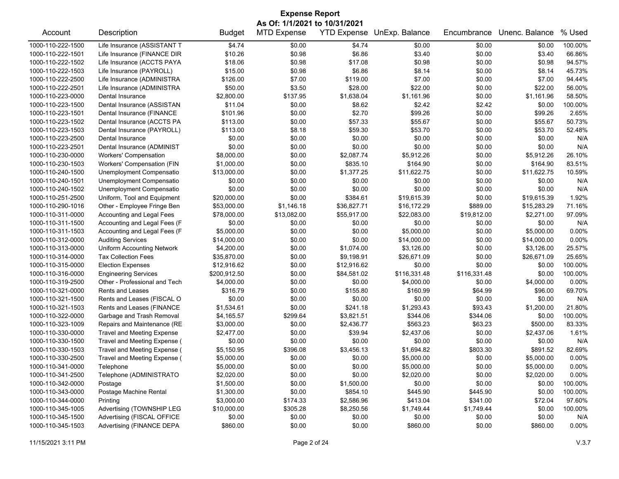| <b>Expense Report</b> |                                                          |               |                               |             |                            |              |                |          |  |
|-----------------------|----------------------------------------------------------|---------------|-------------------------------|-------------|----------------------------|--------------|----------------|----------|--|
|                       |                                                          |               | As Of: 1/1/2021 to 10/31/2021 |             |                            |              |                |          |  |
| Account               | Description                                              | <b>Budget</b> | <b>MTD Expense</b>            |             | YTD Expense UnExp. Balance | Encumbrance  | Unenc. Balance | % Used   |  |
| 1000-110-222-1500     | Life Insurance (ASSISTANT T                              | \$4.74        | \$0.00                        | \$4.74      | \$0.00                     | \$0.00       | \$0.00         | 100.00%  |  |
| 1000-110-222-1501     | Life Insurance (FINANCE DIR                              | \$10.26       | \$0.98                        | \$6.86      | \$3.40                     | \$0.00       | \$3.40         | 66.86%   |  |
| 1000-110-222-1502     | Life Insurance (ACCTS PAYA                               | \$18.06       | \$0.98                        | \$17.08     | \$0.98                     | \$0.00       | \$0.98         | 94.57%   |  |
| 1000-110-222-1503     | Life Insurance (PAYROLL)                                 | \$15.00       | \$0.98                        | \$6.86      | \$8.14                     | \$0.00       | \$8.14         | 45.73%   |  |
| 1000-110-222-2500     | Life Insurance (ADMINISTRA                               | \$126.00      | \$7.00                        | \$119.00    | \$7.00                     | \$0.00       | \$7.00         | 94.44%   |  |
| 1000-110-222-2501     | Life Insurance (ADMINISTRA                               | \$50.00       | \$3.50                        | \$28.00     | \$22.00                    | \$0.00       | \$22.00        | 56.00%   |  |
| 1000-110-223-0000     | Dental Insurance                                         | \$2,800.00    | \$137.95                      | \$1,638.04  | \$1,161.96                 | \$0.00       | \$1,161.96     | 58.50%   |  |
| 1000-110-223-1500     | Dental Insurance (ASSISTAN                               | \$11.04       | \$0.00                        | \$8.62      | \$2.42                     | \$2.42       | \$0.00         | 100.00%  |  |
| 1000-110-223-1501     | Dental Insurance (FINANCE                                | \$101.96      | \$0.00                        | \$2.70      | \$99.26                    | \$0.00       | \$99.26        | 2.65%    |  |
| 1000-110-223-1502     | Dental Insurance (ACCTS PA                               | \$113.00      | \$0.00                        | \$57.33     | \$55.67                    | \$0.00       | \$55.67        | 50.73%   |  |
| 1000-110-223-1503     | Dental Insurance (PAYROLL)                               | \$113.00      | \$8.18                        | \$59.30     | \$53.70                    | \$0.00       | \$53.70        | 52.48%   |  |
| 1000-110-223-2500     | Dental Insurance                                         | \$0.00        | \$0.00                        | \$0.00      | \$0.00                     | \$0.00       | \$0.00         | N/A      |  |
| 1000-110-223-2501     | Dental Insurance (ADMINIST                               | \$0.00        | \$0.00                        | \$0.00      | \$0.00                     | \$0.00       | \$0.00         | N/A      |  |
| 1000-110-230-0000     | <b>Workers' Compensation</b>                             | \$8,000.00    | \$0.00                        | \$2,087.74  | \$5,912.26                 | \$0.00       | \$5,912.26     | 26.10%   |  |
| 1000-110-230-1503     | Workers' Compensation (FIN                               | \$1,000.00    | \$0.00                        | \$835.10    | \$164.90                   | \$0.00       | \$164.90       | 83.51%   |  |
| 1000-110-240-1500     | Unemployment Compensatio                                 | \$13,000.00   | \$0.00                        | \$1,377.25  | \$11,622.75                | \$0.00       | \$11,622.75    | 10.59%   |  |
| 1000-110-240-1501     | Unemployment Compensatio                                 | \$0.00        | \$0.00                        | \$0.00      | \$0.00                     | \$0.00       | \$0.00         | N/A      |  |
| 1000-110-240-1502     | Unemployment Compensatio                                 | \$0.00        | \$0.00                        | \$0.00      | \$0.00                     | \$0.00       | \$0.00         | N/A      |  |
| 1000-110-251-2500     | Uniform, Tool and Equipment                              | \$20,000.00   | \$0.00                        | \$384.61    | \$19,615.39                | \$0.00       | \$19,615.39    | 1.92%    |  |
| 1000-110-290-1016     | Other - Employee Fringe Ben                              | \$53,000.00   | \$1,146.18                    | \$36,827.71 | \$16,172.29                | \$889.00     | \$15,283.29    | 71.16%   |  |
| 1000-110-311-0000     | Accounting and Legal Fees                                | \$78,000.00   | \$13,082.00                   | \$55,917.00 | \$22,083.00                | \$19,812.00  | \$2,271.00     | 97.09%   |  |
| 1000-110-311-1500     | Accounting and Legal Fees (F                             | \$0.00        | \$0.00                        | \$0.00      | \$0.00                     | \$0.00       | \$0.00         | N/A      |  |
| 1000-110-311-1503     |                                                          | \$5,000.00    | \$0.00                        | \$0.00      | \$5,000.00                 | \$0.00       | \$5,000.00     | 0.00%    |  |
| 1000-110-312-0000     | Accounting and Legal Fees (F<br><b>Auditing Services</b> | \$14,000.00   | \$0.00                        | \$0.00      | \$14,000.00                | \$0.00       | \$14,000.00    | 0.00%    |  |
|                       |                                                          |               |                               |             |                            |              |                |          |  |
| 1000-110-313-0000     | Uniform Accounting Network                               | \$4,200.00    | \$0.00                        | \$1,074.00  | \$3,126.00                 | \$0.00       | \$3,126.00     | 25.57%   |  |
| 1000-110-314-0000     | <b>Tax Collection Fees</b>                               | \$35,870.00   | \$0.00                        | \$9,198.91  | \$26,671.09                | \$0.00       | \$26,671.09    | 25.65%   |  |
| 1000-110-315-0000     | <b>Election Expenses</b>                                 | \$12,916.62   | \$0.00                        | \$12,916.62 | \$0.00                     | \$0.00       | \$0.00         | 100.00%  |  |
| 1000-110-316-0000     | <b>Engineering Services</b>                              | \$200,912.50  | \$0.00                        | \$84,581.02 | \$116,331.48               | \$116,331.48 | \$0.00         | 100.00%  |  |
| 1000-110-319-2500     | Other - Professional and Tech                            | \$4,000.00    | \$0.00                        | \$0.00      | \$4,000.00                 | \$0.00       | \$4,000.00     | 0.00%    |  |
| 1000-110-321-0000     | Rents and Leases                                         | \$316.79      | \$0.00                        | \$155.80    | \$160.99                   | \$64.99      | \$96.00        | 69.70%   |  |
| 1000-110-321-1500     | Rents and Leases (FISCAL O                               | \$0.00        | \$0.00                        | \$0.00      | \$0.00                     | \$0.00       | \$0.00         | N/A      |  |
| 1000-110-321-1503     | Rents and Leases (FINANCE                                | \$1,534.61    | \$0.00                        | \$241.18    | \$1,293.43                 | \$93.43      | \$1,200.00     | 21.80%   |  |
| 1000-110-322-0000     | Garbage and Trash Removal                                | \$4,165.57    | \$299.64                      | \$3,821.51  | \$344.06                   | \$344.06     | \$0.00         | 100.00%  |  |
| 1000-110-323-1009     | Repairs and Maintenance (RE                              | \$3,000.00    | \$0.00                        | \$2,436.77  | \$563.23                   | \$63.23      | \$500.00       | 83.33%   |  |
| 1000-110-330-0000     | <b>Travel and Meeting Expense</b>                        | \$2,477.00    | \$0.00                        | \$39.94     | \$2,437.06                 | \$0.00       | \$2,437.06     | 1.61%    |  |
| 1000-110-330-1500     | Travel and Meeting Expense (                             | \$0.00        | \$0.00                        | \$0.00      | \$0.00                     | \$0.00       | \$0.00         | N/A      |  |
| 1000-110-330-1503     | Travel and Meeting Expense (                             | \$5,150.95    | \$396.08                      | \$3,456.13  | \$1,694.82                 | \$803.30     | \$891.52       | 82.69%   |  |
| 1000-110-330-2500     | Travel and Meeting Expense (                             | \$5,000.00    | \$0.00                        | \$0.00      | \$5,000.00                 | \$0.00       | \$5,000.00     | 0.00%    |  |
| 1000-110-341-0000     | Telephone                                                | \$5,000.00    | \$0.00                        | \$0.00      | \$5,000.00                 | \$0.00       | \$5,000.00     | 0.00%    |  |
| 1000-110-341-2500     | Telephone (ADMINISTRATO                                  | \$2,020.00    | \$0.00                        | \$0.00      | \$2,020.00                 | \$0.00       | \$2,020.00     | 0.00%    |  |
| 1000-110-342-0000     | Postage                                                  | \$1,500.00    | \$0.00                        | \$1,500.00  | \$0.00                     | \$0.00       | \$0.00         | 100.00%  |  |
| 1000-110-343-0000     | Postage Machine Rental                                   | \$1,300.00    | \$0.00                        | \$854.10    | \$445.90                   | \$445.90     | \$0.00         | 100.00%  |  |
| 1000-110-344-0000     | Printing                                                 | \$3,000.00    | \$174.33                      | \$2,586.96  | \$413.04                   | \$341.00     | \$72.04        | 97.60%   |  |
| 1000-110-345-1005     | Advertising (TOWNSHIP LEG                                | \$10,000.00   | \$305.28                      | \$8,250.56  | \$1,749.44                 | \$1,749.44   | \$0.00         | 100.00%  |  |
| 1000-110-345-1500     | Advertising (FISCAL OFFICE                               | \$0.00        | \$0.00                        | \$0.00      | \$0.00                     | \$0.00       | \$0.00         | N/A      |  |
| 1000-110-345-1503     | Advertising (FINANCE DEPA                                | \$860.00      | \$0.00                        | \$0.00      | \$860.00                   | \$0.00       | \$860.00       | $0.00\%$ |  |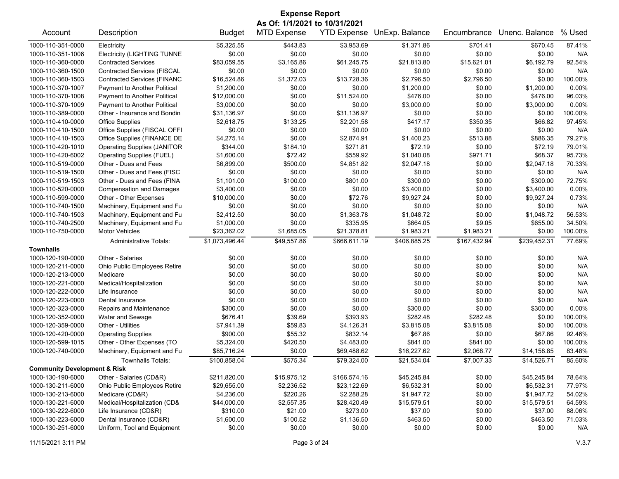| <b>Expense Report</b>                   |                                    |                |                               |                    |                |              |                |          |
|-----------------------------------------|------------------------------------|----------------|-------------------------------|--------------------|----------------|--------------|----------------|----------|
|                                         |                                    |                | As Of: 1/1/2021 to 10/31/2021 |                    |                |              |                |          |
| Account                                 | Description                        | <b>Budget</b>  | <b>MTD Expense</b>            | <b>YTD Expense</b> | UnExp. Balance | Encumbrance  | Unenc. Balance | % Used   |
| 1000-110-351-0000                       | Electricity                        | \$5,325.55     | \$443.83                      | \$3,953.69         | \$1,371.86     | \$701.41     | \$670.45       | 87.41%   |
| 1000-110-351-1006                       | <b>Electricity (LIGHTING TUNNE</b> | \$0.00         | \$0.00                        | \$0.00             | \$0.00         | \$0.00       | \$0.00         | N/A      |
| 1000-110-360-0000                       | <b>Contracted Services</b>         | \$83,059.55    | \$3,165.86                    | \$61,245.75        | \$21,813.80    | \$15,621.01  | \$6,192.79     | 92.54%   |
| 1000-110-360-1500                       | <b>Contracted Services (FISCAL</b> | \$0.00         | \$0.00                        | \$0.00             | \$0.00         | \$0.00       | \$0.00         | N/A      |
| 1000-110-360-1503                       | <b>Contracted Services (FINANC</b> | \$16,524.86    | \$1,372.03                    | \$13,728.36        | \$2,796.50     | \$2,796.50   | \$0.00         | 100.00%  |
| 1000-110-370-1007                       | Payment to Another Political       | \$1,200.00     | \$0.00                        | \$0.00             | \$1,200.00     | \$0.00       | \$1,200.00     | 0.00%    |
| 1000-110-370-1008                       | Payment to Another Political       | \$12,000.00    | \$0.00                        | \$11,524.00        | \$476.00       | \$0.00       | \$476.00       | 96.03%   |
| 1000-110-370-1009                       | Payment to Another Political       | \$3,000.00     | \$0.00                        | \$0.00             | \$3,000.00     | \$0.00       | \$3,000.00     | 0.00%    |
| 1000-110-389-0000                       | Other - Insurance and Bondin       | \$31,136.97    | \$0.00                        | \$31,136.97        | \$0.00         | \$0.00       | \$0.00         | 100.00%  |
| 1000-110-410-0000                       | <b>Office Supplies</b>             | \$2,618.75     | \$133.25                      | \$2,201.58         | \$417.17       | \$350.35     | \$66.82        | 97.45%   |
| 1000-110-410-1500                       | Office Supplies (FISCAL OFFI       | \$0.00         | \$0.00                        | \$0.00             | \$0.00         | \$0.00       | \$0.00         | N/A      |
| 1000-110-410-1503                       | Office Supplies (FINANCE DE        | \$4,275.14     | \$0.00                        | \$2,874.91         | \$1,400.23     | \$513.88     | \$886.35       | 79.27%   |
| 1000-110-420-1010                       | <b>Operating Supplies (JANITOR</b> | \$344.00       | \$184.10                      | \$271.81           | \$72.19        | \$0.00       | \$72.19        | 79.01%   |
| 1000-110-420-6002                       | Operating Supplies (FUEL)          | \$1,600.00     | \$72.42                       | \$559.92           | \$1,040.08     | \$971.71     | \$68.37        | 95.73%   |
| 1000-110-519-0000                       | Other - Dues and Fees              | \$6,899.00     | \$500.00                      | \$4,851.82         | \$2,047.18     | \$0.00       | \$2,047.18     | 70.33%   |
| 1000-110-519-1500                       | Other - Dues and Fees (FISC        | \$0.00         | \$0.00                        | \$0.00             | \$0.00         | \$0.00       | \$0.00         | N/A      |
| 1000-110-519-1503                       | Other - Dues and Fees (FINA        | \$1,101.00     | \$100.00                      | \$801.00           | \$300.00       | \$0.00       | \$300.00       | 72.75%   |
| 1000-110-520-0000                       | <b>Compensation and Damages</b>    | \$3,400.00     | \$0.00                        | \$0.00             | \$3,400.00     | \$0.00       | \$3,400.00     | 0.00%    |
| 1000-110-599-0000                       | Other - Other Expenses             | \$10,000.00    | \$0.00                        | \$72.76            | \$9,927.24     | \$0.00       | \$9,927.24     | 0.73%    |
| 1000-110-740-1500                       | Machinery, Equipment and Fu        | \$0.00         | \$0.00                        | \$0.00             | \$0.00         | \$0.00       | \$0.00         | N/A      |
| 1000-110-740-1503                       | Machinery, Equipment and Fu        | \$2,412.50     | \$0.00                        | \$1,363.78         | \$1,048.72     | \$0.00       | \$1,048.72     | 56.53%   |
| 1000-110-740-2500                       | Machinery, Equipment and Fu        | \$1,000.00     | \$0.00                        | \$335.95           | \$664.05       | \$9.05       | \$655.00       | 34.50%   |
| 1000-110-750-0000                       | <b>Motor Vehicles</b>              | \$23,362.02    | \$1,685.05                    | \$21,378.81        | \$1,983.21     | \$1,983.21   | \$0.00         | 100.00%  |
|                                         | <b>Administrative Totals:</b>      | \$1,073,496.44 | \$49,557.86                   | \$666,611.19       | \$406,885.25   | \$167,432.94 | \$239,452.31   | 77.69%   |
| <b>Townhalls</b>                        |                                    |                |                               |                    |                |              |                |          |
| 1000-120-190-0000                       | Other - Salaries                   | \$0.00         | \$0.00                        | \$0.00             | \$0.00         | \$0.00       | \$0.00         | N/A      |
| 1000-120-211-0000                       | Ohio Public Employees Retire       | \$0.00         | \$0.00                        | \$0.00             | \$0.00         | \$0.00       | \$0.00         | N/A      |
| 1000-120-213-0000                       | Medicare                           | \$0.00         | \$0.00                        | \$0.00             | \$0.00         | \$0.00       | \$0.00         | N/A      |
| 1000-120-221-0000                       | Medical/Hospitalization            | \$0.00         | \$0.00                        | \$0.00             | \$0.00         | \$0.00       | \$0.00         | N/A      |
| 1000-120-222-0000                       | Life Insurance                     | \$0.00         | \$0.00                        | \$0.00             | \$0.00         | \$0.00       | \$0.00         | N/A      |
| 1000-120-223-0000                       | Dental Insurance                   | \$0.00         | \$0.00                        | \$0.00             | \$0.00         | \$0.00       | \$0.00         | N/A      |
| 1000-120-323-0000                       | Repairs and Maintenance            | \$300.00       | \$0.00                        | \$0.00             | \$300.00       | \$0.00       | \$300.00       | $0.00\%$ |
| 1000-120-352-0000                       | Water and Sewage                   | \$676.41       | \$39.69                       | \$393.93           | \$282.48       | \$282.48     | \$0.00         | 100.00%  |
| 1000-120-359-0000                       | Other - Utilities                  | \$7,941.39     | \$59.83                       | \$4,126.31         | \$3,815.08     | \$3,815.08   | \$0.00         | 100.00%  |
| 1000-120-420-0000                       | <b>Operating Supplies</b>          | \$900.00       | \$55.32                       | \$832.14           | \$67.86        | \$0.00       | \$67.86        | 92.46%   |
| 1000-120-599-1015                       | Other - Other Expenses (TO         | \$5,324.00     | \$420.50                      | \$4,483.00         | \$841.00       | \$841.00     | \$0.00         | 100.00%  |
| 1000-120-740-0000                       | Machinery, Equipment and Fu        | \$85.716.24    | \$0.00                        | \$69,488.62        | \$16,227.62    | \$2,068.77   | \$14,158.85    | 83.48%   |
|                                         | Townhalls Totals:                  | \$100,858.04   | \$575.34                      | \$79,324.00        | \$21,534.04    | \$7,007.33   | \$14,526.71    | 85.60%   |
| <b>Community Development &amp; Risk</b> |                                    |                |                               |                    |                |              |                |          |
| 1000-130-190-6000                       | Other - Salaries (CD&R)            | \$211,820.00   | \$15,975.12                   | \$166,574.16       | \$45,245.84    | \$0.00       | \$45,245.84    | 78.64%   |
| 1000-130-211-6000                       | Ohio Public Employees Retire       | \$29,655.00    | \$2,236.52                    | \$23,122.69        | \$6,532.31     | \$0.00       | \$6,532.31     | 77.97%   |
| 1000-130-213-6000                       | Medicare (CD&R)                    | \$4,236.00     | \$220.26                      | \$2,288.28         | \$1,947.72     | \$0.00       | \$1,947.72     | 54.02%   |
| 1000-130-221-6000                       | Medical/Hospitalization (CD&       | \$44,000.00    | \$2,557.35                    | \$28,420.49        | \$15,579.51    | \$0.00       | \$15,579.51    | 64.59%   |
| 1000-130-222-6000                       | Life Insurance (CD&R)              | \$310.00       | \$21.00                       | \$273.00           | \$37.00        | \$0.00       | \$37.00        | 88.06%   |
| 1000-130-223-6000                       | Dental Insurance (CD&R)            | \$1,600.00     | \$100.52                      | \$1,136.50         | \$463.50       | \$0.00       | \$463.50       | 71.03%   |
| 1000-130-251-6000                       | Uniform, Tool and Equipment        | \$0.00         | \$0.00                        | \$0.00             | \$0.00         | \$0.00       | \$0.00         | N/A      |
|                                         |                                    |                |                               |                    |                |              |                |          |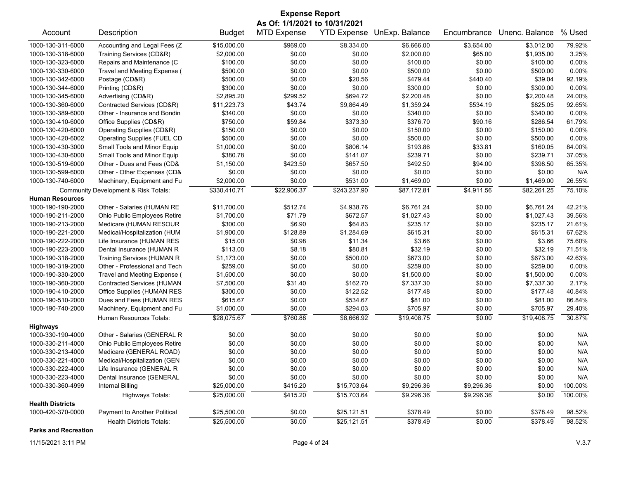| <b>Expense Report</b>   |                                      |               |                               |              |                            |             |                |         |  |
|-------------------------|--------------------------------------|---------------|-------------------------------|--------------|----------------------------|-------------|----------------|---------|--|
|                         |                                      |               | As Of: 1/1/2021 to 10/31/2021 |              |                            |             |                |         |  |
| Account                 | Description                          | <b>Budget</b> | <b>MTD Expense</b>            |              | YTD Expense UnExp. Balance | Encumbrance | Unenc. Balance | % Used  |  |
| 1000-130-311-6000       | Accounting and Legal Fees (Z         | \$15,000.00   | \$969.00                      | \$8,334.00   | \$6,666.00                 | \$3,654.00  | \$3,012.00     | 79.92%  |  |
| 1000-130-318-6000       | Training Services (CD&R)             | \$2,000.00    | \$0.00                        | \$0.00       | \$2,000.00                 | \$65.00     | \$1,935.00     | 3.25%   |  |
| 1000-130-323-6000       | Repairs and Maintenance (C           | \$100.00      | \$0.00                        | \$0.00       | \$100.00                   | \$0.00      | \$100.00       | 0.00%   |  |
| 1000-130-330-6000       | Travel and Meeting Expense (         | \$500.00      | \$0.00                        | \$0.00       | \$500.00                   | \$0.00      | \$500.00       | 0.00%   |  |
| 1000-130-342-6000       | Postage (CD&R)                       | \$500.00      | \$0.00                        | \$20.56      | \$479.44                   | \$440.40    | \$39.04        | 92.19%  |  |
| 1000-130-344-6000       | Printing (CD&R)                      | \$300.00      | \$0.00                        | \$0.00       | \$300.00                   | \$0.00      | \$300.00       | 0.00%   |  |
| 1000-130-345-6000       | Advertising (CD&R)                   | \$2,895.20    | \$299.52                      | \$694.72     | \$2,200.48                 | \$0.00      | \$2,200.48     | 24.00%  |  |
| 1000-130-360-6000       | Contracted Services (CD&R)           | \$11,223.73   | \$43.74                       | \$9,864.49   | \$1,359.24                 | \$534.19    | \$825.05       | 92.65%  |  |
| 1000-130-389-6000       | Other - Insurance and Bondin         | \$340.00      | \$0.00                        | \$0.00       | \$340.00                   | \$0.00      | \$340.00       | 0.00%   |  |
| 1000-130-410-6000       | Office Supplies (CD&R)               | \$750.00      | \$59.84                       | \$373.30     | \$376.70                   | \$90.16     | \$286.54       | 61.79%  |  |
| 1000-130-420-6000       | Operating Supplies (CD&R)            | \$150.00      | \$0.00                        | \$0.00       | \$150.00                   | \$0.00      | \$150.00       | 0.00%   |  |
| 1000-130-420-6002       | Operating Supplies (FUEL CD          | \$500.00      | \$0.00                        | \$0.00       | \$500.00                   | \$0.00      | \$500.00       | 0.00%   |  |
| 1000-130-430-3000       | Small Tools and Minor Equip          | \$1,000.00    | \$0.00                        | \$806.14     | \$193.86                   | \$33.81     | \$160.05       | 84.00%  |  |
| 1000-130-430-6000       | Small Tools and Minor Equip          | \$380.78      | \$0.00                        | \$141.07     | \$239.71                   | \$0.00      | \$239.71       | 37.05%  |  |
| 1000-130-519-6000       | Other - Dues and Fees (CD&           | \$1,150.00    | \$423.50                      | \$657.50     | \$492.50                   | \$94.00     | \$398.50       | 65.35%  |  |
| 1000-130-599-6000       | Other - Other Expenses (CD&          | \$0.00        | \$0.00                        | \$0.00       | \$0.00                     | \$0.00      | \$0.00         | N/A     |  |
| 1000-130-740-6000       | Machinery, Equipment and Fu          | \$2,000.00    | \$0.00                        | \$531.00     | \$1,469.00                 | \$0.00      | \$1,469.00     | 26.55%  |  |
|                         | Community Development & Risk Totals: | \$330,410.71  | \$22,906.37                   | \$243,237.90 | \$87,172.81                | \$4,911.56  | \$82,261.25    | 75.10%  |  |
| <b>Human Resources</b>  |                                      |               |                               |              |                            |             |                |         |  |
| 1000-190-190-2000       | Other - Salaries (HUMAN RE           | \$11,700.00   | \$512.74                      | \$4,938.76   | \$6,761.24                 | \$0.00      | \$6,761.24     | 42.21%  |  |
| 1000-190-211-2000       | Ohio Public Employees Retire         | \$1,700.00    | \$71.79                       | \$672.57     | \$1,027.43                 | \$0.00      | \$1,027.43     | 39.56%  |  |
| 1000-190-213-2000       | Medicare (HUMAN RESOUR               | \$300.00      | \$6.90                        | \$64.83      | \$235.17                   | \$0.00      | \$235.17       | 21.61%  |  |
| 1000-190-221-2000       | Medical/Hospitalization (HUM         | \$1,900.00    | \$128.89                      | \$1,284.69   | \$615.31                   | \$0.00      | \$615.31       | 67.62%  |  |
| 1000-190-222-2000       | Life Insurance (HUMAN RES            | \$15.00       | \$0.98                        | \$11.34      | \$3.66                     | \$0.00      | \$3.66         | 75.60%  |  |
| 1000-190-223-2000       | Dental Insurance (HUMAN R            | \$113.00      | \$8.18                        | \$80.81      | \$32.19                    | \$0.00      | \$32.19        | 71.51%  |  |
| 1000-190-318-2000       | <b>Training Services (HUMAN R</b>    | \$1,173.00    | \$0.00                        | \$500.00     | \$673.00                   | \$0.00      | \$673.00       | 42.63%  |  |
| 1000-190-319-2000       | Other - Professional and Tech        | \$259.00      | \$0.00                        | \$0.00       | \$259.00                   | \$0.00      | \$259.00       | 0.00%   |  |
| 1000-190-330-2000       | Travel and Meeting Expense (         | \$1,500.00    | \$0.00                        | \$0.00       | \$1,500.00                 | \$0.00      | \$1,500.00     | 0.00%   |  |
| 1000-190-360-2000       | <b>Contracted Services (HUMAN</b>    | \$7,500.00    | \$31.40                       | \$162.70     | \$7,337.30                 | \$0.00      | \$7,337.30     | 2.17%   |  |
| 1000-190-410-2000       | Office Supplies (HUMAN RES           | \$300.00      | \$0.00                        | \$122.52     | \$177.48                   | \$0.00      | \$177.48       | 40.84%  |  |
| 1000-190-510-2000       | Dues and Fees (HUMAN RES             | \$615.67      | \$0.00                        | \$534.67     | \$81.00                    | \$0.00      | \$81.00        | 86.84%  |  |
| 1000-190-740-2000       | Machinery, Equipment and Fu          | \$1,000.00    | \$0.00                        | \$294.03     | \$705.97                   | \$0.00      | \$705.97       | 29.40%  |  |
|                         | Human Resources Totals:              | \$28,075.67   | \$760.88                      | \$8,666.92   | \$19,408.75                | \$0.00      | \$19,408.75    | 30.87%  |  |
| <b>Highways</b>         |                                      |               |                               |              |                            |             |                |         |  |
| 1000-330-190-4000       | Other - Salaries (GENERAL R          | \$0.00        | \$0.00                        | \$0.00       | \$0.00                     | \$0.00      | \$0.00         | N/A     |  |
| 1000-330-211-4000       | Ohio Public Employees Retire         | \$0.00        | \$0.00                        | \$0.00       | \$0.00                     | \$0.00      | \$0.00         | N/A     |  |
| 1000-330-213-4000       | Medicare (GENERAL ROAD)              | \$0.00        | \$0.00                        | \$0.00       | \$0.00                     | \$0.00      | \$0.00         | N/A     |  |
| 1000-330-221-4000       | Medical/Hospitalization (GEN         | \$0.00        | \$0.00                        | \$0.00       | \$0.00                     | \$0.00      | \$0.00         | N/A     |  |
| 1000-330-222-4000       | Life Insurance (GENERAL R            | \$0.00        | \$0.00                        | \$0.00       | \$0.00                     | \$0.00      | \$0.00         | N/A     |  |
| 1000-330-223-4000       | Dental Insurance (GENERAL            | \$0.00        | \$0.00                        | \$0.00       | \$0.00                     | \$0.00      | \$0.00         | N/A     |  |
| 1000-330-360-4999       | <b>Internal Billing</b>              | \$25,000.00   | \$415.20                      | \$15,703.64  | \$9,296.36                 | \$9,296.36  | \$0.00         | 100.00% |  |
|                         | <b>Highways Totals:</b>              | \$25,000.00   | \$415.20                      | \$15,703.64  | \$9,296.36                 | \$9,296.36  | \$0.00         | 100.00% |  |
| <b>Health Districts</b> |                                      |               |                               |              |                            |             |                |         |  |
| 1000-420-370-0000       | Payment to Another Political         | \$25,500.00   | \$0.00                        | \$25,121.51  | \$378.49                   | \$0.00      | \$378.49       | 98.52%  |  |
|                         | <b>Health Districts Totals:</b>      | \$25,500.00   | \$0.00                        | \$25,121.51  | \$378.49                   | \$0.00      | \$378.49       | 98.52%  |  |

**Parks and Recreation**

11/15/2021 3:11 PM Page 4 of 24 V.3.7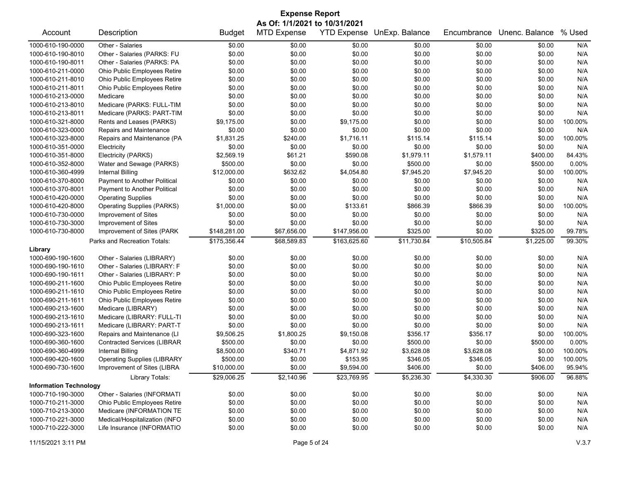| <b>Expense Report</b>         |                                    |               |                    |                    |                |             |                |         |  |
|-------------------------------|------------------------------------|---------------|--------------------|--------------------|----------------|-------------|----------------|---------|--|
| As Of: 1/1/2021 to 10/31/2021 |                                    |               |                    |                    |                |             |                |         |  |
| Account                       | Description                        | <b>Budget</b> | <b>MTD Expense</b> | <b>YTD Expense</b> | UnExp. Balance | Encumbrance | Unenc. Balance | % Used  |  |
| 1000-610-190-0000             | Other - Salaries                   | \$0.00        | \$0.00             | \$0.00             | \$0.00         | \$0.00      | \$0.00         | N/A     |  |
| 1000-610-190-8010             | Other - Salaries (PARKS: FU        | \$0.00        | \$0.00             | \$0.00             | \$0.00         | \$0.00      | \$0.00         | N/A     |  |
| 1000-610-190-8011             | Other - Salaries (PARKS: PA        | \$0.00        | \$0.00             | \$0.00             | \$0.00         | \$0.00      | \$0.00         | N/A     |  |
| 1000-610-211-0000             | Ohio Public Employees Retire       | \$0.00        | \$0.00             | \$0.00             | \$0.00         | \$0.00      | \$0.00         | N/A     |  |
| 1000-610-211-8010             | Ohio Public Employees Retire       | \$0.00        | \$0.00             | \$0.00             | \$0.00         | \$0.00      | \$0.00         | N/A     |  |
| 1000-610-211-8011             | Ohio Public Employees Retire       | \$0.00        | \$0.00             | \$0.00             | \$0.00         | \$0.00      | \$0.00         | N/A     |  |
| 1000-610-213-0000             | Medicare                           | \$0.00        | \$0.00             | \$0.00             | \$0.00         | \$0.00      | \$0.00         | N/A     |  |
| 1000-610-213-8010             | Medicare (PARKS: FULL-TIM          | \$0.00        | \$0.00             | \$0.00             | \$0.00         | \$0.00      | \$0.00         | N/A     |  |
| 1000-610-213-8011             | Medicare (PARKS: PART-TIM          | \$0.00        | \$0.00             | \$0.00             | \$0.00         | \$0.00      | \$0.00         | N/A     |  |
| 1000-610-321-8000             | Rents and Leases (PARKS)           | \$9,175.00    | \$0.00             | \$9,175.00         | \$0.00         | \$0.00      | \$0.00         | 100.00% |  |
| 1000-610-323-0000             | Repairs and Maintenance            | \$0.00        | \$0.00             | \$0.00             | \$0.00         | \$0.00      | \$0.00         | N/A     |  |
| 1000-610-323-8000             | Repairs and Maintenance (PA        | \$1,831.25    | \$240.00           | \$1,716.11         | \$115.14       | \$115.14    | \$0.00         | 100.00% |  |
| 1000-610-351-0000             | Electricity                        | \$0.00        | \$0.00             | \$0.00             | \$0.00         | \$0.00      | \$0.00         | N/A     |  |
| 1000-610-351-8000             | Electricity (PARKS)                | \$2,569.19    | \$61.21            | \$590.08           | \$1,979.11     | \$1,579.11  | \$400.00       | 84.43%  |  |
| 1000-610-352-8000             | Water and Sewage (PARKS)           | \$500.00      | \$0.00             | \$0.00             | \$500.00       | \$0.00      | \$500.00       | 0.00%   |  |
| 1000-610-360-4999             | <b>Internal Billing</b>            | \$12,000.00   | \$632.62           | \$4,054.80         | \$7,945.20     | \$7,945.20  | \$0.00         | 100.00% |  |
| 1000-610-370-8000             | Payment to Another Political       | \$0.00        | \$0.00             | \$0.00             | \$0.00         | \$0.00      | \$0.00         | N/A     |  |
| 1000-610-370-8001             | Payment to Another Political       | \$0.00        | \$0.00             | \$0.00             | \$0.00         | \$0.00      | \$0.00         | N/A     |  |
| 1000-610-420-0000             | <b>Operating Supplies</b>          | \$0.00        | \$0.00             | \$0.00             | \$0.00         | \$0.00      | \$0.00         | N/A     |  |
| 1000-610-420-8000             | <b>Operating Supplies (PARKS)</b>  | \$1,000.00    | \$0.00             | \$133.61           | \$866.39       | \$866.39    | \$0.00         | 100.00% |  |
| 1000-610-730-0000             | Improvement of Sites               | \$0.00        | \$0.00             | \$0.00             | \$0.00         | \$0.00      | \$0.00         | N/A     |  |
| 1000-610-730-3000             | Improvement of Sites               | \$0.00        | \$0.00             | \$0.00             | \$0.00         | \$0.00      | \$0.00         | N/A     |  |
| 1000-610-730-8000             | Improvement of Sites (PARK         | \$148,281.00  | \$67,656.00        | \$147,956.00       | \$325.00       | \$0.00      | \$325.00       | 99.78%  |  |
|                               | Parks and Recreation Totals:       | \$175,356.44  | \$68,589.83        | \$163,625.60       | \$11,730.84    | \$10,505.84 | \$1,225.00     | 99.30%  |  |
| Library                       |                                    |               |                    |                    |                |             |                |         |  |
| 1000-690-190-1600             | Other - Salaries (LIBRARY)         | \$0.00        | \$0.00             | \$0.00             | \$0.00         | \$0.00      | \$0.00         | N/A     |  |
| 1000-690-190-1610             | Other - Salaries (LIBRARY: F       | \$0.00        | \$0.00             | \$0.00             | \$0.00         | \$0.00      | \$0.00         | N/A     |  |
| 1000-690-190-1611             | Other - Salaries (LIBRARY: P       | \$0.00        | \$0.00             | \$0.00             | \$0.00         | \$0.00      | \$0.00         | N/A     |  |
| 1000-690-211-1600             | Ohio Public Employees Retire       | \$0.00        | \$0.00             | \$0.00             | \$0.00         | \$0.00      | \$0.00         | N/A     |  |
| 1000-690-211-1610             | Ohio Public Employees Retire       | \$0.00        | \$0.00             | \$0.00             | \$0.00         | \$0.00      | \$0.00         | N/A     |  |
| 1000-690-211-1611             | Ohio Public Employees Retire       | \$0.00        | \$0.00             | \$0.00             | \$0.00         | \$0.00      | \$0.00         | N/A     |  |
| 1000-690-213-1600             | Medicare (LIBRARY)                 | \$0.00        | \$0.00             | \$0.00             | \$0.00         | \$0.00      | \$0.00         | N/A     |  |
| 1000-690-213-1610             | Medicare (LIBRARY: FULL-TI         | \$0.00        | \$0.00             | \$0.00             | \$0.00         | \$0.00      | \$0.00         | N/A     |  |
| 1000-690-213-1611             | Medicare (LIBRARY: PART-T          | \$0.00        | \$0.00             | \$0.00             | \$0.00         | \$0.00      | \$0.00         | N/A     |  |
| 1000-690-323-1600             | Repairs and Maintenance (LI        | \$9,506.25    | \$1,800.25         | \$9,150.08         | \$356.17       | \$356.17    | \$0.00         | 100.00% |  |
| 1000-690-360-1600             | <b>Contracted Services (LIBRAR</b> | \$500.00      | \$0.00             | \$0.00             | \$500.00       | \$0.00      | \$500.00       | 0.00%   |  |
| 1000-690-360-4999             | Internal Billing                   | \$8,500.00    | \$340.71           | \$4,871.92         | \$3,628.08     | \$3,628.08  | \$0.00         | 100.00% |  |
| 1000-690-420-1600             | <b>Operating Supplies (LIBRARY</b> | \$500.00      | \$0.00             | \$153.95           | \$346.05       | \$346.05    | \$0.00         | 100.00% |  |
| 1000-690-730-1600             | Improvement of Sites (LIBRA        | \$10,000.00   | \$0.00             | \$9,594.00         | \$406.00       | \$0.00      | \$406.00       | 95.94%  |  |
|                               | Library Totals:                    | \$29,006.25   | \$2,140.96         | \$23,769.95        | \$5,236.30     | \$4,330.30  | \$906.00       | 96.88%  |  |
| <b>Information Technology</b> |                                    |               |                    |                    |                |             |                |         |  |
| 1000-710-190-3000             | Other - Salaries (INFORMATI        | \$0.00        | \$0.00             | \$0.00             | \$0.00         | \$0.00      | \$0.00         | N/A     |  |
| 1000-710-211-3000             | Ohio Public Employees Retire       | \$0.00        | \$0.00             | \$0.00             | \$0.00         | \$0.00      | \$0.00         | N/A     |  |
| 1000-710-213-3000             | Medicare (INFORMATION TE           | \$0.00        | \$0.00             | \$0.00             | \$0.00         | \$0.00      | \$0.00         | N/A     |  |
| 1000-710-221-3000             | Medical/Hospitalization (INFO      | \$0.00        | \$0.00             | \$0.00             | \$0.00         | \$0.00      | \$0.00         | N/A     |  |
| 1000-710-222-3000             | Life Insurance (INFORMATIO         | \$0.00        | \$0.00             | \$0.00             | \$0.00         | \$0.00      | \$0.00         | N/A     |  |
|                               |                                    |               |                    |                    |                |             |                |         |  |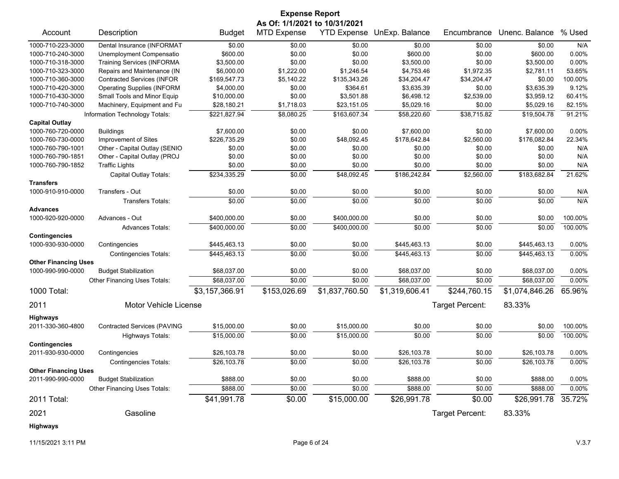|                             |                                    |                | <b>Expense Report</b>         |                    |                |                 |                |          |
|-----------------------------|------------------------------------|----------------|-------------------------------|--------------------|----------------|-----------------|----------------|----------|
|                             |                                    |                | As Of: 1/1/2021 to 10/31/2021 |                    |                |                 |                |          |
| Account                     | Description                        | <b>Budget</b>  | <b>MTD Expense</b>            | <b>YTD Expense</b> | UnExp. Balance | Encumbrance     | Unenc. Balance | % Used   |
| 1000-710-223-3000           | Dental Insurance (INFORMAT         | \$0.00         | \$0.00                        | \$0.00             | \$0.00         | \$0.00          | \$0.00         | N/A      |
| 1000-710-240-3000           | Unemployment Compensatio           | \$600.00       | \$0.00                        | \$0.00             | \$600.00       | \$0.00          | \$600.00       | 0.00%    |
| 1000-710-318-3000           | <b>Training Services (INFORMA</b>  | \$3,500.00     | \$0.00                        | \$0.00             | \$3,500.00     | \$0.00          | \$3,500.00     | 0.00%    |
| 1000-710-323-3000           | Repairs and Maintenance (IN        | \$6,000.00     | \$1,222.00                    | \$1,246.54         | \$4,753.46     | \$1,972.35      | \$2,781.11     | 53.65%   |
| 1000-710-360-3000           | <b>Contracted Services (INFOR</b>  | \$169,547.73   | \$5,140.22                    | \$135,343.26       | \$34,204.47    | \$34,204.47     | \$0.00         | 100.00%  |
| 1000-710-420-3000           | <b>Operating Supplies (INFORM</b>  | \$4,000.00     | \$0.00                        | \$364.61           | \$3,635.39     | \$0.00          | \$3,635.39     | 9.12%    |
| 1000-710-430-3000           | Small Tools and Minor Equip        | \$10,000.00    | \$0.00                        | \$3,501.88         | \$6,498.12     | \$2,539.00      | \$3,959.12     | 60.41%   |
| 1000-710-740-3000           | Machinery, Equipment and Fu        | \$28,180.21    | \$1,718.03                    | \$23,151.05        | \$5,029.16     | \$0.00          | \$5,029.16     | 82.15%   |
|                             | Information Technology Totals:     | \$221,827.94   | \$8,080.25                    | \$163,607.34       | \$58,220.60    | \$38,715.82     | \$19,504.78    | 91.21%   |
| <b>Capital Outlay</b>       |                                    |                |                               |                    |                |                 |                |          |
| 1000-760-720-0000           | <b>Buildings</b>                   | \$7,600.00     | \$0.00                        | \$0.00             | \$7,600.00     | \$0.00          | \$7,600.00     | 0.00%    |
| 1000-760-730-0000           | Improvement of Sites               | \$226,735.29   | \$0.00                        | \$48,092.45        | \$178,642.84   | \$2,560.00      | \$176,082.84   | 22.34%   |
| 1000-760-790-1001           | Other - Capital Outlay (SENIO      | \$0.00         | \$0.00                        | \$0.00             | \$0.00         | \$0.00          | \$0.00         | N/A      |
| 1000-760-790-1851           | Other - Capital Outlay (PROJ       | \$0.00         | \$0.00                        | \$0.00             | \$0.00         | \$0.00          | \$0.00         | N/A      |
| 1000-760-790-1852           | <b>Traffic Lights</b>              | \$0.00         | \$0.00                        | \$0.00             | \$0.00         | \$0.00          | \$0.00         | N/A      |
|                             | Capital Outlay Totals:             | \$234,335.29   | \$0.00                        | \$48,092.45        | \$186,242.84   | \$2,560.00      | \$183,682.84   | 21.62%   |
| <b>Transfers</b>            |                                    |                |                               |                    |                |                 |                |          |
| 1000-910-910-0000           | Transfers - Out                    | \$0.00         | \$0.00                        | \$0.00             | \$0.00         | \$0.00          | \$0.00         | N/A      |
|                             | <b>Transfers Totals:</b>           | \$0.00         | \$0.00                        | \$0.00             | \$0.00         | \$0.00          | \$0.00         | N/A      |
| <b>Advances</b>             |                                    |                |                               |                    |                |                 |                |          |
| 1000-920-920-0000           | Advances - Out                     | \$400,000.00   | \$0.00                        | \$400,000.00       | \$0.00         | \$0.00          | \$0.00         | 100.00%  |
|                             | <b>Advances Totals:</b>            | \$400,000.00   | \$0.00                        | \$400,000.00       | \$0.00         | \$0.00          | \$0.00         | 100.00%  |
| <b>Contingencies</b>        |                                    |                |                               |                    |                |                 |                |          |
| 1000-930-930-0000           | Contingencies                      | \$445,463.13   | \$0.00                        | \$0.00             | \$445,463.13   | \$0.00          | \$445,463.13   | $0.00\%$ |
|                             | <b>Contingencies Totals:</b>       | \$445,463.13   | \$0.00                        | \$0.00             | \$445,463.13   | \$0.00          | \$445,463.13   | 0.00%    |
| <b>Other Financing Uses</b> |                                    |                |                               |                    |                |                 |                |          |
| 1000-990-990-0000           | <b>Budget Stabilization</b>        | \$68,037.00    | \$0.00                        | \$0.00             | \$68,037.00    | \$0.00          | \$68,037.00    | $0.00\%$ |
|                             | Other Financing Uses Totals:       | \$68,037.00    | \$0.00                        | \$0.00             | \$68,037.00    | \$0.00          | \$68,037.00    | 0.00%    |
| 1000 Total:                 |                                    | \$3,157,366.91 | \$153,026.69                  | \$1,837,760.50     | \$1,319,606.41 | \$244,760.15    | \$1,074,846.26 | 65.96%   |
| 2011                        | Motor Vehicle License              |                |                               |                    |                | Target Percent: | 83.33%         |          |
| Highways                    |                                    |                |                               |                    |                |                 |                |          |
| 2011-330-360-4800           | <b>Contracted Services (PAVING</b> | \$15,000.00    | \$0.00                        | \$15,000.00        | \$0.00         | \$0.00          | \$0.00         | 100.00%  |
|                             | Highways Totals:                   | \$15,000.00    | \$0.00                        | \$15,000.00        | \$0.00         | \$0.00          | \$0.00         | 100.00%  |
| <b>Contingencies</b>        |                                    |                |                               |                    |                |                 |                |          |
| 2011-930-930-0000           | Contingencies                      | \$26,103.78    | \$0.00                        | \$0.00             | \$26,103.78    | \$0.00          | \$26,103.78    | 0.00%    |
|                             | <b>Contingencies Totals:</b>       | \$26,103.78    | \$0.00                        | \$0.00             | \$26,103.78    | \$0.00          | \$26,103.78    | 0.00%    |
| <b>Other Financing Uses</b> |                                    |                |                               |                    |                |                 |                |          |
| 2011-990-990-0000           | <b>Budget Stabilization</b>        | \$888.00       | \$0.00                        | \$0.00             | \$888.00       | \$0.00          | \$888.00       | 0.00%    |
|                             | Other Financing Uses Totals:       | \$888.00       | \$0.00                        | \$0.00             | \$888.00       | \$0.00          | \$888.00       | 0.00%    |
| 2011 Total:                 |                                    | \$41,991.78    | \$0.00                        | \$15,000.00        | \$26,991.78    | \$0.00          | \$26,991.78    | 35.72%   |
| 2021                        | Gasoline                           |                |                               |                    |                | Target Percent: | 83.33%         |          |
| Highways                    |                                    |                |                               |                    |                |                 |                |          |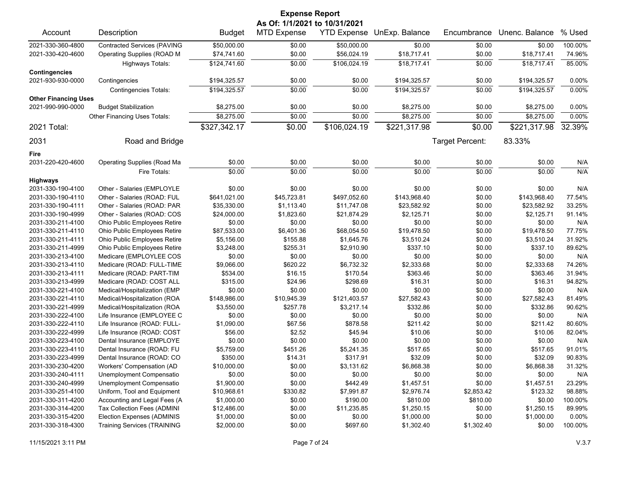| <b>Expense Report</b>       |                                    |               |                               |                    |                |                 |                |         |
|-----------------------------|------------------------------------|---------------|-------------------------------|--------------------|----------------|-----------------|----------------|---------|
|                             |                                    |               | As Of: 1/1/2021 to 10/31/2021 |                    |                |                 |                |         |
| Account                     | Description                        | <b>Budget</b> | <b>MTD Expense</b>            | <b>YTD Expense</b> | UnExp. Balance | Encumbrance     | Unenc. Balance | % Used  |
| 2021-330-360-4800           | <b>Contracted Services (PAVING</b> | \$50,000.00   | \$0.00                        | \$50,000.00        | \$0.00         | \$0.00          | \$0.00         | 100.00% |
| 2021-330-420-4600           | Operating Supplies (ROAD M         | \$74,741.60   | \$0.00                        | \$56,024.19        | \$18,717.41    | \$0.00          | \$18,717.41    | 74.96%  |
|                             | Highways Totals:                   | \$124,741.60  | \$0.00                        | \$106,024.19       | \$18,717.41    | \$0.00          | \$18,717.41    | 85.00%  |
| <b>Contingencies</b>        |                                    |               |                               |                    |                |                 |                |         |
| 2021-930-930-0000           | Contingencies                      | \$194,325.57  | \$0.00                        | \$0.00             | \$194,325.57   | \$0.00          | \$194,325.57   | 0.00%   |
|                             | <b>Contingencies Totals:</b>       | \$194,325.57  | \$0.00                        | \$0.00             | \$194,325.57   | \$0.00          | \$194,325.57   | 0.00%   |
| <b>Other Financing Uses</b> |                                    |               |                               |                    |                |                 |                |         |
| 2021-990-990-0000           | <b>Budget Stabilization</b>        | \$8,275.00    | \$0.00                        | \$0.00             | \$8,275.00     | \$0.00          | \$8,275.00     | 0.00%   |
|                             | Other Financing Uses Totals:       | \$8,275.00    | \$0.00                        | \$0.00             | \$8,275.00     | \$0.00          | \$8,275.00     | 0.00%   |
| 2021 Total:                 |                                    | \$327,342.17  | \$0.00                        | \$106,024.19       | \$221,317.98   | \$0.00          | \$221,317.98   | 32.39%  |
| 2031                        | Road and Bridge                    |               |                               |                    |                | Target Percent: | 83.33%         |         |
| Fire                        |                                    |               |                               |                    |                |                 |                |         |
| 2031-220-420-4600           | <b>Operating Supplies (Road Ma</b> | \$0.00        | \$0.00                        | \$0.00             | \$0.00         | \$0.00          | \$0.00         | N/A     |
|                             | Fire Totals:                       | \$0.00        | \$0.00                        | \$0.00             | \$0.00         | \$0.00          | \$0.00         | N/A     |
| <b>Highways</b>             |                                    |               |                               |                    |                |                 |                |         |
| 2031-330-190-4100           | Other - Salaries (EMPLOYLE         | \$0.00        | \$0.00                        | \$0.00             | \$0.00         | \$0.00          | \$0.00         | N/A     |
| 2031-330-190-4110           | Other - Salaries (ROAD: FUL        | \$641,021.00  | \$45,723.81                   | \$497,052.60       | \$143,968.40   | \$0.00          | \$143,968.40   | 77.54%  |
| 2031-330-190-4111           | Other - Salaries (ROAD: PAR        | \$35,330.00   | \$1,113.40                    | \$11,747.08        | \$23,582.92    | \$0.00          | \$23,582.92    | 33.25%  |
| 2031-330-190-4999           | Other - Salaries (ROAD: COS        | \$24,000.00   | \$1,823.60                    | \$21,874.29        | \$2,125.71     | \$0.00          | \$2,125.71     | 91.14%  |
| 2031-330-211-4100           | Ohio Public Employees Retire       | \$0.00        | \$0.00                        | \$0.00             | \$0.00         | \$0.00          | \$0.00         | N/A     |
| 2031-330-211-4110           | Ohio Public Employees Retire       | \$87,533.00   | \$6,401.36                    | \$68,054.50        | \$19,478.50    | \$0.00          | \$19,478.50    | 77.75%  |
| 2031-330-211-4111           | Ohio Public Employees Retire       | \$5,156.00    | \$155.88                      | \$1,645.76         | \$3,510.24     | \$0.00          | \$3,510.24     | 31.92%  |
| 2031-330-211-4999           | Ohio Public Employees Retire       | \$3,248.00    | \$255.31                      | \$2,910.90         | \$337.10       | \$0.00          | \$337.10       | 89.62%  |
| 2031-330-213-4100           | Medicare (EMPLOYLEE COS            | \$0.00        | \$0.00                        | \$0.00             | \$0.00         | \$0.00          | \$0.00         | N/A     |
| 2031-330-213-4110           | Medicare (ROAD: FULL-TIME          | \$9,066.00    | \$620.22                      | \$6,732.32         | \$2,333.68     | \$0.00          | \$2,333.68     | 74.26%  |
| 2031-330-213-4111           | Medicare (ROAD: PART-TIM           | \$534.00      | \$16.15                       | \$170.54           | \$363.46       | \$0.00          | \$363.46       | 31.94%  |
| 2031-330-213-4999           | Medicare (ROAD: COST ALL           | \$315.00      | \$24.96                       | \$298.69           | \$16.31        | \$0.00          | \$16.31        | 94.82%  |
| 2031-330-221-4100           | Medical/Hospitalization (EMP       | \$0.00        | \$0.00                        | \$0.00             | \$0.00         | \$0.00          | \$0.00         | N/A     |
| 2031-330-221-4110           | Medical/Hospitalization (ROA       | \$148,986.00  | \$10,945.39                   | \$121,403.57       | \$27,582.43    | \$0.00          | \$27,582.43    | 81.49%  |
| 2031-330-221-4999           | Medical/Hospitalization (ROA       | \$3,550.00    | \$257.78                      | \$3,217.14         | \$332.86       | \$0.00          | \$332.86       | 90.62%  |
| 2031-330-222-4100           | Life Insurance (EMPLOYEE C         | \$0.00        | \$0.00                        | \$0.00             | \$0.00         | \$0.00          | \$0.00         | N/A     |
| 2031-330-222-4110           | Life Insurance (ROAD: FULL-        | \$1,090.00    | \$67.56                       | \$878.58           | \$211.42       | \$0.00          | \$211.42       | 80.60%  |
| 2031-330-222-4999           | Life Insurance (ROAD: COST         | \$56.00       | \$2.52                        | \$45.94            | \$10.06        | \$0.00          | \$10.06        | 82.04%  |
| 2031-330-223-4100           | Dental Insurance (EMPLOYE          | \$0.00        | \$0.00                        | \$0.00             | \$0.00         | \$0.00          | \$0.00         | N/A     |
| 2031-330-223-4110           | Dental Insurance (ROAD: FU         | \$5,759.00    | \$451.26                      | \$5,241.35         | \$517.65       | \$0.00          | \$517.65       | 91.01%  |
| 2031-330-223-4999           | Dental Insurance (ROAD: CO         | \$350.00      | \$14.31                       | \$317.91           | \$32.09        | \$0.00          | \$32.09        | 90.83%  |
| 2031-330-230-4200           | Workers' Compensation (AD          | \$10,000.00   | \$0.00                        | \$3,131.62         | \$6,868.38     | \$0.00          | \$6,868.38     | 31.32%  |
| 2031-330-240-4111           | Unemployment Compensatio           | \$0.00        | \$0.00                        | \$0.00             | \$0.00         | \$0.00          | \$0.00         | N/A     |
| 2031-330-240-4999           | Unemployment Compensatio           | \$1,900.00    | \$0.00                        | \$442.49           | \$1,457.51     | \$0.00          | \$1,457.51     | 23.29%  |
| 2031-330-251-4100           | Uniform, Tool and Equipment        | \$10,968.61   | \$330.82                      | \$7,991.87         | \$2,976.74     | \$2,853.42      | \$123.32       | 98.88%  |
| 2031-330-311-4200           | Accounting and Legal Fees (A       | \$1,000.00    | \$0.00                        | \$190.00           | \$810.00       | \$810.00        | \$0.00         | 100.00% |
| 2031-330-314-4200           | Tax Collection Fees (ADMINI        | \$12,486.00   | \$0.00                        | \$11,235.85        | \$1,250.15     | \$0.00          | \$1,250.15     | 89.99%  |
| 2031-330-315-4200           | Election Expenses (ADMINIS         | \$1,000.00    | \$0.00                        | \$0.00             | \$1,000.00     | \$0.00          | \$1,000.00     | 0.00%   |
| 2031-330-318-4300           | <b>Training Services (TRAINING</b> | \$2,000.00    | \$0.00                        | \$697.60           | \$1,302.40     | \$1,302.40      | \$0.00         | 100.00% |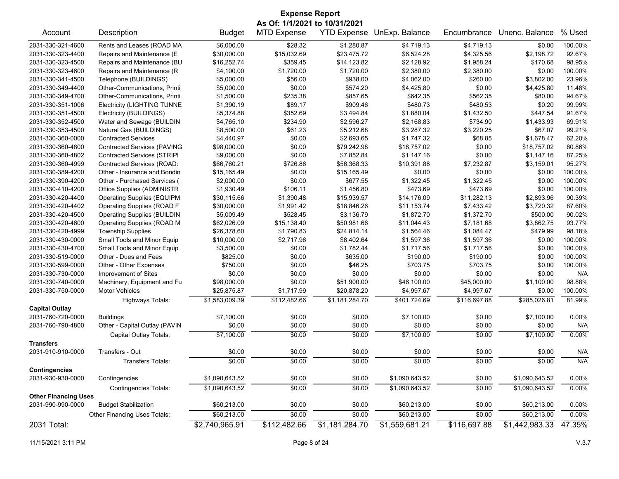| <b>Expense Report</b>       |                                    |                |                    |                    |                |              |                |          |  |
|-----------------------------|------------------------------------|----------------|--------------------|--------------------|----------------|--------------|----------------|----------|--|
|                             | As Of: 1/1/2021 to 10/31/2021      |                |                    |                    |                |              |                |          |  |
| Account                     | Description                        | <b>Budget</b>  | <b>MTD Expense</b> | <b>YTD Expense</b> | UnExp. Balance | Encumbrance  | Unenc. Balance | % Used   |  |
| 2031-330-321-4600           | Rents and Leases (ROAD MA          | \$6,000.00     | \$28.32            | \$1,280.87         | \$4,719.13     | \$4,719.13   | \$0.00         | 100.00%  |  |
| 2031-330-323-4400           | Repairs and Maintenance (E         | \$30,000.00    | \$15,032.69        | \$23,475.72        | \$6,524.28     | \$4,325.56   | \$2,198.72     | 92.67%   |  |
| 2031-330-323-4500           | Repairs and Maintenance (BU        | \$16,252.74    | \$359.45           | \$14,123.82        | \$2,128.92     | \$1,958.24   | \$170.68       | 98.95%   |  |
| 2031-330-323-4600           | Repairs and Maintenance (R         | \$4,100.00     | \$1,720.00         | \$1,720.00         | \$2,380.00     | \$2,380.00   | \$0.00         | 100.00%  |  |
| 2031-330-341-4500           | Telephone (BUILDINGS)              | \$5,000.00     | \$56.00            | \$938.00           | \$4,062.00     | \$260.00     | \$3,802.00     | 23.96%   |  |
| 2031-330-349-4400           | Other-Communications, Printi       | \$5,000.00     | \$0.00             | \$574.20           | \$4,425.80     | \$0.00       | \$4,425.80     | 11.48%   |  |
| 2031-330-349-4700           | Other-Communications, Printi       | \$1,500.00     | \$235.38           | \$857.65           | \$642.35       | \$562.35     | \$80.00        | 94.67%   |  |
| 2031-330-351-1006           | <b>Electricity (LIGHTING TUNNE</b> | \$1,390.19     | \$89.17            | \$909.46           | \$480.73       | \$480.53     | \$0.20         | 99.99%   |  |
| 2031-330-351-4500           | Electricity (BUILDINGS)            | \$5,374.88     | \$352.69           | \$3,494.84         | \$1,880.04     | \$1,432.50   | \$447.54       | 91.67%   |  |
| 2031-330-352-4500           | Water and Sewage (BUILDIN          | \$4,765.10     | \$234.90           | \$2,596.27         | \$2,168.83     | \$734.90     | \$1,433.93     | 69.91%   |  |
| 2031-330-353-4500           | Natural Gas (BUILDINGS)            | \$8,500.00     | \$61.23            | \$5,212.68         | \$3,287.32     | \$3,220.25   | \$67.07        | 99.21%   |  |
| 2031-330-360-0000           | <b>Contracted Services</b>         | \$4,440.97     | \$0.00             | \$2,693.65         | \$1,747.32     | \$68.85      | \$1,678.47     | 62.20%   |  |
| 2031-330-360-4800           | <b>Contracted Services (PAVING</b> | \$98,000.00    | \$0.00             | \$79,242.98        | \$18,757.02    | \$0.00       | \$18,757.02    | 80.86%   |  |
| 2031-330-360-4802           | <b>Contracted Services (STRIPI</b> | \$9,000.00     | \$0.00             | \$7,852.84         | \$1,147.16     | \$0.00       | \$1,147.16     | 87.25%   |  |
| 2031-330-360-4999           | Contracted Services (ROAD:         | \$66,760.21    | \$726.86           | \$56,368.33        | \$10,391.88    | \$7,232.87   | \$3,159.01     | 95.27%   |  |
| 2031-330-389-4200           | Other - Insurance and Bondin       | \$15,165.49    | \$0.00             | \$15,165.49        | \$0.00         | \$0.00       | \$0.00         | 100.00%  |  |
| 2031-330-390-4200           | Other - Purchased Services (       | \$2,000.00     | \$0.00             | \$677.55           | \$1,322.45     | \$1,322.45   | \$0.00         | 100.00%  |  |
| 2031-330-410-4200           | Office Supplies (ADMINISTR         | \$1,930.49     | \$106.11           | \$1,456.80         | \$473.69       | \$473.69     | \$0.00         | 100.00%  |  |
| 2031-330-420-4400           | <b>Operating Supplies (EQUIPM</b>  | \$30,115.66    | \$1,390.48         | \$15,939.57        | \$14,176.09    | \$11,282.13  | \$2,893.96     | 90.39%   |  |
| 2031-330-420-4402           | <b>Operating Supplies (ROAD F</b>  | \$30,000.00    | \$1,991.42         | \$18,846.26        | \$11,153.74    | \$7,433.42   | \$3,720.32     | 87.60%   |  |
| 2031-330-420-4500           | <b>Operating Supplies (BUILDIN</b> | \$5,009.49     | \$528.45           | \$3,136.79         | \$1,872.70     | \$1,372.70   | \$500.00       | 90.02%   |  |
| 2031-330-420-4600           | Operating Supplies (ROAD M         | \$62,026.09    | \$15,138.40        | \$50,981.66        | \$11,044.43    | \$7,181.68   | \$3,862.75     | 93.77%   |  |
| 2031-330-420-4999           | <b>Township Supplies</b>           | \$26,378.60    | \$1,790.83         | \$24,814.14        | \$1,564.46     | \$1,084.47   | \$479.99       | 98.18%   |  |
| 2031-330-430-0000           | Small Tools and Minor Equip        | \$10,000.00    | \$2,717.96         | \$8,402.64         | \$1,597.36     | \$1,597.36   | \$0.00         | 100.00%  |  |
| 2031-330-430-4700           | Small Tools and Minor Equip        | \$3,500.00     | \$0.00             | \$1,782.44         | \$1,717.56     | \$1,717.56   | \$0.00         | 100.00%  |  |
| 2031-330-519-0000           | Other - Dues and Fees              | \$825.00       | \$0.00             | \$635.00           | \$190.00       | \$190.00     | \$0.00         | 100.00%  |  |
| 2031-330-599-0000           | Other - Other Expenses             | \$750.00       | \$0.00             | \$46.25            | \$703.75       | \$703.75     | \$0.00         | 100.00%  |  |
| 2031-330-730-0000           | Improvement of Sites               | \$0.00         | \$0.00             | \$0.00             | \$0.00         | \$0.00       | \$0.00         | N/A      |  |
| 2031-330-740-0000           | Machinery, Equipment and Fu        | \$98,000.00    | \$0.00             | \$51,900.00        | \$46,100.00    | \$45,000.00  | \$1,100.00     | 98.88%   |  |
| 2031-330-750-0000           | Motor Vehicles                     | \$25,875.87    | \$1,717.99         | \$20,878.20        | \$4,997.67     | \$4,997.67   | \$0.00         | 100.00%  |  |
|                             | <b>Highways Totals:</b>            | \$1,583,009.39 | \$112,482.66       | \$1,181,284.70     | \$401,724.69   | \$116,697.88 | \$285,026.81   | 81.99%   |  |
| <b>Capital Outlay</b>       |                                    |                |                    |                    |                |              |                |          |  |
| 2031-760-720-0000           | <b>Buildings</b>                   | \$7,100.00     | \$0.00             | \$0.00             | \$7,100.00     | \$0.00       | \$7,100.00     | 0.00%    |  |
| 2031-760-790-4800           | Other - Capital Outlay (PAVIN      | \$0.00         | \$0.00             | \$0.00             | \$0.00         | \$0.00       | \$0.00         | N/A      |  |
|                             | Capital Outlay Totals:             | \$7,100.00     | \$0.00             | \$0.00             | \$7,100.00     | \$0.00       | \$7,100.00     | 0.00%    |  |
| <b>Transfers</b>            |                                    |                |                    |                    |                |              |                |          |  |
| 2031-910-910-0000           | Transfers - Out                    | \$0.00         | \$0.00             | \$0.00             | \$0.00         | \$0.00       | \$0.00         | N/A      |  |
|                             | Transfers Totals:                  | \$0.00         | \$0.00             | \$0.00             | \$0.00         | \$0.00       | \$0.00         | N/A      |  |
| <b>Contingencies</b>        |                                    |                |                    |                    |                |              |                |          |  |
| 2031-930-930-0000           | Contingencies                      | \$1,090,643.52 | \$0.00             | \$0.00             | \$1,090,643.52 | \$0.00       | \$1,090,643.52 | $0.00\%$ |  |
|                             | <b>Contingencies Totals:</b>       | \$1,090,643.52 | \$0.00             | \$0.00             | \$1,090,643.52 | \$0.00       | \$1,090,643.52 | 0.00%    |  |
| <b>Other Financing Uses</b> |                                    |                |                    |                    |                |              |                |          |  |
| 2031-990-990-0000           | <b>Budget Stabilization</b>        | \$60,213.00    | \$0.00             | \$0.00             | \$60,213.00    | \$0.00       | \$60,213.00    | 0.00%    |  |
|                             | Other Financing Uses Totals:       | \$60,213.00    | \$0.00             | \$0.00             | \$60,213.00    | \$0.00       | \$60,213.00    | 0.00%    |  |
| 2031 Total:                 |                                    | \$2,740,965.91 | \$112,482.66       | \$1,181,284.70     | \$1,559,681.21 | \$116,697.88 | \$1,442,983.33 | 47.35%   |  |
|                             |                                    |                |                    |                    |                |              |                |          |  |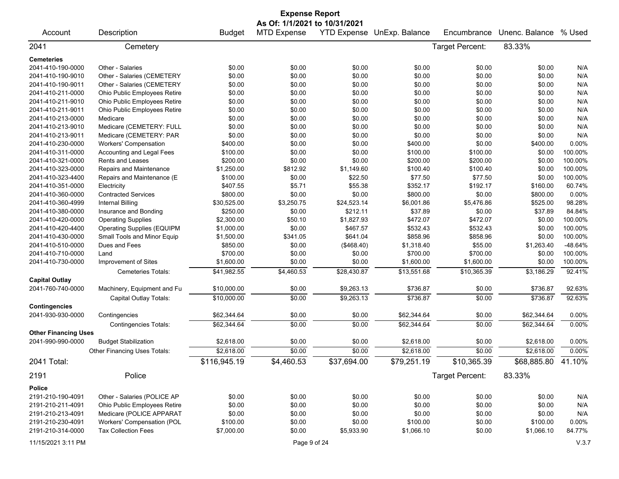|                             |                                   |               | <b>Expense Report</b>         |             |                            |                 |                    |         |
|-----------------------------|-----------------------------------|---------------|-------------------------------|-------------|----------------------------|-----------------|--------------------|---------|
|                             |                                   |               | As Of: 1/1/2021 to 10/31/2021 |             |                            |                 |                    |         |
| Account                     | Description                       | <b>Budget</b> | <b>MTD Expense</b>            |             | YTD Expense UnExp. Balance | Encumbrance     | Unenc. Balance     | % Used  |
| 2041                        | Cemetery                          |               |                               |             |                            | Target Percent: | 83.33%             |         |
| <b>Cemeteries</b>           |                                   |               |                               |             |                            |                 |                    |         |
| 2041-410-190-0000           | Other - Salaries                  | \$0.00        | \$0.00                        | \$0.00      | \$0.00                     | \$0.00          | \$0.00             | N/A     |
| 2041-410-190-9010           | Other - Salaries (CEMETERY        | \$0.00        | \$0.00                        | \$0.00      | \$0.00                     | \$0.00          | \$0.00             | N/A     |
| 2041-410-190-9011           | Other - Salaries (CEMETERY        | \$0.00        | \$0.00                        | \$0.00      | \$0.00                     | \$0.00          | \$0.00             | N/A     |
| 2041-410-211-0000           | Ohio Public Employees Retire      | \$0.00        | \$0.00                        | \$0.00      | \$0.00                     | \$0.00          | \$0.00             | N/A     |
| 2041-410-211-9010           | Ohio Public Employees Retire      | \$0.00        | \$0.00                        | \$0.00      | \$0.00                     | \$0.00          | \$0.00             | N/A     |
| 2041-410-211-9011           | Ohio Public Employees Retire      | \$0.00        | \$0.00                        | \$0.00      | \$0.00                     | \$0.00          | \$0.00             | N/A     |
| 2041-410-213-0000           | Medicare                          | \$0.00        | \$0.00                        | \$0.00      | \$0.00                     | \$0.00          | \$0.00             | N/A     |
| 2041-410-213-9010           | Medicare (CEMETERY: FULL          | \$0.00        | \$0.00                        | \$0.00      | \$0.00                     | \$0.00          | \$0.00             | N/A     |
| 2041-410-213-9011           | Medicare (CEMETERY: PAR           | \$0.00        | \$0.00                        | \$0.00      | \$0.00                     | \$0.00          | \$0.00             | N/A     |
| 2041-410-230-0000           | <b>Workers' Compensation</b>      | \$400.00      | \$0.00                        | \$0.00      | \$400.00                   | \$0.00          | \$400.00           | 0.00%   |
| 2041-410-311-0000           | Accounting and Legal Fees         | \$100.00      | \$0.00                        | \$0.00      | \$100.00                   | \$100.00        | \$0.00             | 100.00% |
| 2041-410-321-0000           | Rents and Leases                  | \$200.00      | \$0.00                        | \$0.00      | \$200.00                   | \$200.00        | \$0.00             | 100.00% |
| 2041-410-323-0000           | Repairs and Maintenance           | \$1,250.00    | \$812.92                      | \$1,149.60  | \$100.40                   | \$100.40        | \$0.00             | 100.00% |
| 2041-410-323-4400           | Repairs and Maintenance (E        | \$100.00      | \$0.00                        | \$22.50     | \$77.50                    | \$77.50         | \$0.00             | 100.00% |
| 2041-410-351-0000           | Electricity                       | \$407.55      | \$5.71                        | \$55.38     | \$352.17                   | \$192.17        | \$160.00           | 60.74%  |
| 2041-410-360-0000           | <b>Contracted Services</b>        | \$800.00      | \$0.00                        | \$0.00      | \$800.00                   | \$0.00          | \$800.00           | 0.00%   |
| 2041-410-360-4999           | <b>Internal Billing</b>           | \$30,525.00   | \$3,250.75                    | \$24,523.14 | \$6,001.86                 | \$5,476.86      | \$525.00           | 98.28%  |
| 2041-410-380-0000           | Insurance and Bonding             | \$250.00      | \$0.00                        | \$212.11    | \$37.89                    | \$0.00          | \$37.89            | 84.84%  |
| 2041-410-420-0000           | <b>Operating Supplies</b>         | \$2,300.00    | \$50.10                       | \$1,827.93  | \$472.07                   | \$472.07        | \$0.00             | 100.00% |
| 2041-410-420-4400           | <b>Operating Supplies (EQUIPM</b> | \$1,000.00    | \$0.00                        | \$467.57    | \$532.43                   | \$532.43        | \$0.00             | 100.00% |
| 2041-410-430-0000           | Small Tools and Minor Equip       | \$1,500.00    | \$341.05                      | \$641.04    | \$858.96                   | \$858.96        | \$0.00             | 100.00% |
| 2041-410-510-0000           | Dues and Fees                     | \$850.00      | \$0.00                        | (\$468.40)  | \$1,318.40                 | \$55.00         | \$1,263.40         | -48.64% |
| 2041-410-710-0000           | Land                              | \$700.00      | \$0.00                        | \$0.00      | \$700.00                   | \$700.00        | \$0.00             | 100.00% |
| 2041-410-730-0000           | Improvement of Sites              | \$1,600.00    | \$0.00                        | \$0.00      | \$1,600.00                 | \$1,600.00      | \$0.00             | 100.00% |
|                             | Cemeteries Totals:                | \$41,982.55   | \$4,460.53                    | \$28,430.87 | \$13,551.68                | \$10,365.39     | \$3,186.29         | 92.41%  |
| <b>Capital Outlay</b>       |                                   |               |                               |             |                            |                 |                    |         |
| 2041-760-740-0000           | Machinery, Equipment and Fu       | \$10,000.00   | \$0.00                        | \$9,263.13  | \$736.87                   | \$0.00          | \$736.87           | 92.63%  |
|                             | Capital Outlay Totals:            | \$10,000.00   | \$0.00                        | \$9,263.13  | \$736.87                   | \$0.00          | \$736.87           | 92.63%  |
| <b>Contingencies</b>        |                                   |               |                               |             |                            |                 |                    |         |
| 2041-930-930-0000           | Contingencies                     | \$62,344.64   | \$0.00                        | \$0.00      | \$62,344.64                | \$0.00          | \$62,344.64        | 0.00%   |
|                             | <b>Contingencies Totals:</b>      | \$62,344.64   | \$0.00                        | \$0.00      | \$62,344.64                | \$0.00          | \$62,344.64        | 0.00%   |
| <b>Other Financing Uses</b> |                                   |               |                               |             |                            |                 |                    |         |
| 2041-990-990-0000           | <b>Budget Stabilization</b>       | \$2,618.00    | \$0.00                        | \$0.00      | \$2,618.00                 | \$0.00          | \$2,618.00         | 0.00%   |
|                             | Other Financing Uses Totals:      | \$2,618.00    | \$0.00                        | \$0.00      | \$2,618.00                 | \$0.00          | \$2,618.00         | 0.00%   |
| 2041 Total:                 |                                   | \$116,945.19  | \$4,460.53                    | \$37,694.00 | \$79,251.19                | \$10,365.39     | \$68,885.80 41.10% |         |
| 2191                        | Police                            |               |                               |             |                            | Target Percent: | 83.33%             |         |
| <b>Police</b>               |                                   |               |                               |             |                            |                 |                    |         |
| 2191-210-190-4091           | Other - Salaries (POLICE AP       | \$0.00        | \$0.00                        | \$0.00      | \$0.00                     | \$0.00          | \$0.00             | N/A     |
| 2191-210-211-4091           | Ohio Public Employees Retire      | \$0.00        | \$0.00                        | \$0.00      | \$0.00                     | \$0.00          | \$0.00             | N/A     |
| 2191-210-213-4091           | Medicare (POLICE APPARAT          | \$0.00        | \$0.00                        | \$0.00      | \$0.00                     | \$0.00          | \$0.00             | N/A     |
| 2191-210-230-4091           | Workers' Compensation (POL        | \$100.00      | \$0.00                        | \$0.00      | \$100.00                   | \$0.00          | \$100.00           | 0.00%   |
| 2191-210-314-0000           | <b>Tax Collection Fees</b>        | \$7,000.00    | \$0.00                        | \$5,933.90  | \$1,066.10                 | \$0.00          | \$1,066.10         | 84.77%  |
|                             |                                   |               |                               |             |                            |                 |                    |         |
| 11/15/2021 3:11 PM          |                                   |               | Page 9 of 24                  |             |                            |                 |                    | V.3.7   |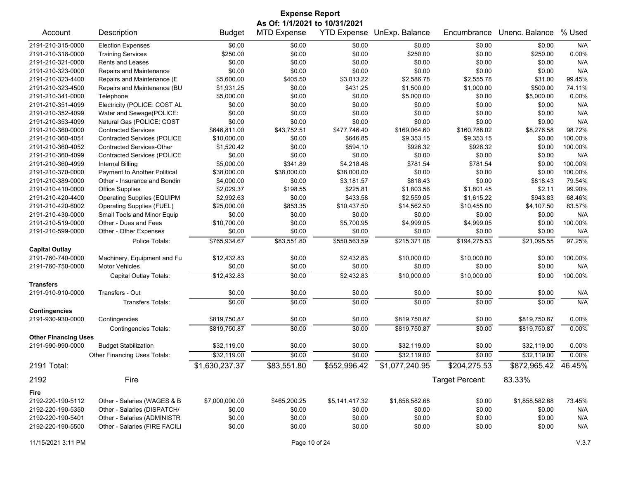| <b>Expense Report</b>       |                                     |                |                                                     |                        |                |                 |                |         |  |
|-----------------------------|-------------------------------------|----------------|-----------------------------------------------------|------------------------|----------------|-----------------|----------------|---------|--|
| Account                     | Description                         | <b>Budget</b>  | As Of: 1/1/2021 to 10/31/2021<br><b>MTD Expense</b> | <b>YTD Expense</b>     | UnExp. Balance | Encumbrance     | Unenc. Balance | % Used  |  |
|                             |                                     |                |                                                     |                        |                |                 |                |         |  |
| 2191-210-315-0000           | <b>Election Expenses</b>            | \$0.00         | \$0.00                                              | \$0.00                 | \$0.00         | \$0.00          | \$0.00         | N/A     |  |
| 2191-210-318-0000           | <b>Training Services</b>            | \$250.00       | \$0.00                                              | \$0.00                 | \$250.00       | \$0.00          | \$250.00       | 0.00%   |  |
| 2191-210-321-0000           | <b>Rents and Leases</b>             | \$0.00         | \$0.00                                              | \$0.00                 | \$0.00         | \$0.00          | \$0.00         | N/A     |  |
| 2191-210-323-0000           | Repairs and Maintenance             | \$0.00         | \$0.00                                              | \$0.00                 | \$0.00         | \$0.00          | \$0.00         | N/A     |  |
| 2191-210-323-4400           | Repairs and Maintenance (E          | \$5,600.00     | \$405.50                                            | \$3,013.22             | \$2,586.78     | \$2,555.78      | \$31.00        | 99.45%  |  |
| 2191-210-323-4500           | Repairs and Maintenance (BU         | \$1,931.25     | \$0.00                                              | \$431.25               | \$1,500.00     | \$1,000.00      | \$500.00       | 74.11%  |  |
| 2191-210-341-0000           | Telephone                           | \$5,000.00     | \$0.00                                              | \$0.00                 | \$5,000.00     | \$0.00          | \$5,000.00     | 0.00%   |  |
| 2191-210-351-4099           | Electricity (POLICE: COST AL        | \$0.00         | \$0.00                                              | \$0.00                 | \$0.00         | \$0.00          | \$0.00         | N/A     |  |
| 2191-210-352-4099           | Water and Sewage(POLICE:            | \$0.00         | \$0.00                                              | \$0.00                 | \$0.00         | \$0.00          | \$0.00         | N/A     |  |
| 2191-210-353-4099           | Natural Gas (POLICE: COST           | \$0.00         | \$0.00                                              | \$0.00                 | \$0.00         | \$0.00          | \$0.00         | N/A     |  |
| 2191-210-360-0000           | <b>Contracted Services</b>          | \$646,811.00   | \$43,752.51                                         | \$477,746.40           | \$169,064.60   | \$160,788.02    | \$8,276.58     | 98.72%  |  |
| 2191-210-360-4051           | <b>Contracted Services (POLICE</b>  | \$10,000.00    | \$0.00                                              | \$646.85               | \$9,353.15     | \$9,353.15      | \$0.00         | 100.00% |  |
| 2191-210-360-4052           | <b>Contracted Services-Other</b>    | \$1,520.42     | \$0.00                                              | \$594.10               | \$926.32       | \$926.32        | \$0.00         | 100.00% |  |
| 2191-210-360-4099           | <b>Contracted Services (POLICE</b>  | \$0.00         | \$0.00                                              | \$0.00                 | \$0.00         | \$0.00          | \$0.00         | N/A     |  |
| 2191-210-360-4999           | <b>Internal Billing</b>             | \$5,000.00     | \$341.89                                            | \$4,218.46             | \$781.54       | \$781.54        | \$0.00         | 100.00% |  |
| 2191-210-370-0000           | Payment to Another Political        | \$38,000.00    | \$38,000.00                                         | \$38,000.00            | \$0.00         | \$0.00          | \$0.00         | 100.00% |  |
| 2191-210-389-0000           | Other - Insurance and Bondin        | \$4,000.00     | \$0.00                                              | \$3,181.57             | \$818.43       | \$0.00          | \$818.43       | 79.54%  |  |
| 2191-210-410-0000           | <b>Office Supplies</b>              | \$2,029.37     | \$198.55                                            | \$225.81               | \$1,803.56     | \$1,801.45      | \$2.11         | 99.90%  |  |
| 2191-210-420-4400           | <b>Operating Supplies (EQUIPM</b>   | \$2,992.63     | \$0.00                                              | \$433.58               | \$2,559.05     | \$1,615.22      | \$943.83       | 68.46%  |  |
| 2191-210-420-6002           | <b>Operating Supplies (FUEL)</b>    | \$25,000.00    | \$853.35                                            | \$10,437.50            | \$14,562.50    | \$10,455.00     | \$4,107.50     | 83.57%  |  |
| 2191-210-430-0000           | Small Tools and Minor Equip         | \$0.00         | \$0.00                                              | \$0.00                 | \$0.00         | \$0.00          | \$0.00         | N/A     |  |
| 2191-210-519-0000           | Other - Dues and Fees               | \$10,700.00    | \$0.00                                              | \$5,700.95             | \$4,999.05     | \$4,999.05      | \$0.00         | 100.00% |  |
| 2191-210-599-0000           | Other - Other Expenses              | \$0.00         | \$0.00                                              | \$0.00                 | \$0.00         | \$0.00          | \$0.00         | N/A     |  |
|                             | Police Totals:                      | \$765,934.67   | \$83,551.80                                         | \$550,563.59           | \$215,371.08   | \$194,275.53    | \$21,095.55    | 97.25%  |  |
| <b>Capital Outlay</b>       |                                     |                |                                                     |                        |                |                 |                |         |  |
| 2191-760-740-0000           | Machinery, Equipment and Fu         | \$12,432.83    | \$0.00                                              | \$2,432.83             | \$10,000.00    | \$10,000.00     | \$0.00         | 100.00% |  |
| 2191-760-750-0000           | <b>Motor Vehicles</b>               | \$0.00         | \$0.00                                              | \$0.00                 | \$0.00         | \$0.00          | \$0.00         | N/A     |  |
|                             | Capital Outlay Totals:              | \$12,432.83    | \$0.00                                              | $\overline{$2,432.83}$ | \$10,000.00    | \$10,000.00     | \$0.00         | 100.00% |  |
| <b>Transfers</b>            |                                     |                |                                                     |                        |                |                 |                |         |  |
| 2191-910-910-0000           | Transfers - Out                     | \$0.00         | \$0.00                                              | \$0.00                 | \$0.00         | \$0.00          | \$0.00         | N/A     |  |
|                             | <b>Transfers Totals:</b>            | \$0.00         | \$0.00                                              | \$0.00                 | \$0.00         | \$0.00          | \$0.00         | N/A     |  |
| <b>Contingencies</b>        |                                     |                |                                                     |                        |                |                 |                |         |  |
| 2191-930-930-0000           | Contingencies                       | \$819,750.87   | \$0.00                                              | \$0.00                 | \$819,750.87   | \$0.00          | \$819,750.87   | 0.00%   |  |
|                             | <b>Contingencies Totals:</b>        | \$819,750.87   | \$0.00                                              | \$0.00                 | \$819,750.87   | \$0.00          | \$819,750.87   | 0.00%   |  |
| <b>Other Financing Uses</b> |                                     |                |                                                     |                        |                |                 |                |         |  |
| 2191-990-990-0000           | <b>Budget Stabilization</b>         | \$32,119.00    | \$0.00                                              | \$0.00                 | \$32,119.00    | \$0.00          | \$32,119.00    | 0.00%   |  |
|                             | <b>Other Financing Uses Totals:</b> | \$32.119.00    | \$0.00                                              | \$0.00                 | \$32,119.00    | \$0.00          | \$32,119.00    | 0.00%   |  |
| 2191 Total:                 |                                     | \$1,630,237.37 | \$83,551.80                                         | \$552,996.42           | \$1,077,240.95 | \$204,275.53    | \$872,965.42   | 46.45%  |  |
|                             |                                     |                |                                                     |                        |                |                 |                |         |  |
| 2192                        | Fire                                |                |                                                     |                        |                | Target Percent: | 83.33%         |         |  |
| Fire                        |                                     |                |                                                     |                        |                |                 |                |         |  |
| 2192-220-190-5112           | Other - Salaries (WAGES & B         | \$7,000,000.00 | \$465,200.25                                        | \$5,141,417.32         | \$1,858,582.68 | \$0.00          | \$1,858,582.68 | 73.45%  |  |
| 2192-220-190-5350           | Other - Salaries (DISPATCH/         | \$0.00         | \$0.00                                              | \$0.00                 | \$0.00         | \$0.00          | \$0.00         | N/A     |  |
| 2192-220-190-5401           | Other - Salaries (ADMINISTR         | \$0.00         | \$0.00                                              | \$0.00                 | \$0.00         | \$0.00          | \$0.00         | N/A     |  |
| 2192-220-190-5500           | Other - Salaries (FIRE FACILI       | \$0.00         | \$0.00                                              | \$0.00                 | \$0.00         | \$0.00          | \$0.00         | N/A     |  |
|                             |                                     |                |                                                     |                        |                |                 |                |         |  |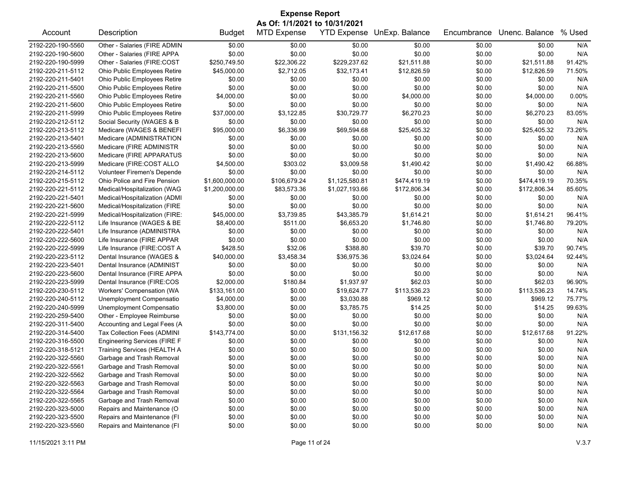| <b>Expense Report</b> |                                     |                |                               |                    |                |             |                |        |  |
|-----------------------|-------------------------------------|----------------|-------------------------------|--------------------|----------------|-------------|----------------|--------|--|
|                       |                                     |                | As Of: 1/1/2021 to 10/31/2021 |                    |                |             |                |        |  |
| Account               | Description                         | <b>Budget</b>  | <b>MTD Expense</b>            | <b>YTD Expense</b> | UnExp. Balance | Encumbrance | Unenc. Balance | % Used |  |
| 2192-220-190-5560     | Other - Salaries (FIRE ADMIN        | \$0.00         | \$0.00                        | \$0.00             | \$0.00         | \$0.00      | \$0.00         | N/A    |  |
| 2192-220-190-5600     | Other - Salaries (FIRE APPA         | \$0.00         | \$0.00                        | \$0.00             | \$0.00         | \$0.00      | \$0.00         | N/A    |  |
| 2192-220-190-5999     | Other - Salaries (FIRE:COST         | \$250,749.50   | \$22,306.22                   | \$229,237.62       | \$21,511.88    | \$0.00      | \$21,511.88    | 91.42% |  |
| 2192-220-211-5112     | Ohio Public Employees Retire        | \$45,000.00    | \$2,712.05                    | \$32,173.41        | \$12,826.59    | \$0.00      | \$12,826.59    | 71.50% |  |
| 2192-220-211-5401     | Ohio Public Employees Retire        | \$0.00         | \$0.00                        | \$0.00             | \$0.00         | \$0.00      | \$0.00         | N/A    |  |
| 2192-220-211-5500     | Ohio Public Employees Retire        | \$0.00         | \$0.00                        | \$0.00             | \$0.00         | \$0.00      | \$0.00         | N/A    |  |
| 2192-220-211-5560     | Ohio Public Employees Retire        | \$4,000.00     | \$0.00                        | \$0.00             | \$4,000.00     | \$0.00      | \$4,000.00     | 0.00%  |  |
| 2192-220-211-5600     | Ohio Public Employees Retire        | \$0.00         | \$0.00                        | \$0.00             | \$0.00         | \$0.00      | \$0.00         | N/A    |  |
| 2192-220-211-5999     | Ohio Public Employees Retire        | \$37,000.00    | \$3,122.85                    | \$30,729.77        | \$6,270.23     | \$0.00      | \$6,270.23     | 83.05% |  |
| 2192-220-212-5112     | Social Security (WAGES & B          | \$0.00         | \$0.00                        | \$0.00             | \$0.00         | \$0.00      | \$0.00         | N/A    |  |
| 2192-220-213-5112     | Medicare (WAGES & BENEFI            | \$95,000.00    | \$6,336.99                    | \$69,594.68        | \$25,405.32    | \$0.00      | \$25,405.32    | 73.26% |  |
| 2192-220-213-5401     | Medicare (ADMINISTRATION            | \$0.00         | \$0.00                        | \$0.00             | \$0.00         | \$0.00      | \$0.00         | N/A    |  |
| 2192-220-213-5560     | Medicare (FIRE ADMINISTR            | \$0.00         | \$0.00                        | \$0.00             | \$0.00         | \$0.00      | \$0.00         | N/A    |  |
| 2192-220-213-5600     | Medicare (FIRE APPARATUS            | \$0.00         | \$0.00                        | \$0.00             | \$0.00         | \$0.00      | \$0.00         | N/A    |  |
| 2192-220-213-5999     | Medicare (FIRE:COST ALLO            | \$4,500.00     | \$303.02                      | \$3,009.58         | \$1,490.42     | \$0.00      | \$1,490.42     | 66.88% |  |
| 2192-220-214-5112     | Volunteer Firemen's Depende         | \$0.00         | \$0.00                        | \$0.00             | \$0.00         | \$0.00      | \$0.00         | N/A    |  |
| 2192-220-215-5112     | Ohio Police and Fire Pension        | \$1,600,000.00 | \$106,679.24                  | \$1,125,580.81     | \$474,419.19   | \$0.00      | \$474,419.19   | 70.35% |  |
| 2192-220-221-5112     | Medical/Hospitalization (WAG        | \$1,200,000.00 | \$83,573.36                   | \$1,027,193.66     | \$172,806.34   | \$0.00      | \$172,806.34   | 85.60% |  |
| 2192-220-221-5401     | Medical/Hospitalization (ADMI       | \$0.00         | \$0.00                        | \$0.00             | \$0.00         | \$0.00      | \$0.00         | N/A    |  |
| 2192-220-221-5600     | Medical/Hospitalization (FIRE       | \$0.00         | \$0.00                        | \$0.00             | \$0.00         | \$0.00      | \$0.00         | N/A    |  |
| 2192-220-221-5999     | Medical/Hospitalization (FIRE:      | \$45,000.00    | \$3,739.85                    | \$43,385.79        | \$1,614.21     | \$0.00      | \$1,614.21     | 96.41% |  |
| 2192-220-222-5112     | Life Insurance (WAGES & BE          | \$8,400.00     | \$511.00                      | \$6,653.20         | \$1,746.80     | \$0.00      | \$1,746.80     | 79.20% |  |
| 2192-220-222-5401     | Life Insurance (ADMINISTRA          | \$0.00         | \$0.00                        | \$0.00             | \$0.00         | \$0.00      | \$0.00         | N/A    |  |
| 2192-220-222-5600     | Life Insurance (FIRE APPAR          | \$0.00         | \$0.00                        | \$0.00             | \$0.00         | \$0.00      | \$0.00         | N/A    |  |
| 2192-220-222-5999     | Life Insurance (FIRE:COST A         | \$428.50       | \$32.06                       | \$388.80           | \$39.70        | \$0.00      | \$39.70        | 90.74% |  |
| 2192-220-223-5112     | Dental Insurance (WAGES &           | \$40,000.00    | \$3,458.34                    | \$36,975.36        | \$3,024.64     | \$0.00      | \$3,024.64     | 92.44% |  |
| 2192-220-223-5401     | Dental Insurance (ADMINIST          | \$0.00         | \$0.00                        | \$0.00             | \$0.00         | \$0.00      | \$0.00         | N/A    |  |
| 2192-220-223-5600     | Dental Insurance (FIRE APPA         | \$0.00         | \$0.00                        | \$0.00             | \$0.00         | \$0.00      | \$0.00         | N/A    |  |
| 2192-220-223-5999     | Dental Insurance (FIRE:COS          | \$2,000.00     | \$180.84                      | \$1,937.97         | \$62.03        | \$0.00      | \$62.03        | 96.90% |  |
| 2192-220-230-5112     | Workers' Compensation (WA           | \$133,161.00   | \$0.00                        | \$19,624.77        | \$113,536.23   | \$0.00      | \$113,536.23   | 14.74% |  |
| 2192-220-240-5112     | Unemployment Compensatio            | \$4,000.00     | \$0.00                        | \$3,030.88         | \$969.12       | \$0.00      | \$969.12       | 75.77% |  |
| 2192-220-240-5999     | Unemployment Compensatio            | \$3,800.00     | \$0.00                        | \$3,785.75         | \$14.25        | \$0.00      | \$14.25        | 99.63% |  |
| 2192-220-259-5400     | Other - Employee Reimburse          | \$0.00         | \$0.00                        | \$0.00             | \$0.00         | \$0.00      | \$0.00         | N/A    |  |
| 2192-220-311-5400     | Accounting and Legal Fees (A        | \$0.00         | \$0.00                        | \$0.00             | \$0.00         | \$0.00      | \$0.00         | N/A    |  |
| 2192-220-314-5400     | Tax Collection Fees (ADMINI         | \$143,774.00   | \$0.00                        | \$131,156.32       | \$12,617.68    | \$0.00      | \$12,617.68    | 91.22% |  |
| 2192-220-316-5500     | <b>Engineering Services (FIRE F</b> | \$0.00         | \$0.00                        | \$0.00             | \$0.00         | \$0.00      | \$0.00         | N/A    |  |
| 2192-220-318-5121     | <b>Training Services (HEALTH A</b>  | \$0.00         | \$0.00                        | \$0.00             | \$0.00         | \$0.00      | \$0.00         | N/A    |  |
| 2192-220-322-5560     | Garbage and Trash Removal           | \$0.00         | \$0.00                        | \$0.00             | \$0.00         | \$0.00      | \$0.00         | N/A    |  |
| 2192-220-322-5561     | Garbage and Trash Removal           | \$0.00         | \$0.00                        | \$0.00             | \$0.00         | \$0.00      | \$0.00         | N/A    |  |
| 2192-220-322-5562     | Garbage and Trash Removal           | \$0.00         | \$0.00                        | \$0.00             | \$0.00         | \$0.00      | \$0.00         | N/A    |  |
| 2192-220-322-5563     | Garbage and Trash Removal           | \$0.00         | \$0.00                        | \$0.00             | \$0.00         | \$0.00      | \$0.00         | N/A    |  |
| 2192-220-322-5564     | Garbage and Trash Removal           | \$0.00         | \$0.00                        | \$0.00             | \$0.00         | \$0.00      | \$0.00         | N/A    |  |
| 2192-220-322-5565     | Garbage and Trash Removal           | \$0.00         | \$0.00                        | \$0.00             | \$0.00         | \$0.00      | \$0.00         | N/A    |  |
| 2192-220-323-5000     | Repairs and Maintenance (O          | \$0.00         | \$0.00                        | \$0.00             | \$0.00         | \$0.00      | \$0.00         | N/A    |  |
| 2192-220-323-5500     | Repairs and Maintenance (FI         | \$0.00         | \$0.00                        | \$0.00             | \$0.00         | \$0.00      | \$0.00         | N/A    |  |
| 2192-220-323-5560     | Repairs and Maintenance (FI         | \$0.00         | \$0.00                        | \$0.00             | \$0.00         | \$0.00      | \$0.00         | N/A    |  |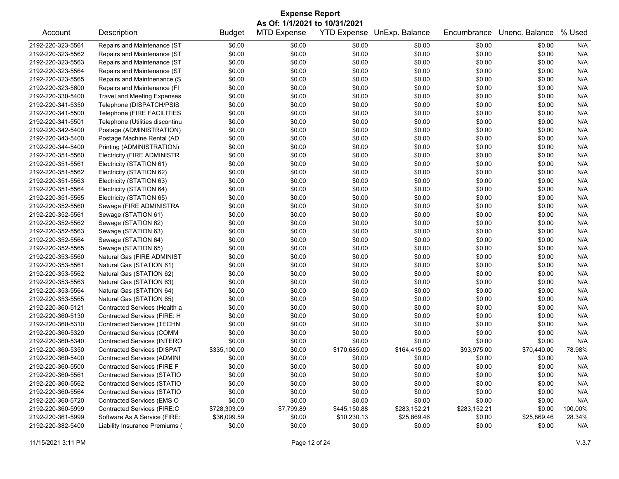| <b>Expense Report</b><br>As Of: 1/1/2021 to 10/31/2021 |                                    |               |                    |                    |                |              |                |         |
|--------------------------------------------------------|------------------------------------|---------------|--------------------|--------------------|----------------|--------------|----------------|---------|
| Account                                                | Description                        | <b>Budget</b> | <b>MTD Expense</b> | <b>YTD Expense</b> | UnExp. Balance | Encumbrance  | Unenc. Balance | % Used  |
| 2192-220-323-5561                                      | Repairs and Maintenance (ST        | \$0.00        | \$0.00             | \$0.00             | \$0.00         | \$0.00       | \$0.00         | N/A     |
| 2192-220-323-5562                                      | Repairs and Maintenance (ST        | \$0.00        | \$0.00             | \$0.00             | \$0.00         | \$0.00       | \$0.00         | N/A     |
| 2192-220-323-5563                                      | Repairs and Maintenance (ST        | \$0.00        | \$0.00             | \$0.00             | \$0.00         | \$0.00       | \$0.00         | N/A     |
| 2192-220-323-5564                                      | Repairs and Maintenance (ST        | \$0.00        | \$0.00             | \$0.00             | \$0.00         | \$0.00       | \$0.00         | N/A     |
| 2192-220-323-5565                                      | Repairs and Maintnenance (S        | \$0.00        | \$0.00             | \$0.00             | \$0.00         | \$0.00       | \$0.00         | N/A     |
| 2192-220-323-5600                                      | Repairs and Maintenance (FI        | \$0.00        | \$0.00             | \$0.00             | \$0.00         | \$0.00       | \$0.00         | N/A     |
| 2192-220-330-5400                                      | <b>Travel and Meeting Expenses</b> | \$0.00        | \$0.00             | \$0.00             | \$0.00         | \$0.00       | \$0.00         | N/A     |
| 2192-220-341-5350                                      | Telephone (DISPATCH/PSIS           | \$0.00        | \$0.00             | \$0.00             | \$0.00         | \$0.00       | \$0.00         | N/A     |
| 2192-220-341-5500                                      | Telephone (FIRE FACILITIES         | \$0.00        | \$0.00             | \$0.00             | \$0.00         | \$0.00       | \$0.00         | N/A     |
| 2192-220-341-5501                                      | Telephone (Utilities discontinu    | \$0.00        | \$0.00             | \$0.00             | \$0.00         | \$0.00       | \$0.00         | N/A     |
| 2192-220-342-5400                                      | Postage (ADMINISTRATION)           | \$0.00        | \$0.00             | \$0.00             | \$0.00         | \$0.00       | \$0.00         | N/A     |
| 2192-220-343-5400                                      | Postage Machine Rental (AD         | \$0.00        | \$0.00             | \$0.00             | \$0.00         | \$0.00       | \$0.00         | N/A     |
| 2192-220-344-5400                                      | Printing (ADMINISTRATION)          | \$0.00        | \$0.00             | \$0.00             | \$0.00         | \$0.00       | \$0.00         | N/A     |
| 2192-220-351-5560                                      | <b>Electricity (FIRE ADMINISTR</b> | \$0.00        | \$0.00             | \$0.00             | \$0.00         | \$0.00       | \$0.00         | N/A     |
| 2192-220-351-5561                                      | Electricity (STATION 61)           | \$0.00        | \$0.00             | \$0.00             | \$0.00         | \$0.00       | \$0.00         | N/A     |
| 2192-220-351-5562                                      | Electricity (STATION 62)           | \$0.00        | \$0.00             | \$0.00             | \$0.00         | \$0.00       | \$0.00         | N/A     |
| 2192-220-351-5563                                      | Electricity (STATION 63)           | \$0.00        | \$0.00             | \$0.00             | \$0.00         | \$0.00       | \$0.00         | N/A     |
| 2192-220-351-5564                                      | Electricity (STATION 64)           | \$0.00        | \$0.00             | \$0.00             | \$0.00         | \$0.00       | \$0.00         | N/A     |
| 2192-220-351-5565                                      | Electricity (STATION 65)           | \$0.00        | \$0.00             | \$0.00             | \$0.00         | \$0.00       | \$0.00         | N/A     |
| 2192-220-352-5560                                      | Sewage (FIRE ADMINISTRA            | \$0.00        | \$0.00             | \$0.00             | \$0.00         | \$0.00       | \$0.00         | N/A     |
| 2192-220-352-5561                                      | Sewage (STATION 61)                | \$0.00        | \$0.00             | \$0.00             | \$0.00         | \$0.00       | \$0.00         | N/A     |
| 2192-220-352-5562                                      | Sewage (STATION 62)                | \$0.00        | \$0.00             | \$0.00             | \$0.00         | \$0.00       | \$0.00         | N/A     |
| 2192-220-352-5563                                      | Sewage (STATION 63)                | \$0.00        | \$0.00             | \$0.00             | \$0.00         | \$0.00       | \$0.00         | N/A     |
| 2192-220-352-5564                                      | Sewage (STATION 64)                | \$0.00        | \$0.00             | \$0.00             | \$0.00         | \$0.00       | \$0.00         | N/A     |
| 2192-220-352-5565                                      | Sewage (STATION 65)                | \$0.00        | \$0.00             | \$0.00             | \$0.00         | \$0.00       | \$0.00         | N/A     |
| 2192-220-353-5560                                      | Natural Gas (FIRE ADMINIST         | \$0.00        | \$0.00             | \$0.00             | \$0.00         | \$0.00       | \$0.00         | N/A     |
| 2192-220-353-5561                                      | Natural Gas (STATION 61)           | \$0.00        | \$0.00             | \$0.00             | \$0.00         | \$0.00       | \$0.00         | N/A     |
| 2192-220-353-5562                                      | Natural Gas (STATION 62)           | \$0.00        | \$0.00             | \$0.00             | \$0.00         | \$0.00       | \$0.00         | N/A     |
| 2192-220-353-5563                                      | Natural Gas (STATION 63)           | \$0.00        | \$0.00             | \$0.00             | \$0.00         | \$0.00       | \$0.00         | N/A     |
| 2192-220-353-5564                                      | Natural Gas (STATION 64)           | \$0.00        | \$0.00             | \$0.00             | \$0.00         | \$0.00       | \$0.00         | N/A     |
| 2192-220-353-5565                                      | Natural Gas (STATION 65)           | \$0.00        | \$0.00             | \$0.00             | \$0.00         | \$0.00       | \$0.00         | N/A     |
| 2192-220-360-5121                                      | Contracted Services (Health a      | \$0.00        | \$0.00             | \$0.00             | \$0.00         | \$0.00       | \$0.00         | N/A     |
| 2192-220-360-5130                                      | Contracted Services (FIRE: H       | \$0.00        | \$0.00             | \$0.00             | \$0.00         | \$0.00       | \$0.00         | N/A     |
| 2192-220-360-5310                                      | <b>Contracted Services (TECHN</b>  | \$0.00        | \$0.00             | \$0.00             | \$0.00         | \$0.00       | \$0.00         | N/A     |
| 2192-220-360-5320                                      | <b>Contracted Services (COMM</b>   | \$0.00        | \$0.00             | \$0.00             | \$0.00         | \$0.00       | \$0.00         | N/A     |
| 2192-220-360-5340                                      | Contracted Services (INTERO        | \$0.00        | \$0.00             | \$0.00             | \$0.00         | \$0.00       | \$0.00         | N/A     |
| 2192-220-360-5350                                      | <b>Contracted Services (DISPAT</b> | \$335,100.00  | \$0.00             | \$170,685.00       | \$164,415.00   | \$93,975.00  | \$70,440.00    | 78.98%  |
| 2192-220-360-5400                                      | <b>Contracted Services (ADMINI</b> | \$0.00        | \$0.00             | \$0.00             | \$0.00         | \$0.00       | \$0.00         | N/A     |
| 2192-220-360-5500                                      | Contracted Services (FIRE F        | \$0.00        | \$0.00             | \$0.00             | \$0.00         | \$0.00       | \$0.00         | N/A     |
| 2192-220-360-5561                                      | <b>Contracted Services (STATIO</b> | \$0.00        | \$0.00             | \$0.00             | \$0.00         | \$0.00       | \$0.00         | N/A     |
| 2192-220-360-5562                                      | <b>Contracted Services (STATIO</b> | \$0.00        | \$0.00             | \$0.00             | \$0.00         | \$0.00       | \$0.00         | N/A     |
| 2192-220-360-5564                                      | <b>Contracted Services (STATIO</b> | \$0.00        | \$0.00             | \$0.00             | \$0.00         | \$0.00       | \$0.00         | N/A     |
| 2192-220-360-5720                                      | Contracted Services (EMS O         | \$0.00        | \$0.00             | \$0.00             | \$0.00         | \$0.00       | \$0.00         | N/A     |
| 2192-220-360-5999                                      | Contracted Services (FIRE:C        | \$728,303.09  | \$7,799.89         | \$445,150.88       | \$283,152.21   | \$283,152.21 | \$0.00         | 100.00% |
| 2192-220-361-5999                                      | Software As A Service (FIRE:       | \$36,099.59   | \$0.00             | \$10,230.13        | \$25,869.46    | \$0.00       | \$25,869.46    | 28.34%  |
| 2192-220-382-5400                                      | Liability Insurance Premiums (     | \$0.00        | \$0.00             | \$0.00             | \$0.00         | \$0.00       | \$0.00         | N/A     |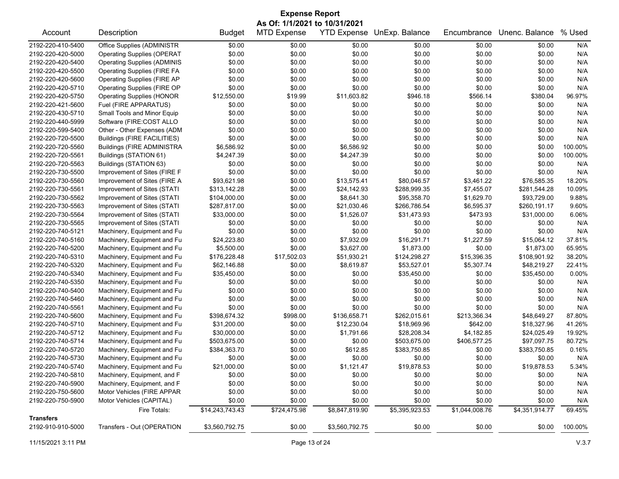| <b>Expense Report</b>         |                                    |                 |                    |                    |                |                |                |         |  |
|-------------------------------|------------------------------------|-----------------|--------------------|--------------------|----------------|----------------|----------------|---------|--|
| As Of: 1/1/2021 to 10/31/2021 |                                    |                 |                    |                    |                |                |                |         |  |
| Account                       | Description                        | <b>Budget</b>   | <b>MTD Expense</b> | <b>YTD Expense</b> | UnExp. Balance | Encumbrance    | Unenc. Balance | % Used  |  |
| 2192-220-410-5400             | Office Supplies (ADMINISTR         | \$0.00          | \$0.00             | \$0.00             | \$0.00         | \$0.00         | \$0.00         | N/A     |  |
| 2192-220-420-5000             | <b>Operating Supplies (OPERAT</b>  | \$0.00          | \$0.00             | \$0.00             | \$0.00         | \$0.00         | \$0.00         | N/A     |  |
| 2192-220-420-5400             | <b>Operating Supplies (ADMINIS</b> | \$0.00          | \$0.00             | \$0.00             | \$0.00         | \$0.00         | \$0.00         | N/A     |  |
| 2192-220-420-5500             | <b>Operating Supplies (FIRE FA</b> | \$0.00          | \$0.00             | \$0.00             | \$0.00         | \$0.00         | \$0.00         | N/A     |  |
| 2192-220-420-5600             | <b>Operating Supplies (FIRE AP</b> | \$0.00          | \$0.00             | \$0.00             | \$0.00         | \$0.00         | \$0.00         | N/A     |  |
| 2192-220-420-5710             | Operating Supplies (FIRE OP        | \$0.00          | \$0.00             | \$0.00             | \$0.00         | \$0.00         | \$0.00         | N/A     |  |
| 2192-220-420-5750             | <b>Operating Supplies (HONOR</b>   | \$12,550.00     | \$19.99            | \$11,603.82        | \$946.18       | \$566.14       | \$380.04       | 96.97%  |  |
| 2192-220-421-5600             | Fuel (FIRE APPARATUS)              | \$0.00          | \$0.00             | \$0.00             | \$0.00         | \$0.00         | \$0.00         | N/A     |  |
| 2192-220-430-5710             | Small Tools and Minor Equip        | \$0.00          | \$0.00             | \$0.00             | \$0.00         | \$0.00         | \$0.00         | N/A     |  |
| 2192-220-440-5999             | Software (FIRE:COST ALLO           | \$0.00          | \$0.00             | \$0.00             | \$0.00         | \$0.00         | \$0.00         | N/A     |  |
| 2192-220-599-5400             | Other - Other Expenses (ADM        | \$0.00          | \$0.00             | \$0.00             | \$0.00         | \$0.00         | \$0.00         | N/A     |  |
| 2192-220-720-5500             | Buildings (FIRE FACILITIES)        | \$0.00          | \$0.00             | \$0.00             | \$0.00         | \$0.00         | \$0.00         | N/A     |  |
| 2192-220-720-5560             | <b>Buildings (FIRE ADMINISTRA</b>  | \$6,586.92      | \$0.00             | \$6,586.92         | \$0.00         | \$0.00         | \$0.00         | 100.00% |  |
| 2192-220-720-5561             | Buildings (STATION 61)             | \$4,247.39      | \$0.00             | \$4,247.39         | \$0.00         | \$0.00         | \$0.00         | 100.00% |  |
| 2192-220-720-5563             | Buildings (STATION 63)             | \$0.00          | \$0.00             | \$0.00             | \$0.00         | \$0.00         | \$0.00         | N/A     |  |
| 2192-220-730-5500             | Improvement of Sites (FIRE F       | \$0.00          | \$0.00             | \$0.00             | \$0.00         | \$0.00         | \$0.00         | N/A     |  |
| 2192-220-730-5560             | Improvement of Sites (FIRE A       | \$93,621.98     | \$0.00             | \$13,575.41        | \$80,046.57    | \$3,461.22     | \$76,585.35    | 18.20%  |  |
| 2192-220-730-5561             | Improvement of Sites (STATI        | \$313,142.28    | \$0.00             | \$24,142.93        | \$288,999.35   | \$7,455.07     | \$281,544.28   | 10.09%  |  |
| 2192-220-730-5562             | Improvement of Sites (STATI        | \$104,000.00    | \$0.00             | \$8,641.30         | \$95,358.70    | \$1,629.70     | \$93,729.00    | 9.88%   |  |
| 2192-220-730-5563             | Improvement of Sites (STATI        | \$287,817.00    | \$0.00             | \$21,030.46        | \$266,786.54   | \$6,595.37     | \$260,191.17   | 9.60%   |  |
| 2192-220-730-5564             | Improvement of Sites (STATI        | \$33,000.00     | \$0.00             | \$1,526.07         | \$31,473.93    | \$473.93       | \$31,000.00    | 6.06%   |  |
| 2192-220-730-5565             | Improvement of Sites (STATI        | \$0.00          | \$0.00             | \$0.00             | \$0.00         | \$0.00         | \$0.00         | N/A     |  |
| 2192-220-740-5121             | Machinery, Equipment and Fu        | \$0.00          | \$0.00             | \$0.00             | \$0.00         | \$0.00         | \$0.00         | N/A     |  |
| 2192-220-740-5160             | Machinery, Equipment and Fu        | \$24,223.80     | \$0.00             | \$7,932.09         | \$16,291.71    | \$1,227.59     | \$15,064.12    | 37.81%  |  |
| 2192-220-740-5200             | Machinery, Equipment and Fu        | \$5,500.00      | \$0.00             | \$3,627.00         | \$1,873.00     | \$0.00         | \$1,873.00     | 65.95%  |  |
| 2192-220-740-5310             | Machinery, Equipment and Fu        | \$176,228.48    | \$17,502.03        | \$51,930.21        | \$124,298.27   | \$15,396.35    | \$108,901.92   | 38.20%  |  |
| 2192-220-740-5320             | Machinery, Equipment and Fu        | \$62,146.88     | \$0.00             | \$8,619.87         | \$53,527.01    | \$5,307.74     | \$48,219.27    | 22.41%  |  |
| 2192-220-740-5340             | Machinery, Equipment and Fu        | \$35,450.00     | \$0.00             | \$0.00             | \$35,450.00    | \$0.00         | \$35,450.00    | 0.00%   |  |
| 2192-220-740-5350             | Machinery, Equipment and Fu        | \$0.00          | \$0.00             | \$0.00             | \$0.00         | \$0.00         | \$0.00         | N/A     |  |
| 2192-220-740-5400             | Machinery, Equipment and Fu        | \$0.00          | \$0.00             | \$0.00             | \$0.00         | \$0.00         | \$0.00         | N/A     |  |
| 2192-220-740-5460             | Machinery, Equipment and Fu        | \$0.00          | \$0.00             | \$0.00             | \$0.00         | \$0.00         | \$0.00         | N/A     |  |
| 2192-220-740-5561             | Machinery, Equipment and Fu        | \$0.00          | \$0.00             | \$0.00             | \$0.00         | \$0.00         | \$0.00         | N/A     |  |
| 2192-220-740-5600             | Machinery, Equipment and Fu        | \$398,674.32    | \$998.00           | \$136,658.71       | \$262,015.61   | \$213,366.34   | \$48,649.27    | 87.80%  |  |
| 2192-220-740-5710             | Machinery, Equipment and Fu        | \$31,200.00     | \$0.00             | \$12,230.04        | \$18,969.96    | \$642.00       | \$18,327.96    | 41.26%  |  |
| 2192-220-740-5712             | Machinery, Equipment and Fu        | \$30,000.00     | \$0.00             | \$1,791.66         | \$28,208.34    | \$4,182.85     | \$24,025.49    | 19.92%  |  |
| 2192-220-740-5714             | Machinery, Equipment and Fu        | \$503,675.00    | \$0.00             | \$0.00             | \$503,675.00   | \$406,577.25   | \$97,097.75    | 80.72%  |  |
| 2192-220-740-5720             | Machinery, Equipment and Fu        | \$384,363.70    | \$0.00             | \$612.85           | \$383,750.85   | \$0.00         | \$383,750.85   | 0.16%   |  |
| 2192-220-740-5730             | Machinery, Equipment and Fu        | \$0.00          | \$0.00             | \$0.00             | \$0.00         | \$0.00         | \$0.00         | N/A     |  |
| 2192-220-740-5740             | Machinery, Equipment and Fu        | \$21,000.00     | \$0.00             | \$1,121.47         | \$19,878.53    | \$0.00         | \$19,878.53    | 5.34%   |  |
| 2192-220-740-5810             | Machinery, Equipment, and F        | \$0.00          | \$0.00             | \$0.00             | \$0.00         | \$0.00         | \$0.00         | N/A     |  |
| 2192-220-740-5900             | Machinery, Equipment, and F        | \$0.00          | \$0.00             | \$0.00             | \$0.00         | \$0.00         | \$0.00         | N/A     |  |
| 2192-220-750-5600             | Motor Vehicles (FIRE APPAR         | \$0.00          | \$0.00             | \$0.00             | \$0.00         | \$0.00         | \$0.00         | N/A     |  |
| 2192-220-750-5900             | Motor Vehicles (CAPITAL)           | \$0.00          | \$0.00             | \$0.00             | \$0.00         | \$0.00         | \$0.00         | N/A     |  |
|                               | Fire Totals:                       | \$14,243,743.43 | \$724,475.98       | \$8,847,819.90     | \$5,395,923.53 | \$1,044,008.76 | \$4,351,914.77 | 69.45%  |  |
| <b>Transfers</b>              |                                    |                 |                    |                    |                |                |                |         |  |
| 2192-910-910-5000             | Transfers - Out (OPERATION         | \$3,560,792.75  | \$0.00             | \$3,560,792.75     | \$0.00         | \$0.00         | \$0.00         | 100.00% |  |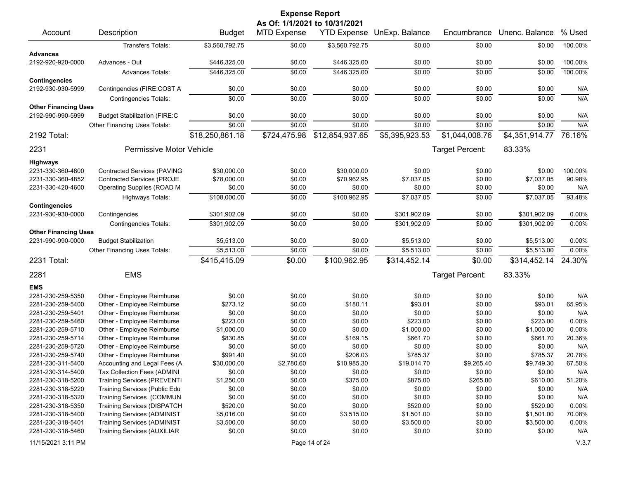| <b>Expense Report</b><br>As Of: 1/1/2021 to 10/31/2021 |                                     |                 |                    |                    |                |                 |                |         |
|--------------------------------------------------------|-------------------------------------|-----------------|--------------------|--------------------|----------------|-----------------|----------------|---------|
| Account                                                | Description                         | <b>Budget</b>   | <b>MTD Expense</b> | <b>YTD Expense</b> | UnExp. Balance | Encumbrance     | Unenc. Balance | % Used  |
|                                                        | <b>Transfers Totals:</b>            | \$3,560,792.75  | \$0.00             | \$3,560,792.75     | \$0.00         | \$0.00          | \$0.00         | 100.00% |
| <b>Advances</b>                                        |                                     |                 |                    |                    |                |                 |                |         |
| 2192-920-920-0000                                      | Advances - Out                      | \$446,325.00    | \$0.00             | \$446,325.00       | \$0.00         | \$0.00          | \$0.00         | 100.00% |
|                                                        | <b>Advances Totals:</b>             | \$446,325.00    | \$0.00             | \$446,325.00       | \$0.00         | \$0.00          | \$0.00         | 100.00% |
| <b>Contingencies</b><br>2192-930-930-5999              |                                     | \$0.00          | \$0.00             | \$0.00             | \$0.00         | \$0.00          | \$0.00         | N/A     |
|                                                        | Contingencies (FIRE:COST A          |                 |                    |                    |                |                 |                |         |
| <b>Other Financing Uses</b>                            | <b>Contingencies Totals:</b>        | \$0.00          | \$0.00             | \$0.00             | \$0.00         | \$0.00          | \$0.00         | N/A     |
| 2192-990-990-5999                                      | <b>Budget Stabilization (FIRE:C</b> | \$0.00          | \$0.00             | \$0.00             | \$0.00         | \$0.00          | \$0.00         | N/A     |
|                                                        |                                     | \$0.00          | \$0.00             | \$0.00             | \$0.00         | \$0.00          | \$0.00         | N/A     |
|                                                        | Other Financing Uses Totals:        |                 |                    |                    |                |                 |                |         |
| 2192 Total:                                            |                                     | \$18,250,861.18 | \$724,475.98       | \$12,854,937.65    | \$5,395,923.53 | \$1,044,008.76  | \$4,351,914.77 | 76.16%  |
| 2231                                                   | Permissive Motor Vehicle            |                 |                    |                    |                | Target Percent: | 83.33%         |         |
| <b>Highways</b>                                        |                                     |                 |                    |                    |                |                 |                |         |
| 2231-330-360-4800                                      | <b>Contracted Services (PAVING</b>  | \$30,000.00     | \$0.00             | \$30,000.00        | \$0.00         | \$0.00          | \$0.00         | 100.00% |
| 2231-330-360-4852                                      | <b>Contracted Services (PROJE</b>   | \$78,000.00     | \$0.00             | \$70,962.95        | \$7,037.05     | \$0.00          | \$7,037.05     | 90.98%  |
| 2231-330-420-4600                                      | Operating Supplies (ROAD M          | \$0.00          | \$0.00             | \$0.00             | \$0.00         | \$0.00          | \$0.00         | N/A     |
|                                                        | Highways Totals:                    | \$108,000.00    | \$0.00             | \$100,962.95       | \$7,037.05     | \$0.00          | \$7,037.05     | 93.48%  |
| <b>Contingencies</b><br>2231-930-930-0000              |                                     |                 |                    |                    | \$301,902.09   |                 |                |         |
|                                                        | Contingencies                       | \$301,902.09    | \$0.00             | \$0.00             |                | \$0.00          | \$301,902.09   | 0.00%   |
| <b>Other Financing Uses</b>                            | <b>Contingencies Totals:</b>        | \$301,902.09    | \$0.00             | \$0.00             | \$301,902.09   | \$0.00          | \$301,902.09   | 0.00%   |
| 2231-990-990-0000                                      | <b>Budget Stabilization</b>         | \$5,513.00      | \$0.00             | \$0.00             | \$5,513.00     | \$0.00          | \$5,513.00     | 0.00%   |
|                                                        | Other Financing Uses Totals:        | \$5,513.00      | \$0.00             | \$0.00             | \$5,513.00     | \$0.00          | \$5,513.00     | 0.00%   |
| 2231 Total:                                            |                                     | \$415,415.09    | \$0.00             | \$100,962.95       | \$314,452.14   | \$0.00          | \$314,452.14   | 24.30%  |
|                                                        |                                     |                 |                    |                    |                |                 |                |         |
| 2281                                                   | <b>EMS</b>                          |                 |                    |                    |                | Target Percent: | 83.33%         |         |
| <b>EMS</b>                                             |                                     |                 |                    |                    |                |                 |                |         |
| 2281-230-259-5350                                      | Other - Employee Reimburse          | \$0.00          | \$0.00             | \$0.00             | \$0.00         | \$0.00          | \$0.00         | N/A     |
| 2281-230-259-5400                                      | Other - Employee Reimburse          | \$273.12        | \$0.00             | \$180.11           | \$93.01        | \$0.00          | \$93.01        | 65.95%  |
| 2281-230-259-5401                                      | Other - Employee Reimburse          | \$0.00          | \$0.00             | \$0.00             | \$0.00         | \$0.00          | \$0.00         | N/A     |
| 2281-230-259-5460                                      | Other - Employee Reimburse          | \$223.00        | \$0.00             | \$0.00             | \$223.00       | \$0.00          | \$223.00       | 0.00%   |
| 2281-230-259-5710                                      | Other - Employee Reimburse          | \$1,000.00      | \$0.00             | \$0.00             | \$1,000.00     | \$0.00          | \$1,000.00     | 0.00%   |
| 2281-230-259-5714                                      | Other - Employee Reimburse          | \$830.85        | \$0.00             | \$169.15           | \$661.70       | \$0.00          | \$661.70       | 20.36%  |
| 2281-230-259-5720                                      | Other - Employee Reimburse          | \$0.00          | \$0.00             | \$0.00             | \$0.00         | \$0.00          | \$0.00         | N/A     |
| 2281-230-259-5740                                      | Other - Employee Reimburse          | \$991.40        | \$0.00             | \$206.03           | \$785.37       | \$0.00          | \$785.37       | 20.78%  |
| 2281-230-311-5400                                      | Accounting and Legal Fees (A        | \$30,000.00     | \$2,780.60         | \$10,985.30        | \$19,014.70    | \$9,265.40      | \$9,749.30     | 67.50%  |
| 2281-230-314-5400                                      | Tax Collection Fees (ADMINI         | \$0.00          | \$0.00             | \$0.00             | \$0.00         | \$0.00          | \$0.00         | N/A     |
| 2281-230-318-5200                                      | <b>Training Services (PREVENTI</b>  | \$1,250.00      | \$0.00             | \$375.00           | \$875.00       | \$265.00        | \$610.00       | 51.20%  |
| 2281-230-318-5220                                      | Training Services (Public Edu       | \$0.00          | \$0.00             | \$0.00             | \$0.00         | \$0.00          | \$0.00         | N/A     |
| 2281-230-318-5320                                      | <b>Training Services (COMMUN</b>    | \$0.00          | \$0.00             | \$0.00             | \$0.00         | \$0.00          | \$0.00         | N/A     |
| 2281-230-318-5350                                      | Training Services (DISPATCH         | \$520.00        | \$0.00             | \$0.00             | \$520.00       | \$0.00          | \$520.00       | 0.00%   |
| 2281-230-318-5400                                      | <b>Training Services (ADMINIST</b>  | \$5,016.00      | \$0.00             | \$3,515.00         | \$1,501.00     | \$0.00          | \$1,501.00     | 70.08%  |
| 2281-230-318-5401                                      | <b>Training Services (ADMINIST</b>  | \$3,500.00      | \$0.00             | \$0.00             | \$3,500.00     | \$0.00          | \$3,500.00     | 0.00%   |
| 2281-230-318-5460                                      | <b>Training Services (AUXILIAR</b>  | \$0.00          | \$0.00             | \$0.00             | \$0.00         | \$0.00          | \$0.00         | N/A     |
| 11/15/2021 3:11 PM                                     |                                     |                 |                    | Page 14 of 24      |                |                 |                | V.3.7   |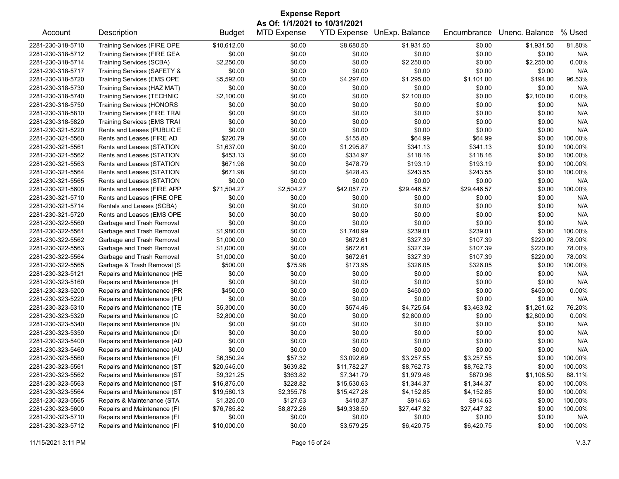| <b>Expense Report</b><br>As Of: 1/1/2021 to 10/31/2021 |                                                            |                    |                    |                  |                                   |             |                |         |
|--------------------------------------------------------|------------------------------------------------------------|--------------------|--------------------|------------------|-----------------------------------|-------------|----------------|---------|
| Account                                                | Description                                                | <b>Budget</b>      | <b>MTD Expense</b> |                  | <b>YTD Expense UnExp. Balance</b> | Encumbrance | Unenc. Balance | % Used  |
| 2281-230-318-5710                                      | <b>Training Services (FIRE OPE</b>                         | \$10,612.00        | \$0.00             | \$8,680.50       | \$1,931.50                        | \$0.00      | \$1,931.50     | 81.80%  |
| 2281-230-318-5712                                      | Training Services (FIRE GEA                                | \$0.00             | \$0.00             | \$0.00           | \$0.00                            | \$0.00      | \$0.00         | N/A     |
| 2281-230-318-5714                                      | <b>Training Services (SCBA)</b>                            | \$2,250.00         | \$0.00             | \$0.00           | \$2,250.00                        | \$0.00      | \$2,250.00     | 0.00%   |
| 2281-230-318-5717                                      | Training Services (SAFETY &                                | \$0.00             | \$0.00             | \$0.00           | \$0.00                            | \$0.00      | \$0.00         | N/A     |
| 2281-230-318-5720                                      | <b>Training Services (EMS OPE</b>                          | \$5,592.00         | \$0.00             | \$4,297.00       | \$1,295.00                        | \$1,101.00  | \$194.00       | 96.53%  |
| 2281-230-318-5730                                      | Training Services (HAZ MAT)                                | \$0.00             | \$0.00             | \$0.00           | \$0.00                            | \$0.00      | \$0.00         | N/A     |
| 2281-230-318-5740                                      | <b>Training Services (TECHNIC</b>                          | \$2,100.00         | \$0.00             | \$0.00           | \$2,100.00                        | \$0.00      | \$2,100.00     | 0.00%   |
| 2281-230-318-5750                                      | <b>Training Services (HONORS</b>                           | \$0.00             | \$0.00             | \$0.00           | \$0.00                            | \$0.00      | \$0.00         | N/A     |
| 2281-230-318-5810                                      | <b>Training Services (FIRE TRAI</b>                        | \$0.00             | \$0.00             | \$0.00           | \$0.00                            | \$0.00      | \$0.00         | N/A     |
| 2281-230-318-5820                                      | <b>Training Services (EMS TRAI</b>                         | \$0.00             | \$0.00             | \$0.00           | \$0.00                            | \$0.00      | \$0.00         | N/A     |
| 2281-230-321-5220                                      | Rents and Leases (PUBLIC E                                 | \$0.00             | \$0.00             | \$0.00           | \$0.00                            | \$0.00      | \$0.00         | N/A     |
| 2281-230-321-5560                                      | Rents and Leases (FIRE AD                                  | \$220.79           | \$0.00             | \$155.80         | \$64.99                           | \$64.99     | \$0.00         | 100.00% |
| 2281-230-321-5561                                      | Rents and Leases (STATION                                  | \$1,637.00         | \$0.00             | \$1,295.87       | \$341.13                          | \$341.13    | \$0.00         | 100.00% |
| 2281-230-321-5562                                      | Rents and Leases (STATION                                  | \$453.13           | \$0.00             | \$334.97         | \$118.16                          | \$118.16    | \$0.00         | 100.00% |
| 2281-230-321-5563                                      | Rents and Leases (STATION                                  | \$671.98           | \$0.00             | \$478.79         | \$193.19                          | \$193.19    | \$0.00         | 100.00% |
| 2281-230-321-5564                                      | Rents and Leases (STATION                                  | \$671.98           | \$0.00             | \$428.43         | \$243.55                          | \$243.55    | \$0.00         | 100.00% |
| 2281-230-321-5565                                      | Rents and Leases (STATION                                  | \$0.00             | \$0.00             | \$0.00           | \$0.00                            | \$0.00      | \$0.00         | N/A     |
| 2281-230-321-5600                                      | Rents and Leases (FIRE APP                                 | \$71,504.27        | \$2,504.27         | \$42,057.70      | \$29,446.57                       | \$29,446.57 | \$0.00         | 100.00% |
| 2281-230-321-5710                                      | Rents and Leases (FIRE OPE                                 | \$0.00             | \$0.00             | \$0.00           | \$0.00                            | \$0.00      | \$0.00         | N/A     |
| 2281-230-321-5714                                      | Rentals and Leases (SCBA)                                  | \$0.00             | \$0.00             | \$0.00           | \$0.00                            | \$0.00      | \$0.00         | N/A     |
| 2281-230-321-5720                                      | Rents and Leases (EMS OPE                                  | \$0.00             | \$0.00             | \$0.00           | \$0.00                            | \$0.00      | \$0.00         | N/A     |
| 2281-230-322-5560                                      | Garbage and Trash Removal                                  | \$0.00             | \$0.00             | \$0.00           | \$0.00                            | \$0.00      | \$0.00         | N/A     |
| 2281-230-322-5561                                      | Garbage and Trash Removal                                  | \$1,980.00         | \$0.00             | \$1,740.99       | \$239.01                          | \$239.01    | \$0.00         | 100.00% |
| 2281-230-322-5562                                      | Garbage and Trash Removal                                  | \$1,000.00         | \$0.00             | \$672.61         | \$327.39                          | \$107.39    | \$220.00       | 78.00%  |
| 2281-230-322-5563                                      | Garbage and Trash Removal                                  | \$1,000.00         | \$0.00             | \$672.61         | \$327.39                          | \$107.39    | \$220.00       | 78.00%  |
| 2281-230-322-5564                                      | Garbage and Trash Removal                                  | \$1,000.00         | \$0.00             | \$672.61         | \$327.39                          | \$107.39    | \$220.00       | 78.00%  |
| 2281-230-322-5565                                      | Garbage & Trash Removal (S                                 | \$500.00           | \$75.98            | \$173.95         | \$326.05                          | \$326.05    | \$0.00         | 100.00% |
| 2281-230-323-5121                                      | Repairs and Maintenance (HE                                | \$0.00             | \$0.00             | \$0.00           | \$0.00                            | \$0.00      | \$0.00         | N/A     |
| 2281-230-323-5160                                      | Repairs and Maintenance (H                                 | \$0.00             | \$0.00             | \$0.00           | \$0.00                            | \$0.00      | \$0.00         | N/A     |
|                                                        |                                                            |                    |                    |                  |                                   |             |                | 0.00%   |
| 2281-230-323-5200                                      | Repairs and Maintenance (PR<br>Repairs and Maintenance (PU | \$450.00<br>\$0.00 | \$0.00<br>\$0.00   | \$0.00<br>\$0.00 | \$450.00<br>\$0.00                | \$0.00      | \$450.00       | N/A     |
| 2281-230-323-5220                                      |                                                            |                    |                    |                  |                                   | \$0.00      | \$0.00         |         |
| 2281-230-323-5310                                      | Repairs and Maintenance (TE                                | \$5,300.00         | \$0.00             | \$574.46         | \$4,725.54                        | \$3,463.92  | \$1,261.62     | 76.20%  |
| 2281-230-323-5320                                      | Repairs and Maintenance (C                                 | \$2,800.00         | \$0.00             | \$0.00           | \$2,800.00                        | \$0.00      | \$2,800.00     | 0.00%   |
| 2281-230-323-5340                                      | Repairs and Maintenance (IN                                | \$0.00             | \$0.00             | \$0.00           | \$0.00                            | \$0.00      | \$0.00         | N/A     |
| 2281-230-323-5350                                      | Repairs and Maintenance (DI                                | \$0.00             | \$0.00             | \$0.00           | \$0.00                            | \$0.00      | \$0.00         | N/A     |
| 2281-230-323-5400                                      | Repairs and Maintenance (AD                                | \$0.00             | \$0.00             | \$0.00           | \$0.00                            | \$0.00      | \$0.00         | N/A     |
| 2281-230-323-5460                                      | Repairs and Maintenance (AU                                | \$0.00             | \$0.00             | \$0.00           | \$0.00                            | \$0.00      | \$0.00         | N/A     |
| 2281-230-323-5560                                      | Repairs and Maintenance (FI                                | \$6,350.24         | \$57.32            | \$3,092.69       | \$3,257.55                        | \$3,257.55  | \$0.00         | 100.00% |
| 2281-230-323-5561                                      | Repairs and Maintenance (ST                                | \$20,545.00        | \$639.82           | \$11,782.27      | \$8,762.73                        | \$8,762.73  | \$0.00         | 100.00% |
| 2281-230-323-5562                                      | Repairs and Maintenance (ST                                | \$9,321.25         | \$363.82           | \$7,341.79       | \$1,979.46                        | \$870.96    | \$1,108.50     | 88.11%  |
| 2281-230-323-5563                                      | Repairs and Maintenance (ST                                | \$16,875.00        | \$228.82           | \$15,530.63      | \$1,344.37                        | \$1,344.37  | \$0.00         | 100.00% |
| 2281-230-323-5564                                      | Repairs and Maintenance (ST                                | \$19,580.13        | \$2,355.78         | \$15,427.28      | \$4,152.85                        | \$4,152.85  | \$0.00         | 100.00% |
| 2281-230-323-5565                                      | Repairs & Maintenance (STA                                 | \$1,325.00         | \$127.63           | \$410.37         | \$914.63                          | \$914.63    | \$0.00         | 100.00% |
| 2281-230-323-5600                                      | Repairs and Maintenance (FI                                | \$76,785.82        | \$8,872.26         | \$49,338.50      | \$27,447.32                       | \$27,447.32 | \$0.00         | 100.00% |
| 2281-230-323-5710                                      | Repairs and Maintenance (FI                                | \$0.00             | \$0.00             | \$0.00           | \$0.00                            | \$0.00      | \$0.00         | N/A     |
| 2281-230-323-5712                                      | Repairs and Maintenance (FI                                | \$10,000.00        | \$0.00             | \$3,579.25       | \$6,420.75                        | \$6,420.75  | \$0.00         | 100.00% |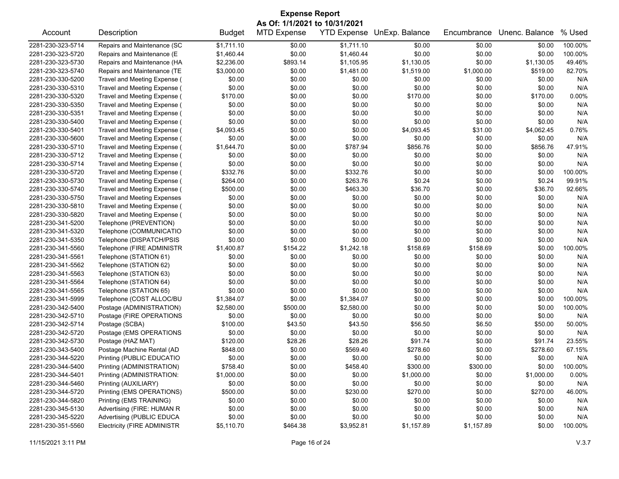| <b>Expense Report</b> |                                    |               |                               |                    |                |             |                |         |
|-----------------------|------------------------------------|---------------|-------------------------------|--------------------|----------------|-------------|----------------|---------|
|                       |                                    |               | As Of: 1/1/2021 to 10/31/2021 |                    |                |             |                |         |
| Account               | Description                        | <b>Budget</b> | <b>MTD Expense</b>            | <b>YTD Expense</b> | UnExp. Balance | Encumbrance | Unenc. Balance | % Used  |
| 2281-230-323-5714     | Repairs and Maintenance (SC        | \$1,711.10    | \$0.00                        | \$1,711.10         | \$0.00         | \$0.00      | \$0.00         | 100.00% |
| 2281-230-323-5720     | Repairs and Maintenance (E         | \$1,460.44    | \$0.00                        | \$1,460.44         | \$0.00         | \$0.00      | \$0.00         | 100.00% |
| 2281-230-323-5730     | Repairs and Maintenance (HA        | \$2,236.00    | \$893.14                      | \$1,105.95         | \$1,130.05     | \$0.00      | \$1,130.05     | 49.46%  |
| 2281-230-323-5740     | Repairs and Maintenance (TE        | \$3,000.00    | \$0.00                        | \$1,481.00         | \$1,519.00     | \$1,000.00  | \$519.00       | 82.70%  |
| 2281-230-330-5200     | Travel and Meeting Expense (       | \$0.00        | \$0.00                        | \$0.00             | \$0.00         | \$0.00      | \$0.00         | N/A     |
| 2281-230-330-5310     | Travel and Meeting Expense (       | \$0.00        | \$0.00                        | \$0.00             | \$0.00         | \$0.00      | \$0.00         | N/A     |
| 2281-230-330-5320     | Travel and Meeting Expense (       | \$170.00      | \$0.00                        | \$0.00             | \$170.00       | \$0.00      | \$170.00       | 0.00%   |
| 2281-230-330-5350     | Travel and Meeting Expense (       | \$0.00        | \$0.00                        | \$0.00             | \$0.00         | \$0.00      | \$0.00         | N/A     |
| 2281-230-330-5351     | Travel and Meeting Expense (       | \$0.00        | \$0.00                        | \$0.00             | \$0.00         | \$0.00      | \$0.00         | N/A     |
| 2281-230-330-5400     | Travel and Meeting Expense (       | \$0.00        | \$0.00                        | \$0.00             | \$0.00         | \$0.00      | \$0.00         | N/A     |
| 2281-230-330-5401     | Travel and Meeting Expense (       | \$4,093.45    | \$0.00                        | \$0.00             | \$4,093.45     | \$31.00     | \$4,062.45     | 0.76%   |
| 2281-230-330-5600     | Travel and Meeting Expense (       | \$0.00        | \$0.00                        | \$0.00             | \$0.00         | \$0.00      | \$0.00         | N/A     |
| 2281-230-330-5710     | Travel and Meeting Expense (       | \$1,644.70    | \$0.00                        | \$787.94           | \$856.76       | \$0.00      | \$856.76       | 47.91%  |
| 2281-230-330-5712     | Travel and Meeting Expense (       | \$0.00        | \$0.00                        | \$0.00             | \$0.00         | \$0.00      | \$0.00         | N/A     |
| 2281-230-330-5714     | Travel and Meeting Expense (       | \$0.00        | \$0.00                        | \$0.00             | \$0.00         | \$0.00      | \$0.00         | N/A     |
| 2281-230-330-5720     | Travel and Meeting Expense (       | \$332.76      | \$0.00                        | \$332.76           | \$0.00         | \$0.00      | \$0.00         | 100.00% |
| 2281-230-330-5730     | Travel and Meeting Expense (       | \$264.00      | \$0.00                        | \$263.76           | \$0.24         | \$0.00      | \$0.24         | 99.91%  |
| 2281-230-330-5740     | Travel and Meeting Expense (       | \$500.00      | \$0.00                        | \$463.30           | \$36.70        | \$0.00      | \$36.70        | 92.66%  |
| 2281-230-330-5750     | <b>Travel and Meeting Expenses</b> | \$0.00        | \$0.00                        | \$0.00             | \$0.00         | \$0.00      | \$0.00         | N/A     |
| 2281-230-330-5810     | Travel and Meeting Expense (       | \$0.00        | \$0.00                        | \$0.00             | \$0.00         | \$0.00      | \$0.00         | N/A     |
| 2281-230-330-5820     | Travel and Meeting Expense (       | \$0.00        | \$0.00                        | \$0.00             | \$0.00         | \$0.00      | \$0.00         | N/A     |
| 2281-230-341-5200     | Telephone (PREVENTION)             | \$0.00        | \$0.00                        | \$0.00             | \$0.00         | \$0.00      | \$0.00         | N/A     |
| 2281-230-341-5320     | Telephone (COMMUNICATIO            | \$0.00        | \$0.00                        | \$0.00             | \$0.00         | \$0.00      | \$0.00         | N/A     |
| 2281-230-341-5350     | Telephone (DISPATCH/PSIS           | \$0.00        | \$0.00                        | \$0.00             | \$0.00         | \$0.00      | \$0.00         | N/A     |
| 2281-230-341-5560     | Telephone (FIRE ADMINISTR          | \$1,400.87    | \$154.22                      | \$1,242.18         | \$158.69       | \$158.69    | \$0.00         | 100.00% |
| 2281-230-341-5561     | Telephone (STATION 61)             | \$0.00        | \$0.00                        | \$0.00             | \$0.00         | \$0.00      | \$0.00         | N/A     |
| 2281-230-341-5562     | Telephone (STATION 62)             | \$0.00        | \$0.00                        | \$0.00             | \$0.00         | \$0.00      | \$0.00         | N/A     |
| 2281-230-341-5563     | Telephone (STATION 63)             | \$0.00        | \$0.00                        | \$0.00             | \$0.00         | \$0.00      | \$0.00         | N/A     |
| 2281-230-341-5564     | Telephone (STATION 64)             | \$0.00        | \$0.00                        | \$0.00             | \$0.00         | \$0.00      | \$0.00         | N/A     |
| 2281-230-341-5565     | Telephone (STATION 65)             | \$0.00        | \$0.00                        | \$0.00             | \$0.00         | \$0.00      | \$0.00         | N/A     |
| 2281-230-341-5999     | Telephone (COST ALLOC/BU           | \$1,384.07    | \$0.00                        | \$1,384.07         | \$0.00         | \$0.00      | \$0.00         | 100.00% |
| 2281-230-342-5400     | Postage (ADMINISTRATION)           | \$2,580.00    | \$500.00                      | \$2,580.00         | \$0.00         | \$0.00      | \$0.00         | 100.00% |
| 2281-230-342-5710     | Postage (FIRE OPERATIONS           | \$0.00        | \$0.00                        | \$0.00             | \$0.00         | \$0.00      | \$0.00         | N/A     |
| 2281-230-342-5714     | Postage (SCBA)                     | \$100.00      | \$43.50                       | \$43.50            | \$56.50        | \$6.50      | \$50.00        | 50.00%  |
| 2281-230-342-5720     | Postage (EMS OPERATIONS            | \$0.00        | \$0.00                        | \$0.00             | \$0.00         | \$0.00      | \$0.00         | N/A     |
| 2281-230-342-5730     | Postage (HAZ MAT)                  | \$120.00      | \$28.26                       | \$28.26            | \$91.74        | \$0.00      | \$91.74        | 23.55%  |
| 2281-230-343-5400     | Postage Machine Rental (AD         | \$848.00      | \$0.00                        | \$569.40           | \$278.60       | \$0.00      | \$278.60       | 67.15%  |
| 2281-230-344-5220     | Printing (PUBLIC EDUCATIO          | \$0.00        | \$0.00                        | \$0.00             | \$0.00         | \$0.00      | \$0.00         | N/A     |
| 2281-230-344-5400     | Printing (ADMINISTRATION)          | \$758.40      | \$0.00                        | \$458.40           | \$300.00       | \$300.00    | \$0.00         | 100.00% |
| 2281-230-344-5401     | Printing (ADMINISTRATION:          | \$1,000.00    | \$0.00                        | \$0.00             | \$1,000.00     | \$0.00      | \$1,000.00     | 0.00%   |
| 2281-230-344-5460     | Printing (AUXILIARY)               | \$0.00        | \$0.00                        | \$0.00             | \$0.00         | \$0.00      | \$0.00         | N/A     |
| 2281-230-344-5720     | Printing (EMS OPERATIONS)          | \$500.00      | \$0.00                        | \$230.00           | \$270.00       | \$0.00      | \$270.00       | 46.00%  |
| 2281-230-344-5820     | Printing (EMS TRAINING)            | \$0.00        | \$0.00                        | \$0.00             | \$0.00         | \$0.00      | \$0.00         | N/A     |
| 2281-230-345-5130     | Advertising (FIRE: HUMAN R         | \$0.00        | \$0.00                        | \$0.00             | \$0.00         | \$0.00      | \$0.00         | N/A     |
| 2281-230-345-5220     | Advertising (PUBLIC EDUCA          | \$0.00        | \$0.00                        | \$0.00             | \$0.00         | \$0.00      | \$0.00         | N/A     |
| 2281-230-351-5560     | <b>Electricity (FIRE ADMINISTR</b> | \$5,110.70    | \$464.38                      | \$3,952.81         | \$1,157.89     | \$1,157.89  | \$0.00         | 100.00% |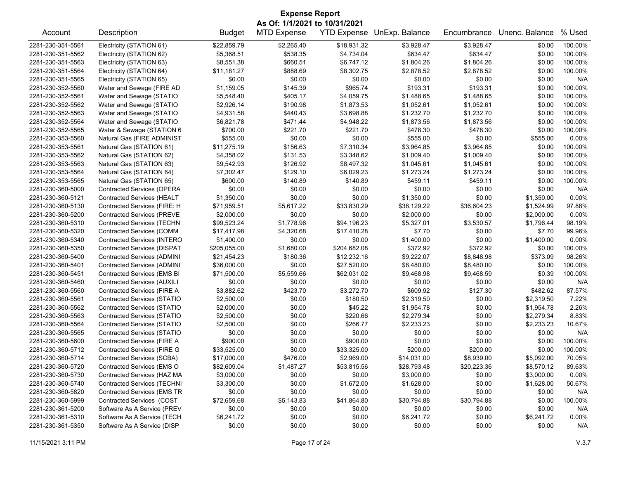| <b>Expense Report</b>         |                                    |               |                    |                    |                |             |                |          |  |
|-------------------------------|------------------------------------|---------------|--------------------|--------------------|----------------|-------------|----------------|----------|--|
| As Of: 1/1/2021 to 10/31/2021 |                                    |               |                    |                    |                |             |                |          |  |
| Account                       | Description                        | <b>Budget</b> | <b>MTD Expense</b> | <b>YTD Expense</b> | UnExp. Balance | Encumbrance | Unenc. Balance | % Used   |  |
| 2281-230-351-5561             | Electricity (STATION 61)           | \$22,859.79   | \$2,265.40         | \$18,931.32        | \$3,928.47     | \$3,928.47  | \$0.00         | 100.00%  |  |
| 2281-230-351-5562             | Electricity (STATION 62)           | \$5,368.51    | \$538.35           | \$4,734.04         | \$634.47       | \$634.47    | \$0.00         | 100.00%  |  |
| 2281-230-351-5563             | Electricity (STATION 63)           | \$8,551.38    | \$660.51           | \$6,747.12         | \$1,804.26     | \$1,804.26  | \$0.00         | 100.00%  |  |
| 2281-230-351-5564             | Electricity (STATION 64)           | \$11,181.27   | \$888.69           | \$8,302.75         | \$2,878.52     | \$2,878.52  | \$0.00         | 100.00%  |  |
| 2281-230-351-5565             | Electricity (STATION 65)           | \$0.00        | \$0.00             | \$0.00             | \$0.00         | \$0.00      | \$0.00         | N/A      |  |
| 2281-230-352-5560             | Water and Sewage (FIRE AD          | \$1,159.05    | \$145.39           | \$965.74           | \$193.31       | \$193.31    | \$0.00         | 100.00%  |  |
| 2281-230-352-5561             | Water and Sewage (STATIO           | \$5,548.40    | \$405.17           | \$4,059.75         | \$1,488.65     | \$1,488.65  | \$0.00         | 100.00%  |  |
| 2281-230-352-5562             | Water and Sewage (STATIO           | \$2,926.14    | \$190.98           | \$1,873.53         | \$1,052.61     | \$1,052.61  | \$0.00         | 100.00%  |  |
| 2281-230-352-5563             | Water and Sewage (STATIO           | \$4,931.58    | \$440.43           | \$3,698.88         | \$1,232.70     | \$1,232.70  | \$0.00         | 100.00%  |  |
| 2281-230-352-5564             | Water and Sewage (STATIO           | \$6,821.78    | \$471.44           | \$4,948.22         | \$1,873.56     | \$1,873.56  | \$0.00         | 100.00%  |  |
| 2281-230-352-5565             | Water & Sewage (STATION 6          | \$700.00      | \$221.70           | \$221.70           | \$478.30       | \$478.30    | \$0.00         | 100.00%  |  |
| 2281-230-353-5560             | Natural Gas (FIRE ADMINIST         | \$555.00      | \$0.00             | \$0.00             | \$555.00       | \$0.00      | \$555.00       | 0.00%    |  |
| 2281-230-353-5561             | Natural Gas (STATION 61)           | \$11,275.19   | \$156.63           | \$7,310.34         | \$3,964.85     | \$3,964.85  | \$0.00         | 100.00%  |  |
| 2281-230-353-5562             | Natural Gas (STATION 62)           | \$4,358.02    | \$131.53           | \$3,348.62         | \$1,009.40     | \$1,009.40  | \$0.00         | 100.00%  |  |
| 2281-230-353-5563             | Natural Gas (STATION 63)           | \$9,542.93    | \$126.92           | \$8,497.32         | \$1,045.61     | \$1,045.61  | \$0.00         | 100.00%  |  |
| 2281-230-353-5564             | Natural Gas (STATION 64)           | \$7,302.47    | \$129.10           | \$6,029.23         | \$1,273.24     | \$1,273.24  | \$0.00         | 100.00%  |  |
| 2281-230-353-5565             | Natural Gas (STATION 65)           | \$600.00      | \$140.89           | \$140.89           | \$459.11       | \$459.11    | \$0.00         | 100.00%  |  |
| 2281-230-360-5000             | <b>Contracted Services (OPERA</b>  | \$0.00        | \$0.00             | \$0.00             | \$0.00         | \$0.00      | \$0.00         | N/A      |  |
| 2281-230-360-5121             | <b>Contracted Services (HEALT</b>  | \$1,350.00    | \$0.00             | \$0.00             | \$1,350.00     | \$0.00      | \$1,350.00     | 0.00%    |  |
| 2281-230-360-5130             | Contracted Services (FIRE: H       | \$71,959.51   | \$5,617.22         | \$33,830.29        | \$38,129.22    | \$36,604.23 | \$1,524.99     | 97.88%   |  |
| 2281-230-360-5200             | <b>Contracted Services (PREVE</b>  | \$2,000.00    | \$0.00             | \$0.00             | \$2,000.00     | \$0.00      | \$2,000.00     | 0.00%    |  |
| 2281-230-360-5310             | <b>Contracted Services (TECHN</b>  | \$99,523.24   | \$1,778.96         | \$94,196.23        | \$5,327.01     | \$3,530.57  | \$1,796.44     | 98.19%   |  |
| 2281-230-360-5320             | <b>Contracted Services (COMM</b>   | \$17,417.98   | \$4,320.68         | \$17,410.28        | \$7.70         | \$0.00      | \$7.70         | 99.96%   |  |
| 2281-230-360-5340             | <b>Contracted Services (INTERO</b> | \$1,400.00    | \$0.00             | \$0.00             | \$1,400.00     | \$0.00      | \$1,400.00     | $0.00\%$ |  |
| 2281-230-360-5350             | <b>Contracted Services (DISPAT</b> | \$205,055.00  | \$1,680.00         | \$204,682.08       | \$372.92       | \$372.92    | \$0.00         | 100.00%  |  |
| 2281-230-360-5400             | Contracted Services (ADMINI        | \$21,454.23   | \$180.36           | \$12,232.16        | \$9,222.07     | \$8,848.98  | \$373.09       | 98.26%   |  |
| 2281-230-360-5401             | Contracted Services (ADMINI        | \$36,000.00   | \$0.00             | \$27,520.00        | \$8,480.00     | \$8,480.00  | \$0.00         | 100.00%  |  |
| 2281-230-360-5451             | <b>Contracted Services (EMS BI</b> | \$71,500.00   | \$5,559.66         | \$62,031.02        | \$9,468.98     | \$9,468.59  | \$0.39         | 100.00%  |  |
| 2281-230-360-5460             | Contracted Services (AUXILI        | \$0.00        | \$0.00             | \$0.00             | \$0.00         | \$0.00      | \$0.00         | N/A      |  |
| 2281-230-360-5560             | Contracted Services (FIRE A        | \$3,882.62    | \$423.70           | \$3,272.70         | \$609.92       | \$127.30    | \$482.62       | 87.57%   |  |
| 2281-230-360-5561             | Contracted Services (STATIO        | \$2,500.00    | \$0.00             | \$180.50           | \$2,319.50     | \$0.00      | \$2,319.50     | 7.22%    |  |
| 2281-230-360-5562             | <b>Contracted Services (STATIO</b> | \$2,000.00    | \$0.00             | \$45.22            | \$1,954.78     | \$0.00      | \$1,954.78     | 2.26%    |  |
| 2281-230-360-5563             | <b>Contracted Services (STATIO</b> | \$2,500.00    | \$0.00             | \$220.66           | \$2,279.34     | \$0.00      | \$2,279.34     | 8.83%    |  |
| 2281-230-360-5564             | <b>Contracted Services (STATIO</b> | \$2,500.00    | \$0.00             | \$266.77           | \$2,233.23     | \$0.00      | \$2,233.23     | 10.67%   |  |
| 2281-230-360-5565             | Contracted Services (STATIO        | \$0.00        | \$0.00             | \$0.00             | \$0.00         | \$0.00      | \$0.00         | N/A      |  |
| 2281-230-360-5600             | Contracted Services (FIRE A        | \$900.00      | \$0.00             | \$900.00           | \$0.00         | \$0.00      | \$0.00         | 100.00%  |  |
| 2281-230-360-5712             | <b>Contracted Services (FIRE G</b> | \$33,525.00   | \$0.00             | \$33,325.00        | \$200.00       | \$200.00    | \$0.00         | 100.00%  |  |
| 2281-230-360-5714             | Contracted Services (SCBA)         | \$17,000.00   | \$476.00           | \$2,969.00         | \$14,031.00    | \$8,939.00  | \$5,092.00     | 70.05%   |  |
| 2281-230-360-5720             | Contracted Services (EMS O         | \$82,609.04   | \$1,487.27         | \$53,815.56        | \$28,793.48    | \$20,223.36 | \$8,570.12     | 89.63%   |  |
| 2281-230-360-5730             | Contracted Services (HAZ MA        | \$3,000.00    | \$0.00             | \$0.00             | \$3,000.00     | \$0.00      | \$3,000.00     | $0.00\%$ |  |
| 2281-230-360-5740             | <b>Contracted Services (TECHNI</b> | \$3,300.00    | \$0.00             | \$1,672.00         | \$1,628.00     | \$0.00      | \$1,628.00     | 50.67%   |  |
| 2281-230-360-5820             | <b>Contracted Services (EMS TR</b> | \$0.00        | \$0.00             | \$0.00             | \$0.00         | \$0.00      | \$0.00         | N/A      |  |
| 2281-230-360-5999             | Contracted Services (COST          | \$72,659.68   | \$5,143.83         | \$41,864.80        | \$30,794.88    | \$30,794.88 | \$0.00         | 100.00%  |  |
| 2281-230-361-5200             | Software As A Service (PREV        | \$0.00        | \$0.00             | \$0.00             | \$0.00         | \$0.00      | \$0.00         | N/A      |  |
| 2281-230-361-5310             | Software As A Service (TECH        | \$6,241.72    | \$0.00             | \$0.00             | \$6,241.72     | \$0.00      | \$6,241.72     | 0.00%    |  |
| 2281-230-361-5350             | Software As A Service (DISP        | \$0.00        | \$0.00             | \$0.00             | \$0.00         | \$0.00      | \$0.00         | N/A      |  |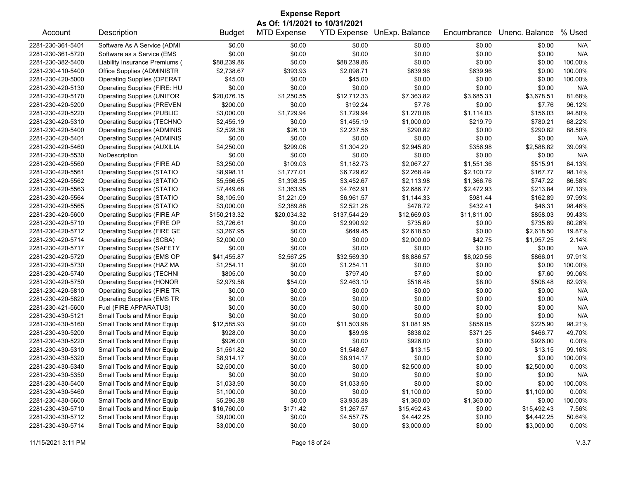| <b>Expense Report</b> |                                    |               |                                                     |              |                            |             |                |         |
|-----------------------|------------------------------------|---------------|-----------------------------------------------------|--------------|----------------------------|-------------|----------------|---------|
| Account               | Description                        | <b>Budget</b> | As Of: 1/1/2021 to 10/31/2021<br><b>MTD Expense</b> |              | YTD Expense UnExp. Balance | Encumbrance | Unenc. Balance | % Used  |
| 2281-230-361-5401     | Software As A Service (ADMI        | \$0.00        | \$0.00                                              | \$0.00       | \$0.00                     | \$0.00      | \$0.00         | N/A     |
| 2281-230-361-5720     | Software as a Service (EMS         | \$0.00        | \$0.00                                              | \$0.00       | \$0.00                     | \$0.00      | \$0.00         | N/A     |
| 2281-230-382-5400     | Liability Insurance Premiums (     | \$88,239.86   | \$0.00                                              | \$88,239.86  | \$0.00                     | \$0.00      | \$0.00         | 100.00% |
| 2281-230-410-5400     | Office Supplies (ADMINISTR         | \$2,738.67    | \$393.93                                            | \$2,098.71   | \$639.96                   | \$639.96    | \$0.00         | 100.00% |
| 2281-230-420-5000     | <b>Operating Supplies (OPERAT</b>  | \$45.00       | \$0.00                                              | \$45.00      | \$0.00                     | \$0.00      | \$0.00         | 100.00% |
| 2281-230-420-5130     | Operating Supplies (FIRE: HU       | \$0.00        | \$0.00                                              | \$0.00       | \$0.00                     | \$0.00      | \$0.00         | N/A     |
| 2281-230-420-5170     | <b>Operating Supplies (UNIFOR</b>  | \$20,076.15   | \$1,250.55                                          | \$12,712.33  | \$7,363.82                 | \$3,685.31  | \$3,678.51     | 81.68%  |
| 2281-230-420-5200     | <b>Operating Supplies (PREVEN</b>  | \$200.00      | \$0.00                                              | \$192.24     | \$7.76                     | \$0.00      | \$7.76         | 96.12%  |
| 2281-230-420-5220     | <b>Operating Supplies (PUBLIC</b>  | \$3,000.00    | \$1,729.94                                          | \$1,729.94   | \$1,270.06                 | \$1,114.03  | \$156.03       | 94.80%  |
| 2281-230-420-5310     | <b>Operating Supplies (TECHNO</b>  | \$2,455.19    | \$0.00                                              | \$1,455.19   | \$1,000.00                 | \$219.79    | \$780.21       | 68.22%  |
| 2281-230-420-5400     | <b>Operating Supplies (ADMINIS</b> | \$2,528.38    | \$26.10                                             | \$2,237.56   | \$290.82                   | \$0.00      | \$290.82       | 88.50%  |
| 2281-230-420-5401     | <b>Operating Supplies (ADMINIS</b> | \$0.00        | \$0.00                                              | \$0.00       | \$0.00                     | \$0.00      | \$0.00         | N/A     |
| 2281-230-420-5460     | <b>Operating Supplies (AUXILIA</b> | \$4,250.00    | \$299.08                                            | \$1,304.20   | \$2,945.80                 | \$356.98    | \$2,588.82     | 39.09%  |
| 2281-230-420-5530     | NoDescription                      | \$0.00        | \$0.00                                              | \$0.00       | \$0.00                     | \$0.00      | \$0.00         | N/A     |
| 2281-230-420-5560     | <b>Operating Supplies (FIRE AD</b> | \$3,250.00    | \$109.03                                            | \$1,182.73   | \$2,067.27                 | \$1,551.36  | \$515.91       | 84.13%  |
| 2281-230-420-5561     | <b>Operating Supplies (STATIO</b>  | \$8,998.11    | \$1,777.01                                          | \$6,729.62   | \$2,268.49                 | \$2,100.72  | \$167.77       | 98.14%  |
| 2281-230-420-5562     | <b>Operating Supplies (STATIO</b>  | \$5,566.65    | \$1,398.35                                          | \$3,452.67   | \$2,113.98                 | \$1,366.76  | \$747.22       | 86.58%  |
| 2281-230-420-5563     | <b>Operating Supplies (STATIO</b>  | \$7,449.68    | \$1,363.95                                          | \$4,762.91   | \$2,686.77                 | \$2,472.93  | \$213.84       | 97.13%  |
| 2281-230-420-5564     | <b>Operating Supplies (STATIO</b>  | \$8,105.90    | \$1,221.09                                          | \$6,961.57   | \$1,144.33                 | \$981.44    | \$162.89       | 97.99%  |
| 2281-230-420-5565     | <b>Operating Supplies (STATIO</b>  | \$3,000.00    | \$2,389.88                                          | \$2,521.28   | \$478.72                   | \$432.41    | \$46.31        | 98.46%  |
| 2281-230-420-5600     | <b>Operating Supplies (FIRE AP</b> | \$150,213.32  | \$20,034.32                                         | \$137,544.29 | \$12,669.03                | \$11,811.00 | \$858.03       | 99.43%  |
| 2281-230-420-5710     | Operating Supplies (FIRE OP        | \$3,726.61    | \$0.00                                              | \$2,990.92   | \$735.69                   | \$0.00      | \$735.69       | 80.26%  |
| 2281-230-420-5712     | <b>Operating Supplies (FIRE GE</b> | \$3,267.95    | \$0.00                                              | \$649.45     | \$2,618.50                 | \$0.00      | \$2,618.50     | 19.87%  |
| 2281-230-420-5714     | <b>Operating Supplies (SCBA)</b>   | \$2,000.00    | \$0.00                                              | \$0.00       | \$2,000.00                 | \$42.75     | \$1,957.25     | 2.14%   |
| 2281-230-420-5717     | <b>Operating Supplies (SAFETY</b>  | \$0.00        | \$0.00                                              | \$0.00       | \$0.00                     | \$0.00      | \$0.00         | N/A     |
| 2281-230-420-5720     | Operating Supplies (EMS OP         | \$41,455.87   | \$2,567.25                                          | \$32,569.30  | \$8,886.57                 | \$8,020.56  | \$866.01       | 97.91%  |
| 2281-230-420-5730     | Operating Supplies (HAZ MA         | \$1,254.11    | \$0.00                                              | \$1,254.11   | \$0.00                     | \$0.00      | \$0.00         | 100.00% |
| 2281-230-420-5740     | <b>Operating Supplies (TECHNI</b>  | \$805.00      | \$0.00                                              | \$797.40     | \$7.60                     | \$0.00      | \$7.60         | 99.06%  |
| 2281-230-420-5750     | <b>Operating Supplies (HONOR</b>   | \$2,979.58    | \$54.00                                             | \$2,463.10   | \$516.48                   | \$8.00      | \$508.48       | 82.93%  |
| 2281-230-420-5810     | <b>Operating Supplies (FIRE TR</b> | \$0.00        | \$0.00                                              | \$0.00       | \$0.00                     | \$0.00      | \$0.00         | N/A     |
| 2281-230-420-5820     | <b>Operating Supplies (EMS TR</b>  | \$0.00        | \$0.00                                              | \$0.00       | \$0.00                     | \$0.00      | \$0.00         | N/A     |
| 2281-230-421-5600     | Fuel (FIRE APPARATUS)              | \$0.00        | \$0.00                                              | \$0.00       | \$0.00                     | \$0.00      | \$0.00         | N/A     |
| 2281-230-430-5121     | Small Tools and Minor Equip        | \$0.00        | \$0.00                                              | \$0.00       | \$0.00                     | \$0.00      | \$0.00         | N/A     |
| 2281-230-430-5160     | Small Tools and Minor Equip        | \$12,585.93   | \$0.00                                              | \$11,503.98  | \$1,081.95                 | \$856.05    | \$225.90       | 98.21%  |
| 2281-230-430-5200     | Small Tools and Minor Equip        | \$928.00      | \$0.00                                              | \$89.98      | \$838.02                   | \$371.25    | \$466.77       | 49.70%  |
| 2281-230-430-5220     | Small Tools and Minor Equip        | \$926.00      | \$0.00                                              | \$0.00       | \$926.00                   | \$0.00      | \$926.00       | 0.00%   |
| 2281-230-430-5310     | Small Tools and Minor Equip        | \$1,561.82    | \$0.00                                              | \$1,548.67   | \$13.15                    | \$0.00      | \$13.15        | 99.16%  |
| 2281-230-430-5320     | Small Tools and Minor Equip        | \$8,914.17    | \$0.00                                              | \$8,914.17   | \$0.00                     | \$0.00      | \$0.00         | 100.00% |
| 2281-230-430-5340     | Small Tools and Minor Equip        | \$2,500.00    | \$0.00                                              | \$0.00       | \$2,500.00                 | \$0.00      | \$2,500.00     | 0.00%   |
| 2281-230-430-5350     | Small Tools and Minor Equip        | \$0.00        | \$0.00                                              | \$0.00       | \$0.00                     | \$0.00      | \$0.00         | N/A     |
| 2281-230-430-5400     | Small Tools and Minor Equip        | \$1,033.90    | \$0.00                                              | \$1,033.90   | \$0.00                     | \$0.00      | \$0.00         | 100.00% |
| 2281-230-430-5460     | Small Tools and Minor Equip        | \$1,100.00    | \$0.00                                              | \$0.00       | \$1,100.00                 | \$0.00      | \$1,100.00     | 0.00%   |
| 2281-230-430-5600     | Small Tools and Minor Equip        | \$5,295.38    | \$0.00                                              | \$3,935.38   | \$1,360.00                 | \$1,360.00  | \$0.00         | 100.00% |
| 2281-230-430-5710     | Small Tools and Minor Equip        | \$16,760.00   | \$171.42                                            | \$1,267.57   | \$15,492.43                | \$0.00      | \$15,492.43    | 7.56%   |
| 2281-230-430-5712     | Small Tools and Minor Equip        | \$9,000.00    | \$0.00                                              | \$4,557.75   | \$4,442.25                 | \$0.00      | \$4,442.25     | 50.64%  |
| 2281-230-430-5714     | Small Tools and Minor Equip        | \$3,000.00    | \$0.00                                              | \$0.00       | \$3,000.00                 | \$0.00      | \$3,000.00     | 0.00%   |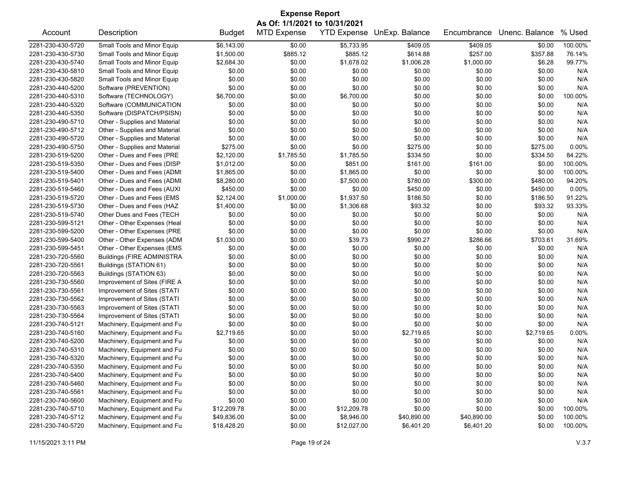| <b>Expense Report</b> |                                   |               |                    |             |                                   |             |                |         |  |  |
|-----------------------|-----------------------------------|---------------|--------------------|-------------|-----------------------------------|-------------|----------------|---------|--|--|
|                       | As Of: 1/1/2021 to 10/31/2021     |               |                    |             |                                   |             |                |         |  |  |
| Account               | Description                       | <b>Budget</b> | <b>MTD Expense</b> |             | <b>YTD Expense UnExp. Balance</b> | Encumbrance | Unenc. Balance | % Used  |  |  |
| 2281-230-430-5720     | Small Tools and Minor Equip       | \$6,143.00    | \$0.00             | \$5,733.95  | \$409.05                          | \$409.05    | \$0.00         | 100.00% |  |  |
| 2281-230-430-5730     | Small Tools and Minor Equip       | \$1,500.00    | \$885.12           | \$885.12    | \$614.88                          | \$257.00    | \$357.88       | 76.14%  |  |  |
| 2281-230-430-5740     | Small Tools and Minor Equip       | \$2,684.30    | \$0.00             | \$1,678.02  | \$1,006.28                        | \$1,000.00  | \$6.28         | 99.77%  |  |  |
| 2281-230-430-5810     | Small Tools and Minor Equip       | \$0.00        | \$0.00             | \$0.00      | \$0.00                            | \$0.00      | \$0.00         | N/A     |  |  |
| 2281-230-430-5820     | Small Tools and Minor Equip       | \$0.00        | \$0.00             | \$0.00      | \$0.00                            | \$0.00      | \$0.00         | N/A     |  |  |
| 2281-230-440-5200     | Software (PREVENTION)             | \$0.00        | \$0.00             | \$0.00      | \$0.00                            | \$0.00      | \$0.00         | N/A     |  |  |
| 2281-230-440-5310     | Software (TECHNOLOGY)             | \$6,700.00    | \$0.00             | \$6,700.00  | \$0.00                            | \$0.00      | \$0.00         | 100.00% |  |  |
| 2281-230-440-5320     | Software (COMMUNICATION           | \$0.00        | \$0.00             | \$0.00      | \$0.00                            | \$0.00      | \$0.00         | N/A     |  |  |
| 2281-230-440-5350     | Software (DISPATCH/PSISN)         | \$0.00        | \$0.00             | \$0.00      | \$0.00                            | \$0.00      | \$0.00         | N/A     |  |  |
| 2281-230-490-5710     | Other - Supplies and Material     | \$0.00        | \$0.00             | \$0.00      | \$0.00                            | \$0.00      | \$0.00         | N/A     |  |  |
| 2281-230-490-5712     | Other - Supplies and Material     | \$0.00        | \$0.00             | \$0.00      | \$0.00                            | \$0.00      | \$0.00         | N/A     |  |  |
| 2281-230-490-5720     | Other - Supplies and Material     | \$0.00        | \$0.00             | \$0.00      | \$0.00                            | \$0.00      | \$0.00         | N/A     |  |  |
| 2281-230-490-5750     | Other - Supplies and Material     | \$275.00      | \$0.00             | \$0.00      | \$275.00                          | \$0.00      | \$275.00       | 0.00%   |  |  |
| 2281-230-519-5200     | Other - Dues and Fees (PRE        | \$2,120.00    | \$1,785.50         | \$1,785.50  | \$334.50                          | \$0.00      | \$334.50       | 84.22%  |  |  |
| 2281-230-519-5350     | Other - Dues and Fees (DISP       | \$1,012.00    | \$0.00             | \$851.00    | \$161.00                          | \$161.00    | \$0.00         | 100.00% |  |  |
| 2281-230-519-5400     | Other - Dues and Fees (ADMI       | \$1,865.00    | \$0.00             | \$1,865.00  | \$0.00                            | \$0.00      | \$0.00         | 100.00% |  |  |
| 2281-230-519-5401     | Other - Dues and Fees (ADMI       | \$8,280.00    | \$0.00             | \$7,500.00  | \$780.00                          | \$300.00    | \$480.00       | 94.20%  |  |  |
| 2281-230-519-5460     | Other - Dues and Fees (AUXI       | \$450.00      | \$0.00             | \$0.00      | \$450.00                          | \$0.00      | \$450.00       | 0.00%   |  |  |
| 2281-230-519-5720     | Other - Dues and Fees (EMS        | \$2,124.00    | \$1,000.00         | \$1,937.50  | \$186.50                          | \$0.00      | \$186.50       | 91.22%  |  |  |
| 2281-230-519-5730     | Other - Dues and Fees (HAZ        | \$1,400.00    | \$0.00             | \$1,306.68  | \$93.32                           | \$0.00      | \$93.32        | 93.33%  |  |  |
| 2281-230-519-5740     | Other Dues and Fees (TECH         |               |                    |             |                                   |             |                |         |  |  |
|                       |                                   | \$0.00        | \$0.00             | \$0.00      | \$0.00                            | \$0.00      | \$0.00         | N/A     |  |  |
| 2281-230-599-5121     | Other - Other Expenses (Heal      | \$0.00        | \$0.00             | \$0.00      | \$0.00                            | \$0.00      | \$0.00         | N/A     |  |  |
| 2281-230-599-5200     | Other - Other Expenses (PRE       | \$0.00        | \$0.00             | \$0.00      | \$0.00                            | \$0.00      | \$0.00         | N/A     |  |  |
| 2281-230-599-5400     | Other - Other Expenses (ADM       | \$1,030.00    | \$0.00             | \$39.73     | \$990.27                          | \$286.66    | \$703.61       | 31.69%  |  |  |
| 2281-230-599-5451     | Other - Other Expenses (EMS       | \$0.00        | \$0.00             | \$0.00      | \$0.00                            | \$0.00      | \$0.00         | N/A     |  |  |
| 2281-230-720-5560     | <b>Buildings (FIRE ADMINISTRA</b> | \$0.00        | \$0.00             | \$0.00      | \$0.00                            | \$0.00      | \$0.00         | N/A     |  |  |
| 2281-230-720-5561     | Buildings (STATION 61)            | \$0.00        | \$0.00             | \$0.00      | \$0.00                            | \$0.00      | \$0.00         | N/A     |  |  |
| 2281-230-720-5563     | Buildings (STATION 63)            | \$0.00        | \$0.00             | \$0.00      | \$0.00                            | \$0.00      | \$0.00         | N/A     |  |  |
| 2281-230-730-5560     | Improvement of Sites (FIRE A      | \$0.00        | \$0.00             | \$0.00      | \$0.00                            | \$0.00      | \$0.00         | N/A     |  |  |
| 2281-230-730-5561     | Improvement of Sites (STATI       | \$0.00        | \$0.00             | \$0.00      | \$0.00                            | \$0.00      | \$0.00         | N/A     |  |  |
| 2281-230-730-5562     | Improvement of Sites (STATI       | \$0.00        | \$0.00             | \$0.00      | \$0.00                            | \$0.00      | \$0.00         | N/A     |  |  |
| 2281-230-730-5563     | Improvement of Sites (STATI       | \$0.00        | \$0.00             | \$0.00      | \$0.00                            | \$0.00      | \$0.00         | N/A     |  |  |
| 2281-230-730-5564     | Improvement of Sites (STATI       | \$0.00        | \$0.00             | \$0.00      | \$0.00                            | \$0.00      | \$0.00         | N/A     |  |  |
| 2281-230-740-5121     | Machinery, Equipment and Fu       | \$0.00        | \$0.00             | \$0.00      | \$0.00                            | \$0.00      | \$0.00         | N/A     |  |  |
| 2281-230-740-5160     | Machinery, Equipment and Fu       | \$2,719.65    | \$0.00             | \$0.00      | \$2,719.65                        | \$0.00      | \$2,719.65     | 0.00%   |  |  |
| 2281-230-740-5200     | Machinery, Equipment and Fu       | \$0.00        | \$0.00             | \$0.00      | \$0.00                            | \$0.00      | \$0.00         | N/A     |  |  |
| 2281-230-740-5310     | Machinery, Equipment and Fu       | \$0.00        | \$0.00             | \$0.00      | \$0.00                            | \$0.00      | \$0.00         | N/A     |  |  |
| 2281-230-740-5320     | Machinery, Equipment and Fu       | \$0.00        | \$0.00             | \$0.00      | \$0.00                            | \$0.00      | \$0.00         | N/A     |  |  |
| 2281-230-740-5350     | Machinery, Equipment and Fu       | \$0.00        | \$0.00             | \$0.00      | \$0.00                            | \$0.00      | \$0.00         | N/A     |  |  |
| 2281-230-740-5400     | Machinery, Equipment and Fu       | \$0.00        | \$0.00             | \$0.00      | \$0.00                            | \$0.00      | \$0.00         | N/A     |  |  |
| 2281-230-740-5460     | Machinery, Equipment and Fu       | \$0.00        | \$0.00             | \$0.00      | \$0.00                            | \$0.00      | \$0.00         | N/A     |  |  |
| 2281-230-740-5561     | Machinery, Equipment and Fu       | \$0.00        | \$0.00             | \$0.00      | \$0.00                            | \$0.00      | \$0.00         | N/A     |  |  |
| 2281-230-740-5600     | Machinery, Equipment and Fu       | \$0.00        | \$0.00             | \$0.00      | \$0.00                            | \$0.00      | \$0.00         | N/A     |  |  |
| 2281-230-740-5710     | Machinery, Equipment and Fu       | \$12,209.78   | \$0.00             | \$12,209.78 | \$0.00                            | \$0.00      | \$0.00         | 100.00% |  |  |
| 2281-230-740-5712     | Machinery, Equipment and Fu       | \$49,836.00   | \$0.00             | \$8,946.00  | \$40,890.00                       | \$40,890.00 | \$0.00         | 100.00% |  |  |
| 2281-230-740-5720     | Machinery, Equipment and Fu       | \$18,428.20   | \$0.00             | \$12,027.00 | \$6,401.20                        | \$6,401.20  | \$0.00         | 100.00% |  |  |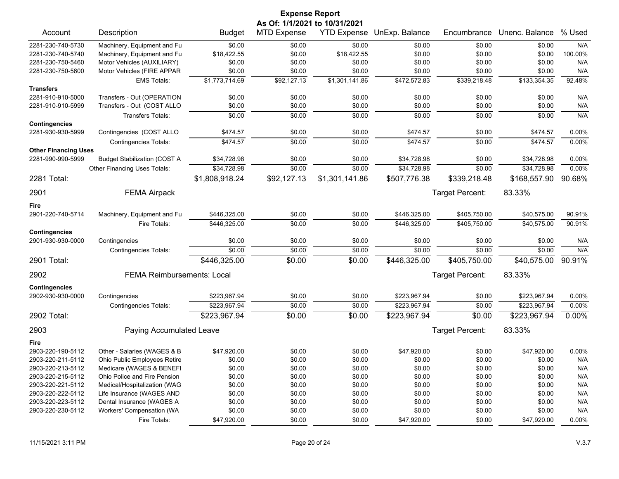|                                                  |                                     |                | <b>Expense Report</b>         |                |                            |                 |                |         |
|--------------------------------------------------|-------------------------------------|----------------|-------------------------------|----------------|----------------------------|-----------------|----------------|---------|
|                                                  |                                     |                | As Of: 1/1/2021 to 10/31/2021 |                |                            |                 |                |         |
| Account                                          | Description                         | <b>Budget</b>  | <b>MTD Expense</b>            |                | YTD Expense UnExp. Balance | Encumbrance     | Unenc. Balance | % Used  |
| 2281-230-740-5730                                | Machinery, Equipment and Fu         | \$0.00         | \$0.00                        | \$0.00         | \$0.00                     | \$0.00          | \$0.00         | N/A     |
| 2281-230-740-5740                                | Machinery, Equipment and Fu         | \$18,422.55    | \$0.00                        | \$18,422.55    | \$0.00                     | \$0.00          | \$0.00         | 100.00% |
| 2281-230-750-5460                                | Motor Vehicles (AUXILIARY)          | \$0.00         | \$0.00                        | \$0.00         | \$0.00                     | \$0.00          | \$0.00         | N/A     |
| 2281-230-750-5600                                | Motor Vehicles (FIRE APPAR          | \$0.00         | \$0.00                        | \$0.00         | \$0.00                     | \$0.00          | \$0.00         | N/A     |
|                                                  | <b>EMS Totals:</b>                  | \$1,773,714.69 | \$92,127.13                   | \$1,301,141.86 | \$472,572.83               | \$339,218.48    | \$133,354.35   | 92.48%  |
| <b>Transfers</b>                                 |                                     |                |                               |                |                            |                 |                |         |
| 2281-910-910-5000                                | Transfers - Out (OPERATION          | \$0.00         | \$0.00                        | \$0.00         | \$0.00                     | \$0.00          | \$0.00         | N/A     |
| 2281-910-910-5999                                | Transfers - Out (COST ALLO          | \$0.00         | \$0.00                        | \$0.00         | \$0.00                     | \$0.00          | \$0.00         | N/A     |
|                                                  | Transfers Totals:                   | \$0.00         | \$0.00                        | \$0.00         | \$0.00                     | \$0.00          | \$0.00         | N/A     |
| <b>Contingencies</b>                             |                                     |                |                               |                |                            |                 |                |         |
| 2281-930-930-5999                                | Contingencies (COST ALLO            | \$474.57       | \$0.00                        | \$0.00         | \$474.57                   | \$0.00          | \$474.57       | 0.00%   |
|                                                  | <b>Contingencies Totals:</b>        | \$474.57       | \$0.00                        | \$0.00         | \$474.57                   | \$0.00          | \$474.57       | 0.00%   |
| <b>Other Financing Uses</b><br>2281-990-990-5999 | <b>Budget Stabilization (COST A</b> | \$34,728.98    | \$0.00                        | \$0.00         | \$34,728.98                | \$0.00          | \$34,728.98    | 0.00%   |
|                                                  | Other Financing Uses Totals:        | \$34,728.98    | \$0.00                        | \$0.00         | \$34,728.98                | \$0.00          | \$34,728.98    | 0.00%   |
|                                                  |                                     |                |                               |                |                            |                 |                | 90.68%  |
| 2281 Total:                                      |                                     | \$1,808,918.24 | \$92,127.13                   | \$1,301,141.86 | \$507,776.38               | \$339,218.48    | \$168,557.90   |         |
| 2901                                             | <b>FEMA Airpack</b>                 |                |                               |                |                            | Target Percent: | 83.33%         |         |
| Fire                                             |                                     |                |                               |                |                            |                 |                |         |
| 2901-220-740-5714                                | Machinery, Equipment and Fu         | \$446,325.00   | \$0.00                        | \$0.00         | \$446,325.00               | \$405,750.00    | \$40,575.00    | 90.91%  |
|                                                  | Fire Totals:                        | \$446,325.00   | \$0.00                        | \$0.00         | \$446,325.00               | \$405,750.00    | \$40,575.00    | 90.91%  |
| <b>Contingencies</b>                             |                                     |                |                               |                |                            |                 |                |         |
| 2901-930-930-0000                                | Contingencies                       | \$0.00         | \$0.00                        | \$0.00         | \$0.00                     | \$0.00          | \$0.00         | N/A     |
|                                                  | <b>Contingencies Totals:</b>        | \$0.00         | \$0.00                        | \$0.00         | \$0.00                     | \$0.00          | \$0.00         | N/A     |
| 2901 Total:                                      |                                     | \$446,325.00   | \$0.00                        | \$0.00         | \$446,325.00               | \$405,750.00    | \$40,575.00    | 90.91%  |
| 2902                                             | <b>FEMA Reimbursements: Local</b>   |                |                               |                |                            | Target Percent: | 83.33%         |         |
| <b>Contingencies</b>                             |                                     |                |                               |                |                            |                 |                |         |
| 2902-930-930-0000                                | Contingencies                       | \$223,967.94   | \$0.00                        | \$0.00         | \$223,967.94               | \$0.00          | \$223,967.94   | 0.00%   |
|                                                  | <b>Contingencies Totals:</b>        | \$223,967.94   | \$0.00                        | \$0.00         | \$223,967.94               | \$0.00          | \$223,967.94   | 0.00%   |
| 2902 Total:                                      |                                     | \$223,967.94   | \$0.00                        | \$0.00         | \$223,967.94               | \$0.00          | \$223,967.94   | 0.00%   |
| 2903                                             | Paying Accumulated Leave            |                |                               |                |                            | Target Percent: | 83.33%         |         |
| Fire                                             |                                     |                |                               |                |                            |                 |                |         |
| 2903-220-190-5112                                | Other - Salaries (WAGES & B         | \$47,920.00    | \$0.00                        | \$0.00         | \$47,920.00                | \$0.00          | \$47,920.00    | 0.00%   |
| 2903-220-211-5112                                | Ohio Public Employees Retire        | \$0.00         | \$0.00                        | \$0.00         | \$0.00                     | \$0.00          | \$0.00         | N/A     |
| 2903-220-213-5112                                | Medicare (WAGES & BENEFI            | \$0.00         | \$0.00                        | \$0.00         | \$0.00                     | \$0.00          | \$0.00         | N/A     |
| 2903-220-215-5112                                | Ohio Police and Fire Pension        | \$0.00         | \$0.00                        | \$0.00         | \$0.00                     | \$0.00          | \$0.00         | N/A     |
| 2903-220-221-5112                                | Medical/Hospitalization (WAG        | \$0.00         | \$0.00                        | \$0.00         | \$0.00                     | \$0.00          | \$0.00         | N/A     |
| 2903-220-222-5112                                | Life Insurance (WAGES AND           | \$0.00         | \$0.00                        | \$0.00         | \$0.00                     | \$0.00          | \$0.00         | N/A     |
| 2903-220-223-5112                                | Dental Insurance (WAGES A           | \$0.00         | \$0.00                        | \$0.00         | \$0.00                     | \$0.00          | \$0.00         | N/A     |
| 2903-220-230-5112                                | Workers' Compensation (WA           | \$0.00         | \$0.00                        | \$0.00         | \$0.00                     | \$0.00          | \$0.00         | N/A     |
|                                                  | Fire Totals:                        | \$47,920.00    | \$0.00                        | \$0.00         | \$47,920.00                | \$0.00          | \$47,920.00    | 0.00%   |
|                                                  |                                     |                |                               |                |                            |                 |                |         |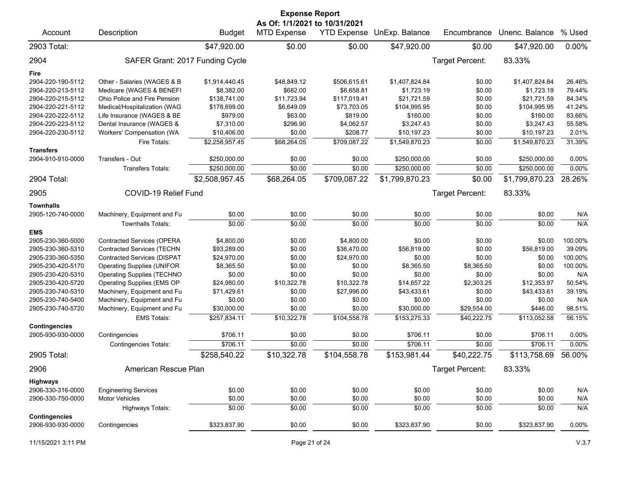| <b>Expense Report</b> |                                    |                |                                                     |              |                            |                        |                |         |  |  |
|-----------------------|------------------------------------|----------------|-----------------------------------------------------|--------------|----------------------------|------------------------|----------------|---------|--|--|
| Account               | Description                        | <b>Budget</b>  | As Of: 1/1/2021 to 10/31/2021<br><b>MTD Expense</b> |              | YTD Expense UnExp. Balance | Encumbrance            | Unenc. Balance | % Used  |  |  |
| 2903 Total:           |                                    | \$47,920.00    | \$0.00                                              | \$0.00       | \$47,920.00                | \$0.00                 | \$47,920.00    | 0.00%   |  |  |
| 2904                  | SAFER Grant: 2017 Funding Cycle    |                |                                                     |              |                            | Target Percent:        | 83.33%         |         |  |  |
| Fire                  |                                    |                |                                                     |              |                            |                        |                |         |  |  |
| 2904-220-190-5112     | Other - Salaries (WAGES & B        | \$1,914,440.45 | \$48,849.12                                         | \$506,615.61 | \$1,407,824.84             | \$0.00                 | \$1,407,824.84 | 26.46%  |  |  |
| 2904-220-213-5112     | Medicare (WAGES & BENEFI           | \$8,382.00     | \$682.00                                            | \$6,658.81   | \$1,723.19                 | \$0.00                 | \$1,723.19     | 79.44%  |  |  |
| 2904-220-215-5112     | Ohio Police and Fire Pension       | \$138,741.00   | \$11,723.94                                         | \$117,019.41 | \$21,721.59                | \$0.00                 | \$21,721.59    | 84.34%  |  |  |
| 2904-220-221-5112     | Medical/Hospitalization (WAG       | \$178,699.00   | \$6,649.09                                          | \$73,703.05  | \$104,995.95               | \$0.00                 | \$104,995.95   | 41.24%  |  |  |
| 2904-220-222-5112     | Life Insurance (WAGES & BE         | \$979.00       | \$63.00                                             | \$819.00     | \$160.00                   | \$0.00                 | \$160.00       | 83.66%  |  |  |
| 2904-220-223-5112     | Dental Insurance (WAGES &          | \$7,310.00     | \$296.90                                            | \$4,062.57   | \$3,247.43                 | \$0.00                 | \$3,247.43     | 55.58%  |  |  |
| 2904-220-230-5112     | Workers' Compensation (WA          | \$10,406.00    | \$0.00                                              | \$208.77     | \$10,197.23                | \$0.00                 | \$10,197.23    | 2.01%   |  |  |
|                       | Fire Totals:                       | \$2,258,957.45 | \$68,264.05                                         | \$709,087.22 | \$1,549,870.23             | \$0.00                 | \$1,549,870.23 | 31.39%  |  |  |
| <b>Transfers</b>      |                                    |                |                                                     |              |                            |                        |                |         |  |  |
| 2904-910-910-0000     | Transfers - Out                    | \$250,000.00   | \$0.00                                              | \$0.00       | \$250,000.00               | \$0.00                 | \$250,000.00   | 0.00%   |  |  |
|                       | <b>Transfers Totals:</b>           | \$250,000.00   | \$0.00                                              | \$0.00       | \$250,000.00               | \$0.00                 | \$250,000.00   | 0.00%   |  |  |
| 2904 Total:           |                                    | \$2,508,957.45 | \$68,264.05                                         | \$709,087.22 | \$1,799,870.23             | \$0.00                 | \$1,799,870.23 | 28.26%  |  |  |
| 2905                  | COVID-19 Relief Fund               |                |                                                     |              |                            | <b>Target Percent:</b> | 83.33%         |         |  |  |
| <b>Townhalls</b>      |                                    |                |                                                     |              |                            |                        |                |         |  |  |
| 2905-120-740-0000     | Machinery, Equipment and Fu        | \$0.00         | \$0.00                                              | \$0.00       | \$0.00                     | \$0.00                 | \$0.00         | N/A     |  |  |
|                       | <b>Townhalls Totals:</b>           | \$0.00         | \$0.00                                              | \$0.00       | \$0.00                     | \$0.00                 | \$0.00         | N/A     |  |  |
| <b>EMS</b>            |                                    |                |                                                     |              |                            |                        |                |         |  |  |
| 2905-230-360-5000     | <b>Contracted Services (OPERA</b>  | \$4,800.00     | \$0.00                                              | \$4,800.00   | \$0.00                     | \$0.00                 | \$0.00         | 100.00% |  |  |
| 2905-230-360-5310     | <b>Contracted Services (TECHN</b>  | \$93,289.00    | \$0.00                                              | \$36,470.00  | \$56,819.00                | \$0.00                 | \$56,819.00    | 39.09%  |  |  |
| 2905-230-360-5350     | <b>Contracted Services (DISPAT</b> | \$24,970.00    | \$0.00                                              | \$24,970.00  | \$0.00                     | \$0.00                 | \$0.00         | 100.00% |  |  |
| 2905-230-420-5170     | <b>Operating Supplies (UNIFOR</b>  | \$8,365.50     | \$0.00                                              | \$0.00       | \$8,365.50                 | \$8,365.50             | \$0.00         | 100.00% |  |  |
| 2905-230-420-5310     | <b>Operating Supplies (TECHNO</b>  | \$0.00         | \$0.00                                              | \$0.00       | \$0.00                     | \$0.00                 | \$0.00         | N/A     |  |  |
| 2905-230-420-5720     | Operating Supplies (EMS OP         | \$24,980.00    | \$10,322.78                                         | \$10,322.78  | \$14,657.22                | \$2,303.25             | \$12,353.97    | 50.54%  |  |  |
| 2905-230-740-5310     | Machinery, Equipment and Fu        | \$71,429.61    | \$0.00                                              | \$27,996.00  | \$43,433.61                | \$0.00                 | \$43,433.61    | 39.19%  |  |  |
| 2905-230-740-5400     | Machinery, Equipment and Fu        | \$0.00         | \$0.00                                              | \$0.00       | \$0.00                     | \$0.00                 | \$0.00         | N/A     |  |  |
| 2905-230-740-5720     | Machinery, Equipment and Fu        | \$30,000.00    | \$0.00                                              | \$0.00       | \$30,000.00                | \$29,554.00            | \$446.00       | 98.51%  |  |  |
|                       | <b>EMS Totals:</b>                 | \$257,834.11   | \$10,322.78                                         | \$104,558.78 | \$153,275.33               | \$40,222.75            | \$113,052.58   | 56.15%  |  |  |
| <b>Contingencies</b>  |                                    |                |                                                     |              |                            |                        |                |         |  |  |
| 2905-930-930-0000     | Contingencies                      | \$706.11       | \$0.00                                              | \$0.00       | \$706.11                   | \$0.00                 | \$706.11       | 0.00%   |  |  |
|                       | <b>Contingencies Totals:</b>       | \$706.11       | \$0.00                                              | \$0.00       | \$706.11                   | \$0.00                 | \$706.11       | 0.00%   |  |  |
| 2905 Total:           |                                    | \$258,540.22   | \$10,322.78                                         | \$104,558.78 | \$153,981.44               | \$40,222.75            | \$113,758.69   | 56.00%  |  |  |
| 2906                  | American Rescue Plan               |                |                                                     |              |                            | Target Percent:        | 83.33%         |         |  |  |
| Highways              |                                    |                |                                                     |              |                            |                        |                |         |  |  |
| 2906-330-316-0000     | <b>Engineering Services</b>        | \$0.00         | \$0.00                                              | \$0.00       | \$0.00                     | \$0.00                 | \$0.00         | N/A     |  |  |
| 2906-330-750-0000     | Motor Vehicles                     | \$0.00         | \$0.00                                              | \$0.00       | \$0.00                     | \$0.00                 | \$0.00         | N/A     |  |  |
|                       | <b>Highways Totals:</b>            | \$0.00         | \$0.00                                              | \$0.00       | \$0.00                     | \$0.00                 | \$0.00         | N/A     |  |  |
| <b>Contingencies</b>  |                                    |                |                                                     |              |                            |                        |                |         |  |  |
| 2906-930-930-0000     | Contingencies                      | \$323,837.90   | \$0.00                                              | \$0.00       | \$323,837.90               | \$0.00                 | \$323,837.90   | 0.00%   |  |  |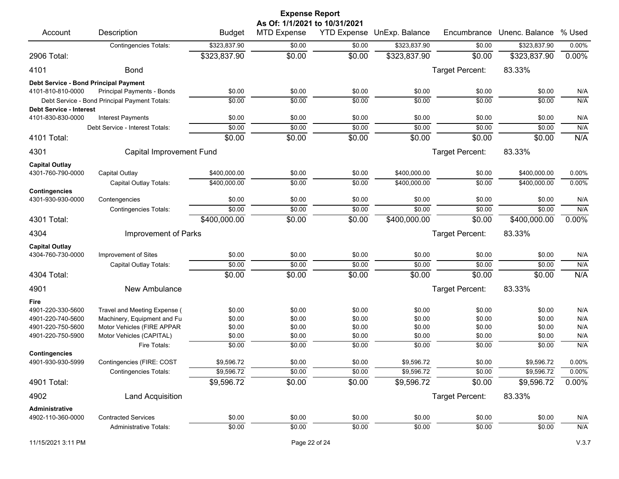|                                                     |                                               |                        | <b>Expense Report</b><br>As Of: 1/1/2021 to 10/31/2021 |                    |                  |                  |                       |            |
|-----------------------------------------------------|-----------------------------------------------|------------------------|--------------------------------------------------------|--------------------|------------------|------------------|-----------------------|------------|
| Account                                             | Description                                   | <b>Budget</b>          | <b>MTD Expense</b>                                     | <b>YTD Expense</b> | UnExp. Balance   | Encumbrance      | Unenc. Balance % Used |            |
|                                                     | <b>Contingencies Totals:</b>                  | \$323,837.90           | \$0.00                                                 | \$0.00             | \$323,837.90     | \$0.00           | \$323,837.90          | $0.00\%$   |
| 2906 Total:                                         |                                               | \$323,837.90           | \$0.00                                                 | \$0.00             | \$323,837.90     | \$0.00           | \$323,837.90          | 0.00%      |
| 4101                                                | <b>Bond</b>                                   |                        |                                                        |                    |                  | Target Percent:  | 83.33%                |            |
| Debt Service - Bond Principal Payment               |                                               |                        |                                                        |                    |                  |                  |                       |            |
| 4101-810-810-0000                                   | Principal Payments - Bonds                    | \$0.00                 | \$0.00                                                 | \$0.00             | \$0.00           | \$0.00           | \$0.00                | N/A        |
|                                                     | Debt Service - Bond Principal Payment Totals: | \$0.00                 | \$0.00                                                 | \$0.00             | \$0.00           | \$0.00           | \$0.00                | N/A        |
| <b>Debt Service - Interest</b><br>4101-830-830-0000 | <b>Interest Payments</b>                      | \$0.00                 | \$0.00                                                 | \$0.00             | \$0.00           | \$0.00           | \$0.00                | N/A        |
|                                                     | Debt Service - Interest Totals:               | \$0.00                 | \$0.00                                                 | \$0.00             | \$0.00           | \$0.00           | \$0.00                | N/A        |
| 4101 Total:                                         |                                               | \$0.00                 | \$0.00                                                 | \$0.00             | \$0.00           | \$0.00           | \$0.00                | N/A        |
| 4301                                                | Capital Improvement Fund                      |                        |                                                        |                    |                  | Target Percent:  | 83.33%                |            |
|                                                     |                                               |                        |                                                        |                    |                  |                  |                       |            |
| <b>Capital Outlay</b><br>4301-760-790-0000          | Capital Outlay                                | \$400,000.00           | \$0.00                                                 | \$0.00             | \$400,000.00     | \$0.00           | \$400,000.00          | 0.00%      |
|                                                     | Capital Outlay Totals:                        | \$400,000.00           | \$0.00                                                 | \$0.00             | \$400,000.00     | \$0.00           | \$400.000.00          | 0.00%      |
| <b>Contingencies</b>                                |                                               |                        |                                                        |                    |                  |                  |                       |            |
| 4301-930-930-0000                                   | Contengencies                                 | \$0.00                 | \$0.00                                                 | \$0.00             | \$0.00           | \$0.00           | \$0.00                | N/A        |
|                                                     | <b>Contingencies Totals:</b>                  | \$0.00                 | \$0.00                                                 | \$0.00             | \$0.00           | \$0.00           | \$0.00                | N/A        |
| 4301 Total:                                         |                                               | \$400,000.00           | \$0.00                                                 | \$0.00             | \$400,000.00     | \$0.00           | \$400,000.00          | 0.00%      |
| 4304                                                | Improvement of Parks                          |                        |                                                        |                    |                  | Target Percent:  | 83.33%                |            |
| <b>Capital Outlay</b>                               |                                               |                        |                                                        |                    |                  |                  |                       |            |
| 4304-760-730-0000                                   | Improvement of Sites                          | \$0.00                 | \$0.00                                                 | \$0.00             | \$0.00           | \$0.00           | \$0.00                | N/A        |
|                                                     | Capital Outlay Totals:                        | \$0.00                 | \$0.00                                                 | \$0.00             | \$0.00           | \$0.00           | \$0.00                | N/A        |
| 4304 Total:                                         |                                               | \$0.00                 | \$0.00                                                 | \$0.00             | \$0.00           | \$0.00           | \$0.00                | N/A        |
| 4901                                                | New Ambulance                                 |                        |                                                        |                    |                  | Target Percent:  | 83.33%                |            |
| Fire                                                |                                               |                        |                                                        |                    |                  |                  |                       |            |
| 4901-220-330-5600                                   | Travel and Meeting Expense (                  | \$0.00                 | \$0.00                                                 | \$0.00             | \$0.00           | \$0.00           | \$0.00                | N/A        |
| 4901-220-740-5600                                   | Machinery, Equipment and Fu                   | \$0.00                 | \$0.00                                                 | \$0.00             | \$0.00           | \$0.00           | \$0.00                | N/A        |
| 4901-220-750-5600                                   | Motor Vehicles (FIRE APPAR                    | \$0.00                 | \$0.00                                                 | \$0.00             | \$0.00           | \$0.00           | \$0.00                | N/A        |
| 4901-220-750-5900                                   | Motor Vehicles (CAPITAL)<br>Fire Totals:      | \$0.00<br>\$0.00       | \$0.00<br>\$0.00                                       | \$0.00             | \$0.00<br>\$0.00 | \$0.00<br>\$0.00 | \$0.00<br>\$0.00      | N/A<br>N/A |
| <b>Contingencies</b>                                |                                               |                        |                                                        | \$0.00             |                  |                  |                       |            |
| 4901-930-930-5999                                   | Contingencies (FIRE: COST                     | \$9,596.72             | \$0.00                                                 | \$0.00             | \$9,596.72       | \$0.00           | \$9,596.72            | $0.00\%$   |
|                                                     | <b>Contingencies Totals:</b>                  | \$9,596.72             | \$0.00                                                 | \$0.00             | \$9,596.72       | \$0.00           | \$9,596.72            | $0.00\%$   |
| 4901 Total:                                         |                                               | $\overline{$9,596.72}$ | \$0.00                                                 | \$0.00             | \$9,596.72       | \$0.00           | \$9,596.72            | 0.00%      |
| 4902                                                | <b>Land Acquisition</b>                       |                        |                                                        |                    |                  | Target Percent:  | 83.33%                |            |
| Administrative                                      |                                               |                        |                                                        |                    |                  |                  |                       |            |
| 4902-110-360-0000                                   | <b>Contracted Services</b>                    | \$0.00                 | \$0.00                                                 | \$0.00             | \$0.00           | \$0.00           | \$0.00                | N/A        |
|                                                     | Administrative Totals:                        | \$0.00                 | \$0.00                                                 | \$0.00             | \$0.00           | \$0.00           | \$0.00                | N/A        |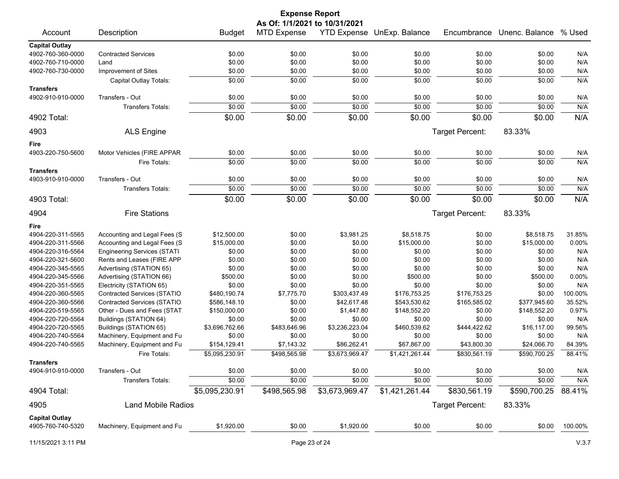|                       |                                    |                | <b>Expense Report</b> |                |                            |                 |                |         |  |  |  |
|-----------------------|------------------------------------|----------------|-----------------------|----------------|----------------------------|-----------------|----------------|---------|--|--|--|
|                       | As Of: 1/1/2021 to 10/31/2021      |                |                       |                |                            |                 |                |         |  |  |  |
| Account               | Description                        | <b>Budget</b>  | <b>MTD Expense</b>    |                | YTD Expense UnExp. Balance | Encumbrance     | Unenc. Balance | % Used  |  |  |  |
| <b>Capital Outlay</b> |                                    |                |                       |                |                            |                 |                |         |  |  |  |
| 4902-760-360-0000     | <b>Contracted Services</b>         | \$0.00         | \$0.00                | \$0.00         | \$0.00                     | \$0.00          | \$0.00         | N/A     |  |  |  |
| 4902-760-710-0000     | Land                               | \$0.00         | \$0.00                | \$0.00         | \$0.00                     | \$0.00          | \$0.00         | N/A     |  |  |  |
| 4902-760-730-0000     | Improvement of Sites               | \$0.00         | \$0.00                | \$0.00         | \$0.00                     | \$0.00          | \$0.00         | N/A     |  |  |  |
|                       | Capital Outlay Totals:             | \$0.00         | \$0.00                | \$0.00         | \$0.00                     | \$0.00          | \$0.00         | N/A     |  |  |  |
| <b>Transfers</b>      |                                    |                |                       |                |                            |                 |                |         |  |  |  |
| 4902-910-910-0000     | Transfers - Out                    | \$0.00         | \$0.00                | \$0.00         | \$0.00                     | \$0.00          | \$0.00         | N/A     |  |  |  |
|                       | <b>Transfers Totals:</b>           | \$0.00         | \$0.00                | \$0.00         | \$0.00                     | \$0.00          | \$0.00         | N/A     |  |  |  |
| 4902 Total:           |                                    | \$0.00         | \$0.00                | \$0.00         | \$0.00                     | \$0.00          | \$0.00         | N/A     |  |  |  |
| 4903                  | <b>ALS Engine</b>                  |                |                       |                |                            | Target Percent: | 83.33%         |         |  |  |  |
| Fire                  |                                    |                |                       |                |                            |                 |                |         |  |  |  |
| 4903-220-750-5600     | Motor Vehicles (FIRE APPAR         | \$0.00         | \$0.00                | \$0.00         | \$0.00                     | \$0.00          | \$0.00         | N/A     |  |  |  |
|                       | Fire Totals:                       | \$0.00         | \$0.00                | \$0.00         | \$0.00                     | \$0.00          | \$0.00         | N/A     |  |  |  |
| <b>Transfers</b>      |                                    |                |                       |                |                            |                 |                |         |  |  |  |
| 4903-910-910-0000     | Transfers - Out                    | \$0.00         | \$0.00                | \$0.00         | \$0.00                     | \$0.00          | \$0.00         | N/A     |  |  |  |
|                       | <b>Transfers Totals:</b>           | \$0.00         | \$0.00                | \$0.00         | \$0.00                     | \$0.00          | \$0.00         | N/A     |  |  |  |
|                       |                                    |                |                       |                |                            |                 |                |         |  |  |  |
| 4903 Total:           |                                    | \$0.00         | \$0.00                | \$0.00         | \$0.00                     | \$0.00          | \$0.00         | N/A     |  |  |  |
| 4904                  | <b>Fire Stations</b>               |                |                       |                |                            | Target Percent: | 83.33%         |         |  |  |  |
| Fire                  |                                    |                |                       |                |                            |                 |                |         |  |  |  |
| 4904-220-311-5565     | Accounting and Legal Fees (S       | \$12,500.00    | \$0.00                | \$3,981.25     | \$8,518.75                 | \$0.00          | \$8,518.75     | 31.85%  |  |  |  |
| 4904-220-311-5566     | Accounting and Legal Fees (S       | \$15,000.00    | \$0.00                | \$0.00         | \$15,000.00                | \$0.00          | \$15,000.00    | 0.00%   |  |  |  |
| 4904-220-316-5564     | <b>Engineering Services (STATI</b> | \$0.00         | \$0.00                | \$0.00         | \$0.00                     | \$0.00          | \$0.00         | N/A     |  |  |  |
| 4904-220-321-5600     | Rents and Leases (FIRE APP         | \$0.00         | \$0.00                | \$0.00         | \$0.00                     | \$0.00          | \$0.00         | N/A     |  |  |  |
| 4904-220-345-5565     | Advertising (STATION 65)           | \$0.00         | \$0.00                | \$0.00         | \$0.00                     | \$0.00          | \$0.00         | N/A     |  |  |  |
| 4904-220-345-5566     | Advertising (STATION 66)           | \$500.00       | \$0.00                | \$0.00         | \$500.00                   | \$0.00          | \$500.00       | 0.00%   |  |  |  |
| 4904-220-351-5565     | Electricity (STATION 65)           | \$0.00         | \$0.00                | \$0.00         | \$0.00                     | \$0.00          | \$0.00         | N/A     |  |  |  |
| 4904-220-360-5565     | Contracted Services (STATIO        | \$480,190.74   | \$7,775.70            | \$303,437.49   | \$176,753.25               | \$176,753.25    | \$0.00         | 100.00% |  |  |  |
| 4904-220-360-5566     | <b>Contracted Services (STATIO</b> | \$586,148.10   | \$0.00                | \$42,617.48    | \$543,530.62               | \$165,585.02    | \$377,945.60   | 35.52%  |  |  |  |
| 4904-220-519-5565     | Other - Dues and Fees (STAT        | \$150,000.00   | \$0.00                | \$1,447.80     | \$148,552.20               | \$0.00          | \$148,552.20   | 0.97%   |  |  |  |
| 4904-220-720-5564     | Buildings (STATION 64)             | \$0.00         | \$0.00                | \$0.00         | \$0.00                     | \$0.00          | \$0.00         | N/A     |  |  |  |
| 4904-220-720-5565     | Buildings (STATION 65)             | \$3,696,762.66 | \$483,646.96          | \$3,236,223.04 | \$460,539.62               | \$444,422.62    | \$16,117.00    | 99.56%  |  |  |  |
| 4904-220-740-5564     | Machinery, Equipment and Fu        | \$0.00         | \$0.00                | \$0.00         | \$0.00                     | \$0.00          | \$0.00         | N/A     |  |  |  |
| 4904-220-740-5565     | Machinery, Equipment and Fu        | \$154,129.41   | \$7,143.32            | \$86,262.41    | \$67,867.00                | \$43,800.30     | \$24,066.70    | 84.39%  |  |  |  |
|                       | Fire Totals:                       | \$5,095,230.91 | \$498,565.98          | \$3,673,969.47 | \$1,421,261.44             | \$830,561.19    | \$590,700.25   | 88.41%  |  |  |  |
| <b>Transfers</b>      |                                    |                |                       |                |                            |                 |                |         |  |  |  |
| 4904-910-910-0000     | Transfers - Out                    | \$0.00         | \$0.00                | \$0.00         | \$0.00                     | \$0.00          | \$0.00         | N/A     |  |  |  |
|                       | <b>Transfers Totals:</b>           | \$0.00         | \$0.00                | \$0.00         | \$0.00                     | \$0.00          | \$0.00         | N/A     |  |  |  |
| 4904 Total:           |                                    | \$5,095,230.91 | \$498,565.98          | \$3,673,969.47 | \$1,421,261.44             | \$830,561.19    | \$590,700.25   | 88.41%  |  |  |  |
| 4905                  | <b>Land Mobile Radios</b>          |                |                       |                |                            | Target Percent: | 83.33%         |         |  |  |  |
| <b>Capital Outlay</b> |                                    |                |                       |                |                            |                 |                |         |  |  |  |
| 4905-760-740-5320     | Machinery, Equipment and Fu        | \$1,920.00     | \$0.00                | \$1,920.00     | \$0.00                     | \$0.00          | \$0.00         | 100.00% |  |  |  |
|                       |                                    |                |                       |                |                            |                 |                |         |  |  |  |

11/15/2021 3:11 PM Page 23 of 24 V.3.7